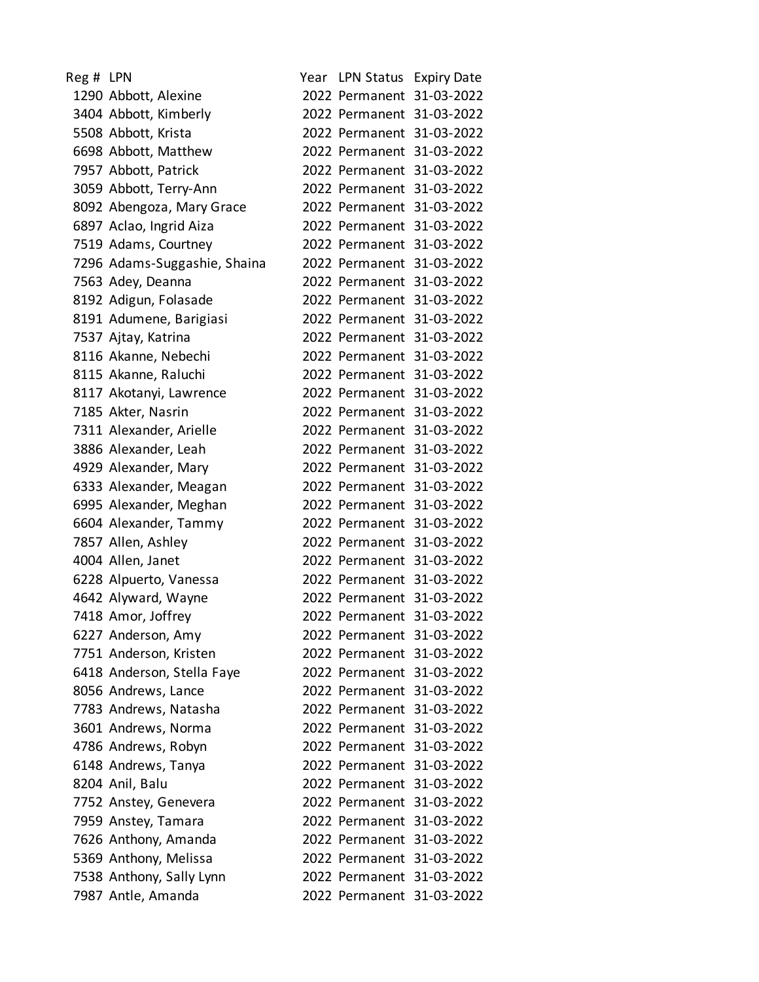| Reg # LPN |                              |                           | Year LPN Status Expiry Date |
|-----------|------------------------------|---------------------------|-----------------------------|
|           | 1290 Abbott, Alexine         |                           | 2022 Permanent 31-03-2022   |
|           | 3404 Abbott, Kimberly        |                           | 2022 Permanent 31-03-2022   |
|           | 5508 Abbott, Krista          |                           | 2022 Permanent 31-03-2022   |
|           | 6698 Abbott, Matthew         |                           | 2022 Permanent 31-03-2022   |
|           | 7957 Abbott, Patrick         |                           | 2022 Permanent 31-03-2022   |
|           | 3059 Abbott, Terry-Ann       |                           | 2022 Permanent 31-03-2022   |
|           | 8092 Abengoza, Mary Grace    |                           | 2022 Permanent 31-03-2022   |
|           | 6897 Aclao, Ingrid Aiza      |                           | 2022 Permanent 31-03-2022   |
|           | 7519 Adams, Courtney         |                           | 2022 Permanent 31-03-2022   |
|           | 7296 Adams-Suggashie, Shaina |                           | 2022 Permanent 31-03-2022   |
|           | 7563 Adey, Deanna            |                           | 2022 Permanent 31-03-2022   |
|           | 8192 Adigun, Folasade        |                           | 2022 Permanent 31-03-2022   |
|           | 8191 Adumene, Barigiasi      |                           | 2022 Permanent 31-03-2022   |
|           | 7537 Ajtay, Katrina          |                           | 2022 Permanent 31-03-2022   |
|           | 8116 Akanne, Nebechi         |                           | 2022 Permanent 31-03-2022   |
|           | 8115 Akanne, Raluchi         |                           | 2022 Permanent 31-03-2022   |
|           | 8117 Akotanyi, Lawrence      |                           | 2022 Permanent 31-03-2022   |
|           | 7185 Akter, Nasrin           |                           | 2022 Permanent 31-03-2022   |
|           | 7311 Alexander, Arielle      |                           | 2022 Permanent 31-03-2022   |
|           | 3886 Alexander, Leah         |                           | 2022 Permanent 31-03-2022   |
|           | 4929 Alexander, Mary         |                           | 2022 Permanent 31-03-2022   |
|           | 6333 Alexander, Meagan       |                           | 2022 Permanent 31-03-2022   |
|           | 6995 Alexander, Meghan       |                           | 2022 Permanent 31-03-2022   |
|           | 6604 Alexander, Tammy        |                           | 2022 Permanent 31-03-2022   |
|           | 7857 Allen, Ashley           |                           | 2022 Permanent 31-03-2022   |
|           | 4004 Allen, Janet            |                           | 2022 Permanent 31-03-2022   |
|           | 6228 Alpuerto, Vanessa       |                           | 2022 Permanent 31-03-2022   |
|           | 4642 Alyward, Wayne          |                           | 2022 Permanent 31-03-2022   |
|           | 7418 Amor, Joffrey           |                           | 2022 Permanent 31-03-2022   |
|           | 6227 Anderson, Amy           |                           | 2022 Permanent 31-03-2022   |
|           | 7751 Anderson, Kristen       |                           | 2022 Permanent 31-03-2022   |
|           | 6418 Anderson, Stella Faye   |                           | 2022 Permanent 31-03-2022   |
|           | 8056 Andrews, Lance          |                           | 2022 Permanent 31-03-2022   |
|           | 7783 Andrews, Natasha        |                           | 2022 Permanent 31-03-2022   |
|           | 3601 Andrews, Norma          |                           | 2022 Permanent 31-03-2022   |
|           | 4786 Andrews, Robyn          | 2022 Permanent 31-03-2022 |                             |
|           | 6148 Andrews, Tanya          |                           | 2022 Permanent 31-03-2022   |
|           | 8204 Anil, Balu              |                           | 2022 Permanent 31-03-2022   |
|           | 7752 Anstey, Genevera        |                           | 2022 Permanent 31-03-2022   |
|           | 7959 Anstey, Tamara          | 2022 Permanent 31-03-2022 |                             |
|           | 7626 Anthony, Amanda         |                           | 2022 Permanent 31-03-2022   |
|           | 5369 Anthony, Melissa        |                           | 2022 Permanent 31-03-2022   |
|           | 7538 Anthony, Sally Lynn     |                           | 2022 Permanent 31-03-2022   |
|           | 7987 Antle, Amanda           |                           | 2022 Permanent 31-03-2022   |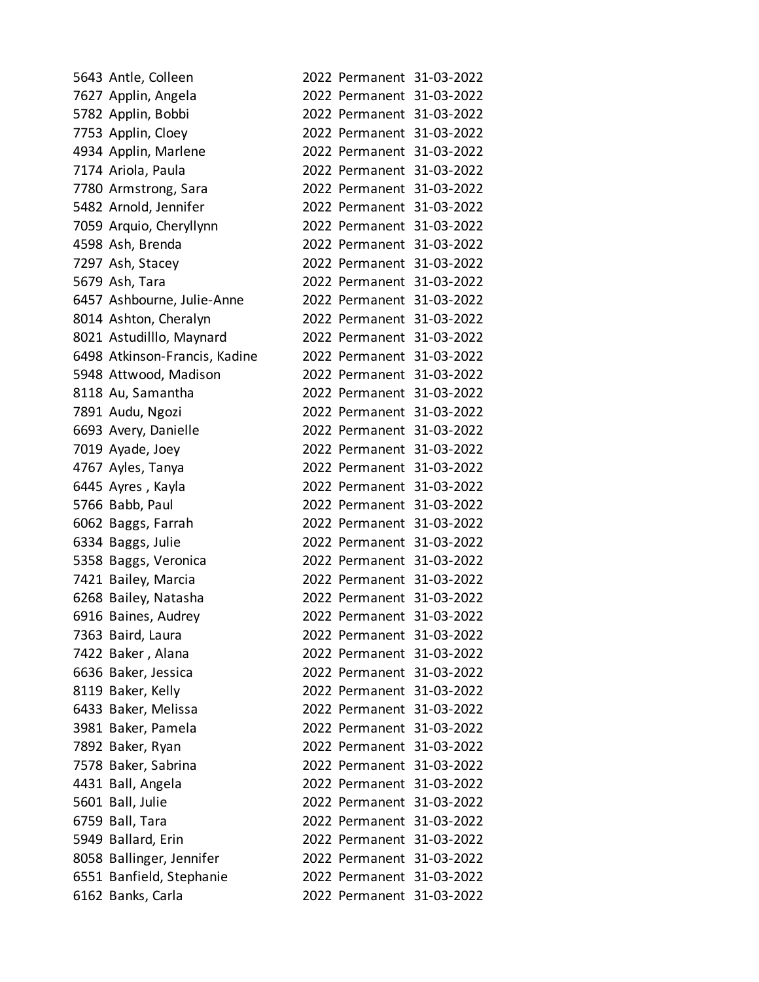| 5643 Antle, Colleen           |                           | 2022 Permanent 31-03-2022 |
|-------------------------------|---------------------------|---------------------------|
| 7627 Applin, Angela           |                           | 2022 Permanent 31-03-2022 |
| 5782 Applin, Bobbi            |                           | 2022 Permanent 31-03-2022 |
| 7753 Applin, Cloey            |                           | 2022 Permanent 31-03-2022 |
| 4934 Applin, Marlene          |                           | 2022 Permanent 31-03-2022 |
| 7174 Ariola, Paula            |                           | 2022 Permanent 31-03-2022 |
| 7780 Armstrong, Sara          |                           | 2022 Permanent 31-03-2022 |
| 5482 Arnold, Jennifer         |                           | 2022 Permanent 31-03-2022 |
| 7059 Arquio, Cheryllynn       |                           | 2022 Permanent 31-03-2022 |
| 4598 Ash, Brenda              |                           | 2022 Permanent 31-03-2022 |
| 7297 Ash, Stacey              |                           | 2022 Permanent 31-03-2022 |
| 5679 Ash, Tara                |                           | 2022 Permanent 31-03-2022 |
| 6457 Ashbourne, Julie-Anne    |                           | 2022 Permanent 31-03-2022 |
| 8014 Ashton, Cheralyn         |                           | 2022 Permanent 31-03-2022 |
| 8021 Astudilllo, Maynard      |                           | 2022 Permanent 31-03-2022 |
| 6498 Atkinson-Francis, Kadine |                           | 2022 Permanent 31-03-2022 |
| 5948 Attwood, Madison         |                           | 2022 Permanent 31-03-2022 |
| 8118 Au, Samantha             |                           | 2022 Permanent 31-03-2022 |
| 7891 Audu, Ngozi              |                           | 2022 Permanent 31-03-2022 |
| 6693 Avery, Danielle          |                           | 2022 Permanent 31-03-2022 |
| 7019 Ayade, Joey              |                           | 2022 Permanent 31-03-2022 |
| 4767 Ayles, Tanya             |                           | 2022 Permanent 31-03-2022 |
| 6445 Ayres, Kayla             |                           | 2022 Permanent 31-03-2022 |
| 5766 Babb, Paul               |                           | 2022 Permanent 31-03-2022 |
| 6062 Baggs, Farrah            |                           | 2022 Permanent 31-03-2022 |
| 6334 Baggs, Julie             |                           | 2022 Permanent 31-03-2022 |
| 5358 Baggs, Veronica          |                           | 2022 Permanent 31-03-2022 |
| 7421 Bailey, Marcia           |                           | 2022 Permanent 31-03-2022 |
| 6268 Bailey, Natasha          |                           | 2022 Permanent 31-03-2022 |
| 6916 Baines, Audrey           |                           | 2022 Permanent 31-03-2022 |
| 7363 Baird, Laura             |                           | 2022 Permanent 31-03-2022 |
| 7422 Baker, Alana             |                           | 2022 Permanent 31-03-2022 |
| 6636 Baker, Jessica           |                           | 2022 Permanent 31-03-2022 |
| 8119 Baker, Kelly             |                           | 2022 Permanent 31-03-2022 |
| 6433 Baker, Melissa           |                           | 2022 Permanent 31-03-2022 |
| 3981 Baker, Pamela            |                           | 2022 Permanent 31-03-2022 |
| 7892 Baker, Ryan              |                           | 2022 Permanent 31-03-2022 |
| 7578 Baker, Sabrina           |                           | 2022 Permanent 31-03-2022 |
| 4431 Ball, Angela             |                           | 2022 Permanent 31-03-2022 |
| 5601 Ball, Julie              |                           | 2022 Permanent 31-03-2022 |
| 6759 Ball, Tara               |                           | 2022 Permanent 31-03-2022 |
| 5949 Ballard, Erin            | 2022 Permanent 31-03-2022 |                           |
| 8058 Ballinger, Jennifer      |                           | 2022 Permanent 31-03-2022 |
| 6551 Banfield, Stephanie      |                           | 2022 Permanent 31-03-2022 |
| 6162 Banks, Carla             |                           | 2022 Permanent 31-03-2022 |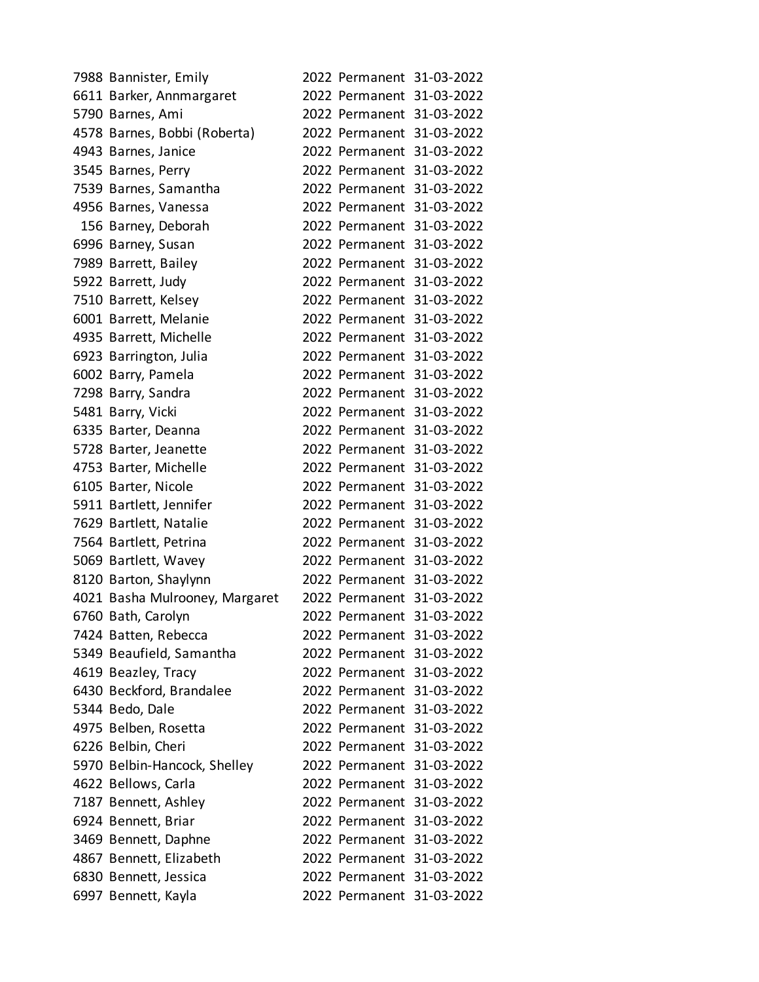| 7988 Bannister, Emily          |  | 2022 Permanent 31-03-2022 |
|--------------------------------|--|---------------------------|
| 6611 Barker, Annmargaret       |  | 2022 Permanent 31-03-2022 |
| 5790 Barnes, Ami               |  | 2022 Permanent 31-03-2022 |
| 4578 Barnes, Bobbi (Roberta)   |  | 2022 Permanent 31-03-2022 |
| 4943 Barnes, Janice            |  | 2022 Permanent 31-03-2022 |
| 3545 Barnes, Perry             |  | 2022 Permanent 31-03-2022 |
| 7539 Barnes, Samantha          |  | 2022 Permanent 31-03-2022 |
| 4956 Barnes, Vanessa           |  | 2022 Permanent 31-03-2022 |
| 156 Barney, Deborah            |  | 2022 Permanent 31-03-2022 |
| 6996 Barney, Susan             |  | 2022 Permanent 31-03-2022 |
| 7989 Barrett, Bailey           |  | 2022 Permanent 31-03-2022 |
| 5922 Barrett, Judy             |  | 2022 Permanent 31-03-2022 |
| 7510 Barrett, Kelsey           |  | 2022 Permanent 31-03-2022 |
| 6001 Barrett, Melanie          |  | 2022 Permanent 31-03-2022 |
| 4935 Barrett, Michelle         |  | 2022 Permanent 31-03-2022 |
| 6923 Barrington, Julia         |  | 2022 Permanent 31-03-2022 |
| 6002 Barry, Pamela             |  | 2022 Permanent 31-03-2022 |
| 7298 Barry, Sandra             |  | 2022 Permanent 31-03-2022 |
| 5481 Barry, Vicki              |  | 2022 Permanent 31-03-2022 |
| 6335 Barter, Deanna            |  | 2022 Permanent 31-03-2022 |
| 5728 Barter, Jeanette          |  | 2022 Permanent 31-03-2022 |
| 4753 Barter, Michelle          |  | 2022 Permanent 31-03-2022 |
| 6105 Barter, Nicole            |  | 2022 Permanent 31-03-2022 |
| 5911 Bartlett, Jennifer        |  | 2022 Permanent 31-03-2022 |
| 7629 Bartlett, Natalie         |  | 2022 Permanent 31-03-2022 |
| 7564 Bartlett, Petrina         |  | 2022 Permanent 31-03-2022 |
| 5069 Bartlett, Wavey           |  | 2022 Permanent 31-03-2022 |
| 8120 Barton, Shaylynn          |  | 2022 Permanent 31-03-2022 |
| 4021 Basha Mulrooney, Margaret |  | 2022 Permanent 31-03-2022 |
| 6760 Bath, Carolyn             |  | 2022 Permanent 31-03-2022 |
| 7424 Batten, Rebecca           |  | 2022 Permanent 31-03-2022 |
| 5349 Beaufield, Samantha       |  | 2022 Permanent 31-03-2022 |
| 4619 Beazley, Tracy            |  | 2022 Permanent 31-03-2022 |
| 6430 Beckford, Brandalee       |  | 2022 Permanent 31-03-2022 |
| 5344 Bedo, Dale                |  | 2022 Permanent 31-03-2022 |
| 4975 Belben, Rosetta           |  | 2022 Permanent 31-03-2022 |
| 6226 Belbin, Cheri             |  | 2022 Permanent 31-03-2022 |
| 5970 Belbin-Hancock, Shelley   |  | 2022 Permanent 31-03-2022 |
| 4622 Bellows, Carla            |  | 2022 Permanent 31-03-2022 |
| 7187 Bennett, Ashley           |  | 2022 Permanent 31-03-2022 |
| 6924 Bennett, Briar            |  | 2022 Permanent 31-03-2022 |
| 3469 Bennett, Daphne           |  | 2022 Permanent 31-03-2022 |
| 4867 Bennett, Elizabeth        |  | 2022 Permanent 31-03-2022 |
| 6830 Bennett, Jessica          |  | 2022 Permanent 31-03-2022 |
| 6997 Bennett, Kayla            |  | 2022 Permanent 31-03-2022 |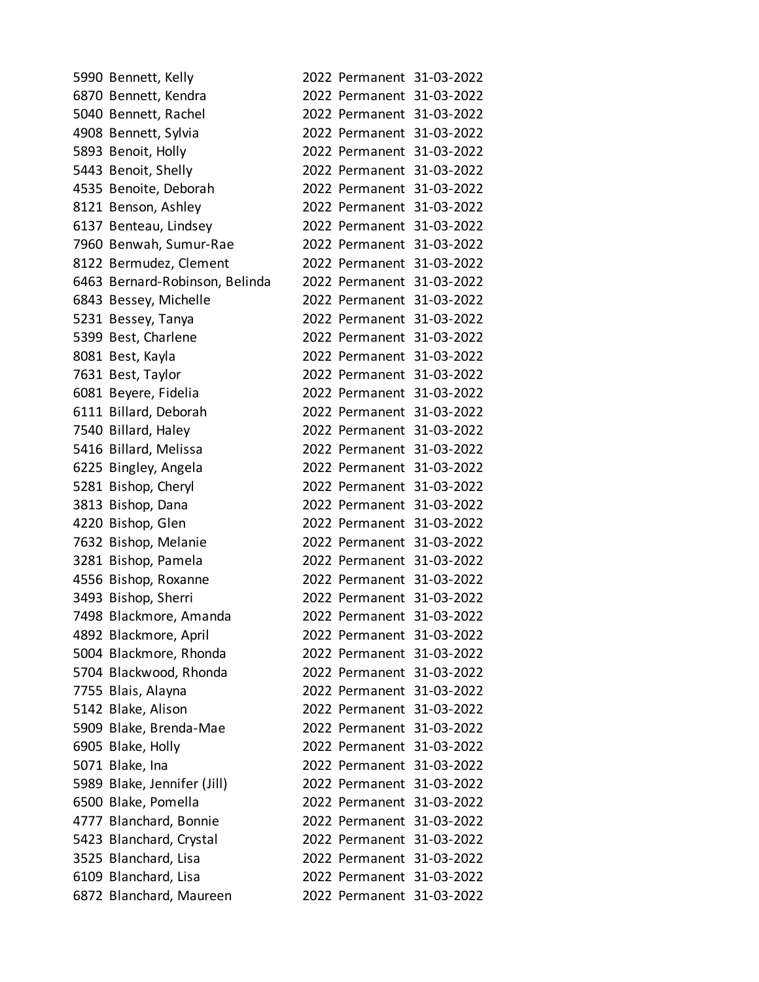| 5990 Bennett, Kelly            |  | 2022 Permanent 31-03-2022 |
|--------------------------------|--|---------------------------|
| 6870 Bennett, Kendra           |  | 2022 Permanent 31-03-2022 |
| 5040 Bennett, Rachel           |  | 2022 Permanent 31-03-2022 |
| 4908 Bennett, Sylvia           |  | 2022 Permanent 31-03-2022 |
| 5893 Benoit, Holly             |  | 2022 Permanent 31-03-2022 |
| 5443 Benoit, Shelly            |  | 2022 Permanent 31-03-2022 |
| 4535 Benoite, Deborah          |  | 2022 Permanent 31-03-2022 |
| 8121 Benson, Ashley            |  | 2022 Permanent 31-03-2022 |
| 6137 Benteau, Lindsey          |  | 2022 Permanent 31-03-2022 |
| 7960 Benwah, Sumur-Rae         |  | 2022 Permanent 31-03-2022 |
| 8122 Bermudez, Clement         |  | 2022 Permanent 31-03-2022 |
| 6463 Bernard-Robinson, Belinda |  | 2022 Permanent 31-03-2022 |
| 6843 Bessey, Michelle          |  | 2022 Permanent 31-03-2022 |
| 5231 Bessey, Tanya             |  | 2022 Permanent 31-03-2022 |
| 5399 Best, Charlene            |  | 2022 Permanent 31-03-2022 |
| 8081 Best, Kayla               |  | 2022 Permanent 31-03-2022 |
| 7631 Best, Taylor              |  | 2022 Permanent 31-03-2022 |
| 6081 Beyere, Fidelia           |  | 2022 Permanent 31-03-2022 |
| 6111 Billard, Deborah          |  | 2022 Permanent 31-03-2022 |
| 7540 Billard, Haley            |  | 2022 Permanent 31-03-2022 |
| 5416 Billard, Melissa          |  | 2022 Permanent 31-03-2022 |
| 6225 Bingley, Angela           |  | 2022 Permanent 31-03-2022 |
| 5281 Bishop, Cheryl            |  | 2022 Permanent 31-03-2022 |
| 3813 Bishop, Dana              |  | 2022 Permanent 31-03-2022 |
| 4220 Bishop, Glen              |  | 2022 Permanent 31-03-2022 |
| 7632 Bishop, Melanie           |  | 2022 Permanent 31-03-2022 |
| 3281 Bishop, Pamela            |  | 2022 Permanent 31-03-2022 |
| 4556 Bishop, Roxanne           |  | 2022 Permanent 31-03-2022 |
| 3493 Bishop, Sherri            |  | 2022 Permanent 31-03-2022 |
| 7498 Blackmore, Amanda         |  | 2022 Permanent 31-03-2022 |
| 4892 Blackmore, April          |  | 2022 Permanent 31-03-2022 |
| 5004 Blackmore, Rhonda         |  | 2022 Permanent 31-03-2022 |
| 5704 Blackwood, Rhonda         |  | 2022 Permanent 31-03-2022 |
| 7755 Blais, Alayna             |  | 2022 Permanent 31-03-2022 |
| 5142 Blake, Alison             |  | 2022 Permanent 31-03-2022 |
| 5909 Blake, Brenda-Mae         |  | 2022 Permanent 31-03-2022 |
| 6905 Blake, Holly              |  | 2022 Permanent 31-03-2022 |
| 5071 Blake, Ina                |  | 2022 Permanent 31-03-2022 |
| 5989 Blake, Jennifer (Jill)    |  | 2022 Permanent 31-03-2022 |
| 6500 Blake, Pomella            |  | 2022 Permanent 31-03-2022 |
| 4777 Blanchard, Bonnie         |  | 2022 Permanent 31-03-2022 |
| 5423 Blanchard, Crystal        |  | 2022 Permanent 31-03-2022 |
| 3525 Blanchard, Lisa           |  | 2022 Permanent 31-03-2022 |
| 6109 Blanchard, Lisa           |  | 2022 Permanent 31-03-2022 |
| 6872 Blanchard, Maureen        |  | 2022 Permanent 31-03-2022 |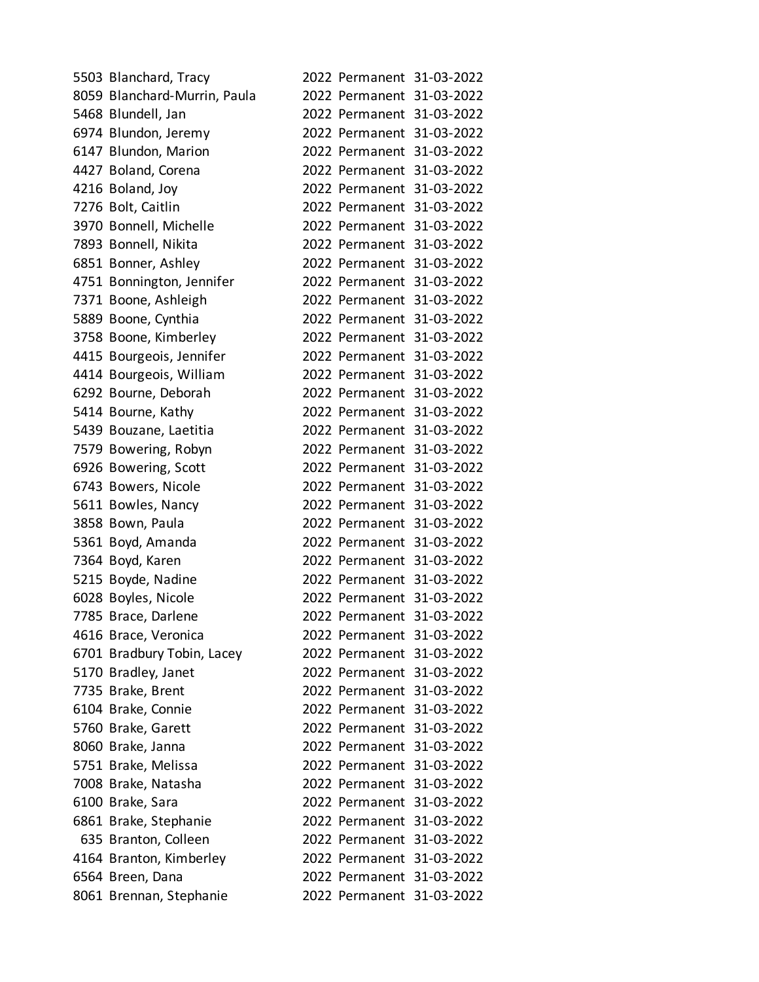| 5503 Blanchard, Tracy        |  | 2022 Permanent 31-03-2022 |
|------------------------------|--|---------------------------|
| 8059 Blanchard-Murrin, Paula |  | 2022 Permanent 31-03-2022 |
| 5468 Blundell, Jan           |  | 2022 Permanent 31-03-2022 |
| 6974 Blundon, Jeremy         |  | 2022 Permanent 31-03-2022 |
| 6147 Blundon, Marion         |  | 2022 Permanent 31-03-2022 |
| 4427 Boland, Corena          |  | 2022 Permanent 31-03-2022 |
| 4216 Boland, Joy             |  | 2022 Permanent 31-03-2022 |
| 7276 Bolt, Caitlin           |  | 2022 Permanent 31-03-2022 |
| 3970 Bonnell, Michelle       |  | 2022 Permanent 31-03-2022 |
| 7893 Bonnell, Nikita         |  | 2022 Permanent 31-03-2022 |
| 6851 Bonner, Ashley          |  | 2022 Permanent 31-03-2022 |
| 4751 Bonnington, Jennifer    |  | 2022 Permanent 31-03-2022 |
| 7371 Boone, Ashleigh         |  | 2022 Permanent 31-03-2022 |
| 5889 Boone, Cynthia          |  | 2022 Permanent 31-03-2022 |
| 3758 Boone, Kimberley        |  | 2022 Permanent 31-03-2022 |
| 4415 Bourgeois, Jennifer     |  | 2022 Permanent 31-03-2022 |
| 4414 Bourgeois, William      |  | 2022 Permanent 31-03-2022 |
| 6292 Bourne, Deborah         |  | 2022 Permanent 31-03-2022 |
| 5414 Bourne, Kathy           |  | 2022 Permanent 31-03-2022 |
| 5439 Bouzane, Laetitia       |  | 2022 Permanent 31-03-2022 |
| 7579 Bowering, Robyn         |  | 2022 Permanent 31-03-2022 |
| 6926 Bowering, Scott         |  | 2022 Permanent 31-03-2022 |
| 6743 Bowers, Nicole          |  | 2022 Permanent 31-03-2022 |
| 5611 Bowles, Nancy           |  | 2022 Permanent 31-03-2022 |
| 3858 Bown, Paula             |  | 2022 Permanent 31-03-2022 |
| 5361 Boyd, Amanda            |  | 2022 Permanent 31-03-2022 |
| 7364 Boyd, Karen             |  | 2022 Permanent 31-03-2022 |
| 5215 Boyde, Nadine           |  | 2022 Permanent 31-03-2022 |
| 6028 Boyles, Nicole          |  | 2022 Permanent 31-03-2022 |
| 7785 Brace, Darlene          |  | 2022 Permanent 31-03-2022 |
| 4616 Brace, Veronica         |  | 2022 Permanent 31-03-2022 |
| 6701 Bradbury Tobin, Lacey   |  | 2022 Permanent 31-03-2022 |
| 5170 Bradley, Janet          |  | 2022 Permanent 31-03-2022 |
| 7735 Brake, Brent            |  | 2022 Permanent 31-03-2022 |
| 6104 Brake, Connie           |  | 2022 Permanent 31-03-2022 |
| 5760 Brake, Garett           |  | 2022 Permanent 31-03-2022 |
| 8060 Brake, Janna            |  | 2022 Permanent 31-03-2022 |
| 5751 Brake, Melissa          |  | 2022 Permanent 31-03-2022 |
| 7008 Brake, Natasha          |  | 2022 Permanent 31-03-2022 |
| 6100 Brake, Sara             |  | 2022 Permanent 31-03-2022 |
| 6861 Brake, Stephanie        |  | 2022 Permanent 31-03-2022 |
| 635 Branton, Colleen         |  | 2022 Permanent 31-03-2022 |
| 4164 Branton, Kimberley      |  | 2022 Permanent 31-03-2022 |
| 6564 Breen, Dana             |  | 2022 Permanent 31-03-2022 |
| 8061 Brennan, Stephanie      |  | 2022 Permanent 31-03-2022 |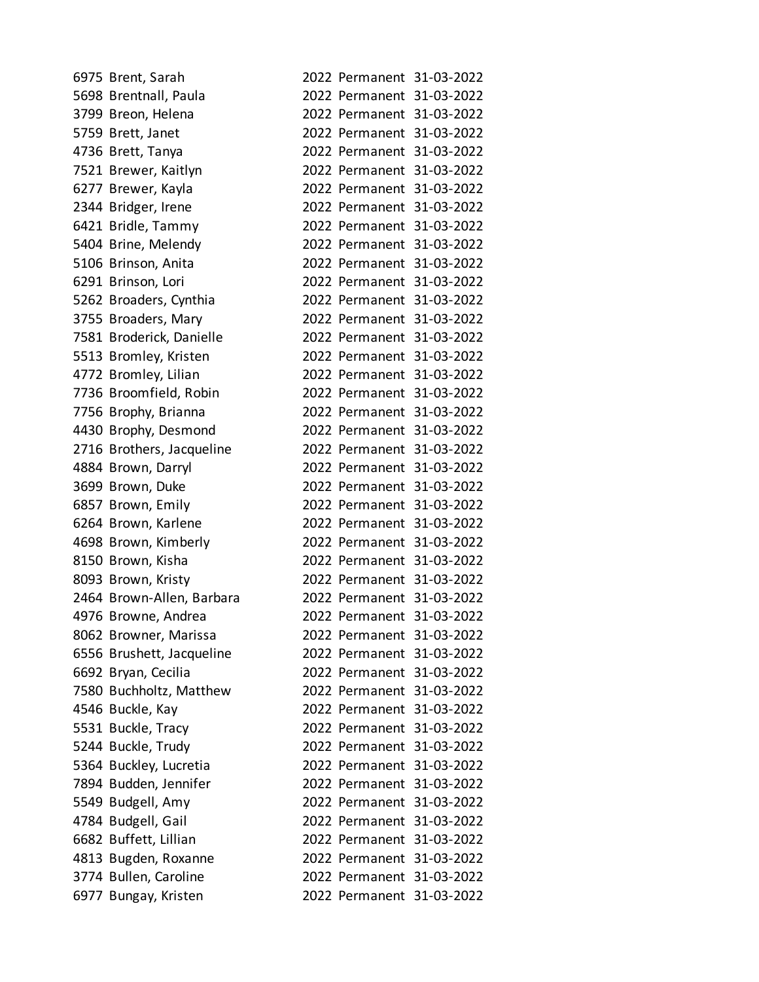| 6975 Brent, Sarah         |  | 2022 Permanent 31-03-2022 |
|---------------------------|--|---------------------------|
| 5698 Brentnall, Paula     |  | 2022 Permanent 31-03-2022 |
| 3799 Breon, Helena        |  | 2022 Permanent 31-03-2022 |
| 5759 Brett, Janet         |  | 2022 Permanent 31-03-2022 |
| 4736 Brett, Tanya         |  | 2022 Permanent 31-03-2022 |
| 7521 Brewer, Kaitlyn      |  | 2022 Permanent 31-03-2022 |
| 6277 Brewer, Kayla        |  | 2022 Permanent 31-03-2022 |
| 2344 Bridger, Irene       |  | 2022 Permanent 31-03-2022 |
| 6421 Bridle, Tammy        |  | 2022 Permanent 31-03-2022 |
| 5404 Brine, Melendy       |  | 2022 Permanent 31-03-2022 |
| 5106 Brinson, Anita       |  | 2022 Permanent 31-03-2022 |
| 6291 Brinson, Lori        |  | 2022 Permanent 31-03-2022 |
| 5262 Broaders, Cynthia    |  | 2022 Permanent 31-03-2022 |
| 3755 Broaders, Mary       |  | 2022 Permanent 31-03-2022 |
| 7581 Broderick, Danielle  |  | 2022 Permanent 31-03-2022 |
| 5513 Bromley, Kristen     |  | 2022 Permanent 31-03-2022 |
| 4772 Bromley, Lilian      |  | 2022 Permanent 31-03-2022 |
| 7736 Broomfield, Robin    |  | 2022 Permanent 31-03-2022 |
| 7756 Brophy, Brianna      |  | 2022 Permanent 31-03-2022 |
| 4430 Brophy, Desmond      |  | 2022 Permanent 31-03-2022 |
| 2716 Brothers, Jacqueline |  | 2022 Permanent 31-03-2022 |
| 4884 Brown, Darryl        |  | 2022 Permanent 31-03-2022 |
| 3699 Brown, Duke          |  | 2022 Permanent 31-03-2022 |
| 6857 Brown, Emily         |  | 2022 Permanent 31-03-2022 |
| 6264 Brown, Karlene       |  | 2022 Permanent 31-03-2022 |
| 4698 Brown, Kimberly      |  | 2022 Permanent 31-03-2022 |
| 8150 Brown, Kisha         |  | 2022 Permanent 31-03-2022 |
| 8093 Brown, Kristy        |  | 2022 Permanent 31-03-2022 |
| 2464 Brown-Allen, Barbara |  | 2022 Permanent 31-03-2022 |
| 4976 Browne, Andrea       |  | 2022 Permanent 31-03-2022 |
| 8062 Browner, Marissa     |  | 2022 Permanent 31-03-2022 |
| 6556 Brushett, Jacqueline |  | 2022 Permanent 31-03-2022 |
| 6692 Bryan, Cecilia       |  | 2022 Permanent 31-03-2022 |
| 7580 Buchholtz, Matthew   |  | 2022 Permanent 31-03-2022 |
| 4546 Buckle, Kay          |  | 2022 Permanent 31-03-2022 |
| 5531 Buckle, Tracy        |  | 2022 Permanent 31-03-2022 |
| 5244 Buckle, Trudy        |  | 2022 Permanent 31-03-2022 |
| 5364 Buckley, Lucretia    |  | 2022 Permanent 31-03-2022 |
| 7894 Budden, Jennifer     |  | 2022 Permanent 31-03-2022 |
| 5549 Budgell, Amy         |  | 2022 Permanent 31-03-2022 |
| 4784 Budgell, Gail        |  | 2022 Permanent 31-03-2022 |
| 6682 Buffett, Lillian     |  | 2022 Permanent 31-03-2022 |
| 4813 Bugden, Roxanne      |  | 2022 Permanent 31-03-2022 |
| 3774 Bullen, Caroline     |  | 2022 Permanent 31-03-2022 |
| 6977 Bungay, Kristen      |  | 2022 Permanent 31-03-2022 |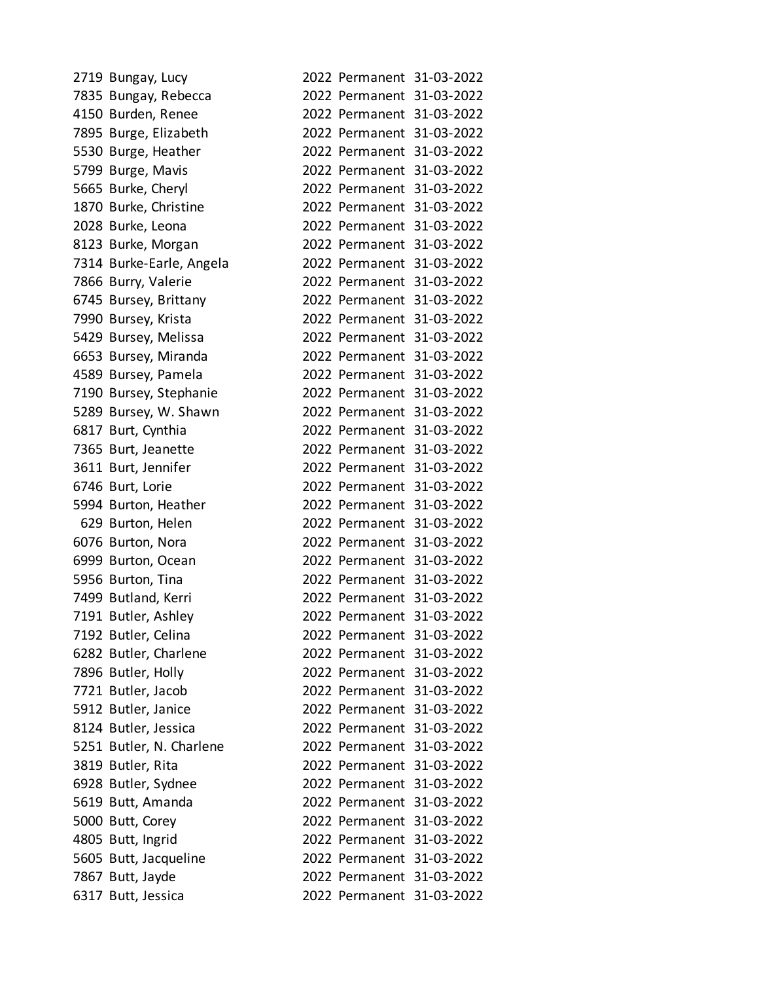| 2719 Bungay, Lucy        |  | 2022 Permanent 31-03-2022 |
|--------------------------|--|---------------------------|
| 7835 Bungay, Rebecca     |  | 2022 Permanent 31-03-2022 |
| 4150 Burden, Renee       |  | 2022 Permanent 31-03-2022 |
| 7895 Burge, Elizabeth    |  | 2022 Permanent 31-03-2022 |
| 5530 Burge, Heather      |  | 2022 Permanent 31-03-2022 |
| 5799 Burge, Mavis        |  | 2022 Permanent 31-03-2022 |
| 5665 Burke, Cheryl       |  | 2022 Permanent 31-03-2022 |
| 1870 Burke, Christine    |  | 2022 Permanent 31-03-2022 |
| 2028 Burke, Leona        |  | 2022 Permanent 31-03-2022 |
| 8123 Burke, Morgan       |  | 2022 Permanent 31-03-2022 |
| 7314 Burke-Earle, Angela |  | 2022 Permanent 31-03-2022 |
| 7866 Burry, Valerie      |  | 2022 Permanent 31-03-2022 |
| 6745 Bursey, Brittany    |  | 2022 Permanent 31-03-2022 |
| 7990 Bursey, Krista      |  | 2022 Permanent 31-03-2022 |
| 5429 Bursey, Melissa     |  | 2022 Permanent 31-03-2022 |
| 6653 Bursey, Miranda     |  | 2022 Permanent 31-03-2022 |
| 4589 Bursey, Pamela      |  | 2022 Permanent 31-03-2022 |
| 7190 Bursey, Stephanie   |  | 2022 Permanent 31-03-2022 |
| 5289 Bursey, W. Shawn    |  | 2022 Permanent 31-03-2022 |
| 6817 Burt, Cynthia       |  | 2022 Permanent 31-03-2022 |
| 7365 Burt, Jeanette      |  | 2022 Permanent 31-03-2022 |
| 3611 Burt, Jennifer      |  | 2022 Permanent 31-03-2022 |
| 6746 Burt, Lorie         |  | 2022 Permanent 31-03-2022 |
| 5994 Burton, Heather     |  | 2022 Permanent 31-03-2022 |
| 629 Burton, Helen        |  | 2022 Permanent 31-03-2022 |
| 6076 Burton, Nora        |  | 2022 Permanent 31-03-2022 |
| 6999 Burton, Ocean       |  | 2022 Permanent 31-03-2022 |
| 5956 Burton, Tina        |  | 2022 Permanent 31-03-2022 |
| 7499 Butland, Kerri      |  | 2022 Permanent 31-03-2022 |
| 7191 Butler, Ashley      |  | 2022 Permanent 31-03-2022 |
| 7192 Butler, Celina      |  | 2022 Permanent 31-03-2022 |
| 6282 Butler, Charlene    |  | 2022 Permanent 31-03-2022 |
| 7896 Butler, Holly       |  | 2022 Permanent 31-03-2022 |
| 7721 Butler, Jacob       |  | 2022 Permanent 31-03-2022 |
| 5912 Butler, Janice      |  | 2022 Permanent 31-03-2022 |
| 8124 Butler, Jessica     |  | 2022 Permanent 31-03-2022 |
| 5251 Butler, N. Charlene |  | 2022 Permanent 31-03-2022 |
| 3819 Butler, Rita        |  | 2022 Permanent 31-03-2022 |
| 6928 Butler, Sydnee      |  | 2022 Permanent 31-03-2022 |
| 5619 Butt, Amanda        |  | 2022 Permanent 31-03-2022 |
| 5000 Butt, Corey         |  | 2022 Permanent 31-03-2022 |
| 4805 Butt, Ingrid        |  | 2022 Permanent 31-03-2022 |
| 5605 Butt, Jacqueline    |  | 2022 Permanent 31-03-2022 |
| 7867 Butt, Jayde         |  | 2022 Permanent 31-03-2022 |
| 6317 Butt, Jessica       |  | 2022 Permanent 31-03-2022 |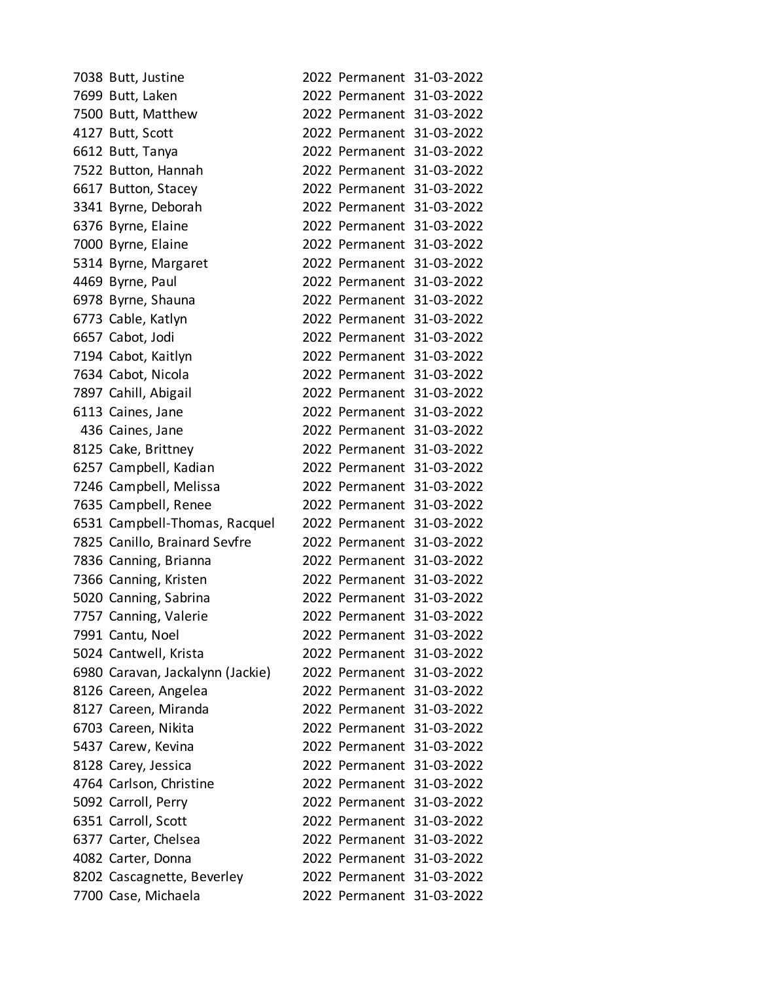| 7038 Butt, Justine               |  | 2022 Permanent 31-03-2022 |
|----------------------------------|--|---------------------------|
| 7699 Butt, Laken                 |  | 2022 Permanent 31-03-2022 |
| 7500 Butt, Matthew               |  | 2022 Permanent 31-03-2022 |
| 4127 Butt, Scott                 |  | 2022 Permanent 31-03-2022 |
| 6612 Butt, Tanya                 |  | 2022 Permanent 31-03-2022 |
| 7522 Button, Hannah              |  | 2022 Permanent 31-03-2022 |
| 6617 Button, Stacey              |  | 2022 Permanent 31-03-2022 |
| 3341 Byrne, Deborah              |  | 2022 Permanent 31-03-2022 |
| 6376 Byrne, Elaine               |  | 2022 Permanent 31-03-2022 |
| 7000 Byrne, Elaine               |  | 2022 Permanent 31-03-2022 |
| 5314 Byrne, Margaret             |  | 2022 Permanent 31-03-2022 |
| 4469 Byrne, Paul                 |  | 2022 Permanent 31-03-2022 |
| 6978 Byrne, Shauna               |  | 2022 Permanent 31-03-2022 |
| 6773 Cable, Katlyn               |  | 2022 Permanent 31-03-2022 |
| 6657 Cabot, Jodi                 |  | 2022 Permanent 31-03-2022 |
| 7194 Cabot, Kaitlyn              |  | 2022 Permanent 31-03-2022 |
| 7634 Cabot, Nicola               |  | 2022 Permanent 31-03-2022 |
| 7897 Cahill, Abigail             |  | 2022 Permanent 31-03-2022 |
| 6113 Caines, Jane                |  | 2022 Permanent 31-03-2022 |
| 436 Caines, Jane                 |  | 2022 Permanent 31-03-2022 |
| 8125 Cake, Brittney              |  | 2022 Permanent 31-03-2022 |
| 6257 Campbell, Kadian            |  | 2022 Permanent 31-03-2022 |
| 7246 Campbell, Melissa           |  | 2022 Permanent 31-03-2022 |
| 7635 Campbell, Renee             |  | 2022 Permanent 31-03-2022 |
| 6531 Campbell-Thomas, Racquel    |  | 2022 Permanent 31-03-2022 |
| 7825 Canillo, Brainard Sevfre    |  | 2022 Permanent 31-03-2022 |
| 7836 Canning, Brianna            |  | 2022 Permanent 31-03-2022 |
| 7366 Canning, Kristen            |  | 2022 Permanent 31-03-2022 |
| 5020 Canning, Sabrina            |  | 2022 Permanent 31-03-2022 |
| 7757 Canning, Valerie            |  | 2022 Permanent 31-03-2022 |
| 7991 Cantu, Noel                 |  | 2022 Permanent 31-03-2022 |
| 5024 Cantwell, Krista            |  | 2022 Permanent 31-03-2022 |
| 6980 Caravan, Jackalynn (Jackie) |  | 2022 Permanent 31-03-2022 |
| 8126 Careen, Angelea             |  | 2022 Permanent 31-03-2022 |
| 8127 Careen, Miranda             |  | 2022 Permanent 31-03-2022 |
| 6703 Careen, Nikita              |  | 2022 Permanent 31-03-2022 |
| 5437 Carew, Kevina               |  | 2022 Permanent 31-03-2022 |
| 8128 Carey, Jessica              |  | 2022 Permanent 31-03-2022 |
| 4764 Carlson, Christine          |  | 2022 Permanent 31-03-2022 |
| 5092 Carroll, Perry              |  | 2022 Permanent 31-03-2022 |
| 6351 Carroll, Scott              |  | 2022 Permanent 31-03-2022 |
| 6377 Carter, Chelsea             |  | 2022 Permanent 31-03-2022 |
| 4082 Carter, Donna               |  | 2022 Permanent 31-03-2022 |
| 8202 Cascagnette, Beverley       |  | 2022 Permanent 31-03-2022 |
| 7700 Case, Michaela              |  | 2022 Permanent 31-03-2022 |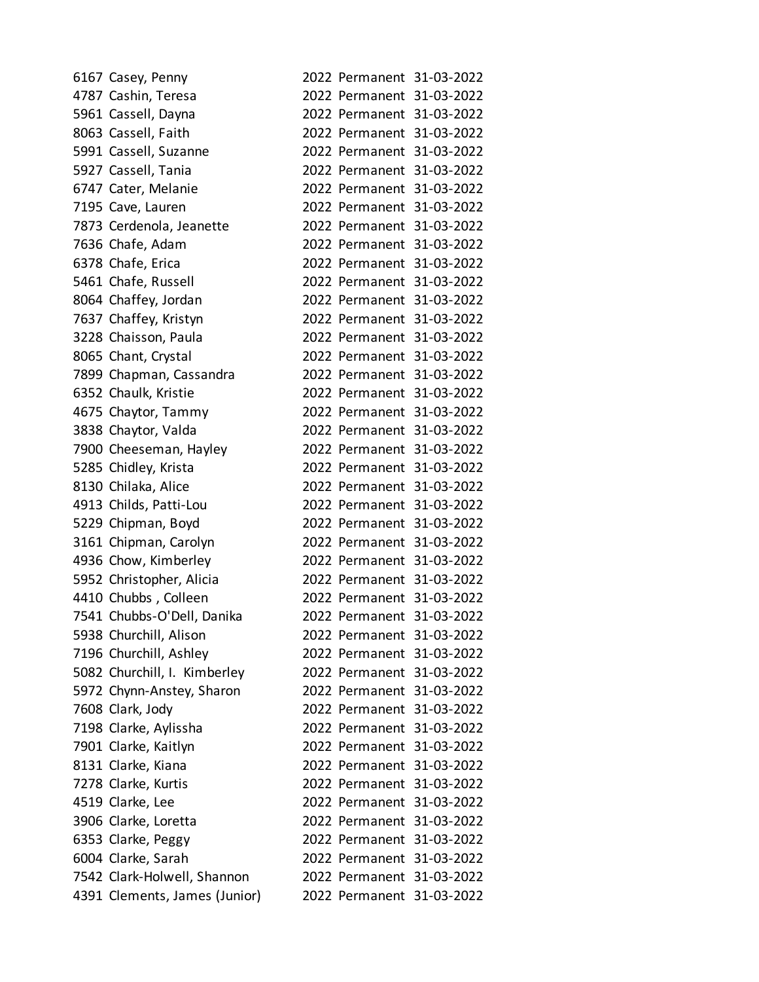| 6167 Casey, Penny             |                           | 2022 Permanent 31-03-2022 |
|-------------------------------|---------------------------|---------------------------|
| 4787 Cashin, Teresa           |                           | 2022 Permanent 31-03-2022 |
| 5961 Cassell, Dayna           |                           | 2022 Permanent 31-03-2022 |
| 8063 Cassell, Faith           |                           | 2022 Permanent 31-03-2022 |
| 5991 Cassell, Suzanne         |                           | 2022 Permanent 31-03-2022 |
| 5927 Cassell, Tania           |                           | 2022 Permanent 31-03-2022 |
| 6747 Cater, Melanie           |                           | 2022 Permanent 31-03-2022 |
| 7195 Cave, Lauren             |                           | 2022 Permanent 31-03-2022 |
| 7873 Cerdenola, Jeanette      |                           | 2022 Permanent 31-03-2022 |
| 7636 Chafe, Adam              |                           | 2022 Permanent 31-03-2022 |
| 6378 Chafe, Erica             |                           | 2022 Permanent 31-03-2022 |
| 5461 Chafe, Russell           |                           | 2022 Permanent 31-03-2022 |
| 8064 Chaffey, Jordan          |                           | 2022 Permanent 31-03-2022 |
| 7637 Chaffey, Kristyn         |                           | 2022 Permanent 31-03-2022 |
| 3228 Chaisson, Paula          |                           | 2022 Permanent 31-03-2022 |
| 8065 Chant, Crystal           |                           | 2022 Permanent 31-03-2022 |
| 7899 Chapman, Cassandra       |                           | 2022 Permanent 31-03-2022 |
| 6352 Chaulk, Kristie          |                           | 2022 Permanent 31-03-2022 |
| 4675 Chaytor, Tammy           |                           | 2022 Permanent 31-03-2022 |
| 3838 Chaytor, Valda           |                           | 2022 Permanent 31-03-2022 |
| 7900 Cheeseman, Hayley        |                           | 2022 Permanent 31-03-2022 |
| 5285 Chidley, Krista          |                           | 2022 Permanent 31-03-2022 |
| 8130 Chilaka, Alice           |                           | 2022 Permanent 31-03-2022 |
| 4913 Childs, Patti-Lou        |                           | 2022 Permanent 31-03-2022 |
| 5229 Chipman, Boyd            |                           | 2022 Permanent 31-03-2022 |
| 3161 Chipman, Carolyn         |                           | 2022 Permanent 31-03-2022 |
| 4936 Chow, Kimberley          |                           | 2022 Permanent 31-03-2022 |
| 5952 Christopher, Alicia      |                           | 2022 Permanent 31-03-2022 |
| 4410 Chubbs, Colleen          |                           | 2022 Permanent 31-03-2022 |
| 7541 Chubbs-O'Dell, Danika    |                           | 2022 Permanent 31-03-2022 |
| 5938 Churchill, Alison        | 2022 Permanent 31-03-2022 |                           |
| 7196 Churchill, Ashley        |                           | 2022 Permanent 31-03-2022 |
| 5082 Churchill, I. Kimberley  |                           | 2022 Permanent 31-03-2022 |
| 5972 Chynn-Anstey, Sharon     | 2022 Permanent 31-03-2022 |                           |
| 7608 Clark, Jody              |                           | 2022 Permanent 31-03-2022 |
| 7198 Clarke, Aylissha         |                           | 2022 Permanent 31-03-2022 |
| 7901 Clarke, Kaitlyn          |                           | 2022 Permanent 31-03-2022 |
| 8131 Clarke, Kiana            | 2022 Permanent 31-03-2022 |                           |
| 7278 Clarke, Kurtis           |                           | 2022 Permanent 31-03-2022 |
| 4519 Clarke, Lee              | 2022 Permanent 31-03-2022 |                           |
| 3906 Clarke, Loretta          |                           | 2022 Permanent 31-03-2022 |
| 6353 Clarke, Peggy            | 2022 Permanent 31-03-2022 |                           |
| 6004 Clarke, Sarah            |                           | 2022 Permanent 31-03-2022 |
| 7542 Clark-Holwell, Shannon   |                           | 2022 Permanent 31-03-2022 |
| 4391 Clements, James (Junior) |                           | 2022 Permanent 31-03-2022 |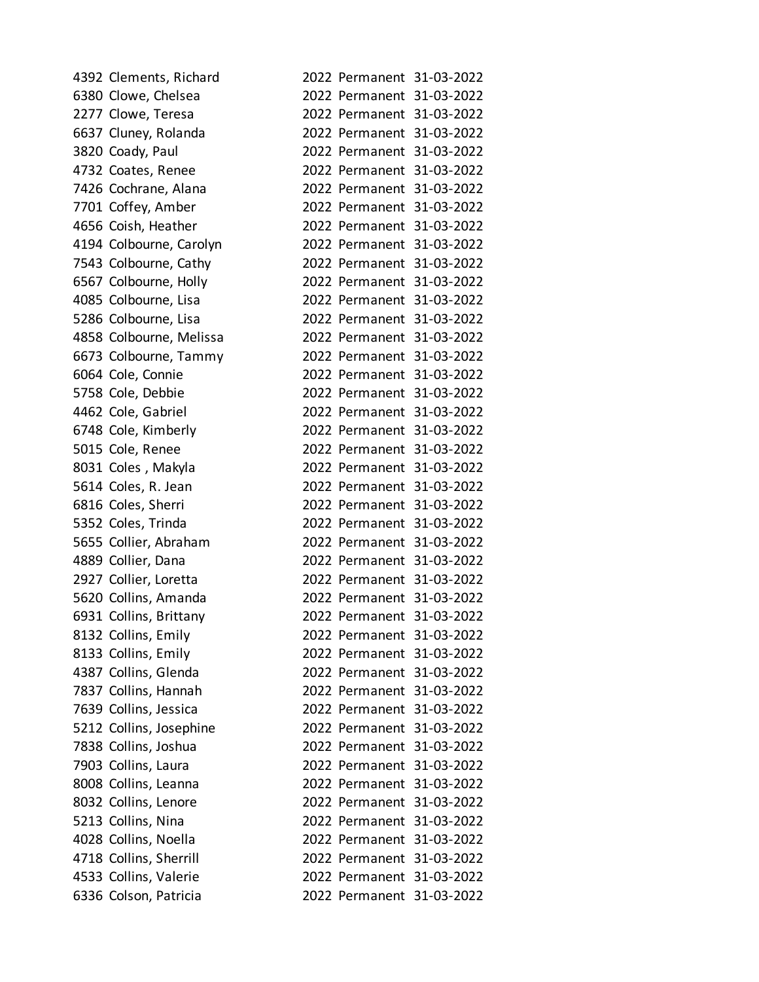| 4392 Clements, Richard  |                           | 2022 Permanent 31-03-2022 |
|-------------------------|---------------------------|---------------------------|
| 6380 Clowe, Chelsea     |                           | 2022 Permanent 31-03-2022 |
| 2277 Clowe, Teresa      |                           | 2022 Permanent 31-03-2022 |
| 6637 Cluney, Rolanda    |                           | 2022 Permanent 31-03-2022 |
| 3820 Coady, Paul        |                           | 2022 Permanent 31-03-2022 |
| 4732 Coates, Renee      |                           | 2022 Permanent 31-03-2022 |
| 7426 Cochrane, Alana    |                           | 2022 Permanent 31-03-2022 |
| 7701 Coffey, Amber      |                           | 2022 Permanent 31-03-2022 |
| 4656 Coish, Heather     |                           | 2022 Permanent 31-03-2022 |
| 4194 Colbourne, Carolyn |                           | 2022 Permanent 31-03-2022 |
| 7543 Colbourne, Cathy   |                           | 2022 Permanent 31-03-2022 |
| 6567 Colbourne, Holly   |                           | 2022 Permanent 31-03-2022 |
| 4085 Colbourne, Lisa    |                           | 2022 Permanent 31-03-2022 |
| 5286 Colbourne, Lisa    |                           | 2022 Permanent 31-03-2022 |
| 4858 Colbourne, Melissa |                           | 2022 Permanent 31-03-2022 |
| 6673 Colbourne, Tammy   |                           | 2022 Permanent 31-03-2022 |
| 6064 Cole, Connie       |                           | 2022 Permanent 31-03-2022 |
| 5758 Cole, Debbie       |                           | 2022 Permanent 31-03-2022 |
| 4462 Cole, Gabriel      |                           | 2022 Permanent 31-03-2022 |
| 6748 Cole, Kimberly     |                           | 2022 Permanent 31-03-2022 |
| 5015 Cole, Renee        |                           | 2022 Permanent 31-03-2022 |
| 8031 Coles, Makyla      |                           | 2022 Permanent 31-03-2022 |
| 5614 Coles, R. Jean     |                           | 2022 Permanent 31-03-2022 |
| 6816 Coles, Sherri      |                           | 2022 Permanent 31-03-2022 |
| 5352 Coles, Trinda      |                           | 2022 Permanent 31-03-2022 |
| 5655 Collier, Abraham   |                           | 2022 Permanent 31-03-2022 |
| 4889 Collier, Dana      |                           | 2022 Permanent 31-03-2022 |
| 2927 Collier, Loretta   |                           | 2022 Permanent 31-03-2022 |
| 5620 Collins, Amanda    |                           | 2022 Permanent 31-03-2022 |
| 6931 Collins, Brittany  |                           | 2022 Permanent 31-03-2022 |
| 8132 Collins, Emily     | 2022 Permanent 31-03-2022 |                           |
| 8133 Collins, Emily     |                           | 2022 Permanent 31-03-2022 |
| 4387 Collins, Glenda    |                           | 2022 Permanent 31-03-2022 |
| 7837 Collins, Hannah    | 2022 Permanent 31-03-2022 |                           |
| 7639 Collins, Jessica   |                           | 2022 Permanent 31-03-2022 |
| 5212 Collins, Josephine |                           | 2022 Permanent 31-03-2022 |
| 7838 Collins, Joshua    |                           | 2022 Permanent 31-03-2022 |
| 7903 Collins, Laura     | 2022 Permanent 31-03-2022 |                           |
| 8008 Collins, Leanna    |                           | 2022 Permanent 31-03-2022 |
| 8032 Collins, Lenore    | 2022 Permanent 31-03-2022 |                           |
| 5213 Collins, Nina      |                           | 2022 Permanent 31-03-2022 |
| 4028 Collins, Noella    | 2022 Permanent 31-03-2022 |                           |
| 4718 Collins, Sherrill  |                           | 2022 Permanent 31-03-2022 |
| 4533 Collins, Valerie   |                           | 2022 Permanent 31-03-2022 |
| 6336 Colson, Patricia   |                           | 2022 Permanent 31-03-2022 |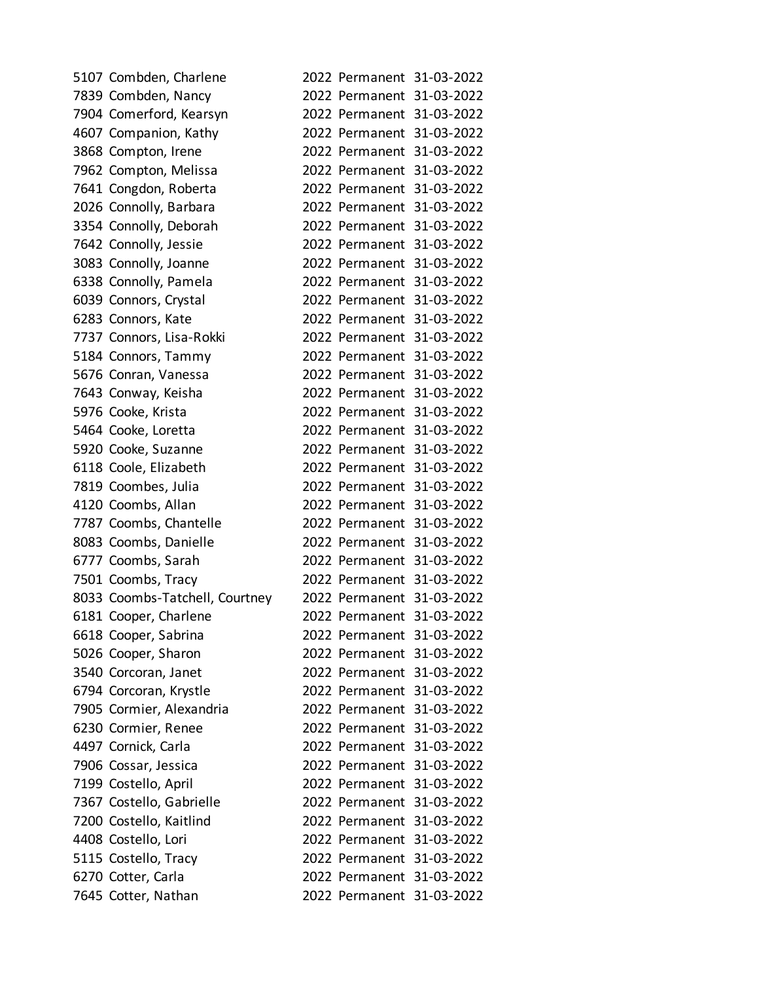| 5107 Combden, Charlene         |  | 2022 Permanent 31-03-2022 |
|--------------------------------|--|---------------------------|
| 7839 Combden, Nancy            |  | 2022 Permanent 31-03-2022 |
| 7904 Comerford, Kearsyn        |  | 2022 Permanent 31-03-2022 |
| 4607 Companion, Kathy          |  | 2022 Permanent 31-03-2022 |
| 3868 Compton, Irene            |  | 2022 Permanent 31-03-2022 |
| 7962 Compton, Melissa          |  | 2022 Permanent 31-03-2022 |
| 7641 Congdon, Roberta          |  | 2022 Permanent 31-03-2022 |
| 2026 Connolly, Barbara         |  | 2022 Permanent 31-03-2022 |
| 3354 Connolly, Deborah         |  | 2022 Permanent 31-03-2022 |
| 7642 Connolly, Jessie          |  | 2022 Permanent 31-03-2022 |
| 3083 Connolly, Joanne          |  | 2022 Permanent 31-03-2022 |
| 6338 Connolly, Pamela          |  | 2022 Permanent 31-03-2022 |
| 6039 Connors, Crystal          |  | 2022 Permanent 31-03-2022 |
| 6283 Connors, Kate             |  | 2022 Permanent 31-03-2022 |
| 7737 Connors, Lisa-Rokki       |  | 2022 Permanent 31-03-2022 |
| 5184 Connors, Tammy            |  | 2022 Permanent 31-03-2022 |
| 5676 Conran, Vanessa           |  | 2022 Permanent 31-03-2022 |
| 7643 Conway, Keisha            |  | 2022 Permanent 31-03-2022 |
| 5976 Cooke, Krista             |  | 2022 Permanent 31-03-2022 |
| 5464 Cooke, Loretta            |  | 2022 Permanent 31-03-2022 |
| 5920 Cooke, Suzanne            |  | 2022 Permanent 31-03-2022 |
| 6118 Coole, Elizabeth          |  | 2022 Permanent 31-03-2022 |
| 7819 Coombes, Julia            |  | 2022 Permanent 31-03-2022 |
| 4120 Coombs, Allan             |  | 2022 Permanent 31-03-2022 |
| 7787 Coombs, Chantelle         |  | 2022 Permanent 31-03-2022 |
| 8083 Coombs, Danielle          |  | 2022 Permanent 31-03-2022 |
| 6777 Coombs, Sarah             |  | 2022 Permanent 31-03-2022 |
| 7501 Coombs, Tracy             |  | 2022 Permanent 31-03-2022 |
| 8033 Coombs-Tatchell, Courtney |  | 2022 Permanent 31-03-2022 |
| 6181 Cooper, Charlene          |  | 2022 Permanent 31-03-2022 |
| 6618 Cooper, Sabrina           |  | 2022 Permanent 31-03-2022 |
| 5026 Cooper, Sharon            |  | 2022 Permanent 31-03-2022 |
| 3540 Corcoran, Janet           |  | 2022 Permanent 31-03-2022 |
| 6794 Corcoran, Krystle         |  | 2022 Permanent 31-03-2022 |
| 7905 Cormier, Alexandria       |  | 2022 Permanent 31-03-2022 |
| 6230 Cormier, Renee            |  | 2022 Permanent 31-03-2022 |
| 4497 Cornick, Carla            |  | 2022 Permanent 31-03-2022 |
| 7906 Cossar, Jessica           |  | 2022 Permanent 31-03-2022 |
| 7199 Costello, April           |  | 2022 Permanent 31-03-2022 |
| 7367 Costello, Gabrielle       |  | 2022 Permanent 31-03-2022 |
| 7200 Costello, Kaitlind        |  | 2022 Permanent 31-03-2022 |
| 4408 Costello, Lori            |  | 2022 Permanent 31-03-2022 |
| 5115 Costello, Tracy           |  | 2022 Permanent 31-03-2022 |
| 6270 Cotter, Carla             |  | 2022 Permanent 31-03-2022 |
| 7645 Cotter, Nathan            |  | 2022 Permanent 31-03-2022 |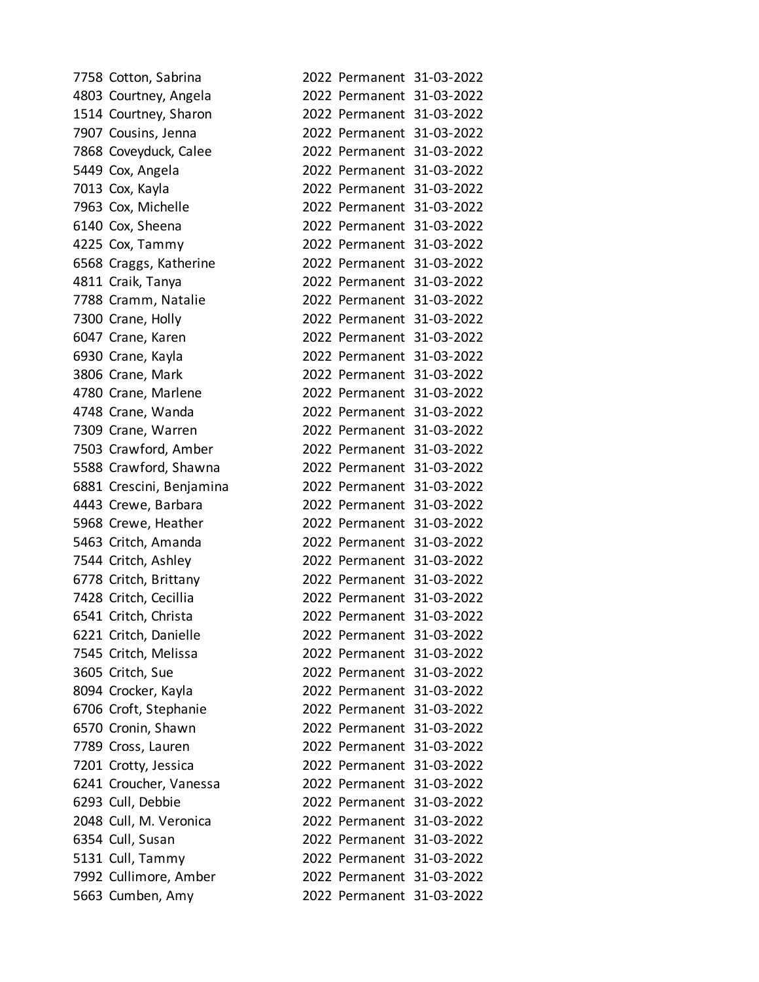| 7758 Cotton, Sabrina     |                           | 2022 Permanent 31-03-2022 |
|--------------------------|---------------------------|---------------------------|
| 4803 Courtney, Angela    |                           | 2022 Permanent 31-03-2022 |
| 1514 Courtney, Sharon    |                           | 2022 Permanent 31-03-2022 |
| 7907 Cousins, Jenna      |                           | 2022 Permanent 31-03-2022 |
| 7868 Coveyduck, Calee    |                           | 2022 Permanent 31-03-2022 |
| 5449 Cox, Angela         |                           | 2022 Permanent 31-03-2022 |
| 7013 Cox, Kayla          |                           | 2022 Permanent 31-03-2022 |
| 7963 Cox, Michelle       |                           | 2022 Permanent 31-03-2022 |
| 6140 Cox, Sheena         |                           | 2022 Permanent 31-03-2022 |
| 4225 Cox, Tammy          |                           | 2022 Permanent 31-03-2022 |
| 6568 Craggs, Katherine   |                           | 2022 Permanent 31-03-2022 |
| 4811 Craik, Tanya        |                           | 2022 Permanent 31-03-2022 |
| 7788 Cramm, Natalie      |                           | 2022 Permanent 31-03-2022 |
| 7300 Crane, Holly        |                           | 2022 Permanent 31-03-2022 |
| 6047 Crane, Karen        |                           | 2022 Permanent 31-03-2022 |
| 6930 Crane, Kayla        |                           | 2022 Permanent 31-03-2022 |
| 3806 Crane, Mark         |                           | 2022 Permanent 31-03-2022 |
| 4780 Crane, Marlene      |                           | 2022 Permanent 31-03-2022 |
| 4748 Crane, Wanda        |                           | 2022 Permanent 31-03-2022 |
| 7309 Crane, Warren       |                           | 2022 Permanent 31-03-2022 |
| 7503 Crawford, Amber     |                           | 2022 Permanent 31-03-2022 |
| 5588 Crawford, Shawna    |                           | 2022 Permanent 31-03-2022 |
| 6881 Crescini, Benjamina |                           | 2022 Permanent 31-03-2022 |
| 4443 Crewe, Barbara      |                           | 2022 Permanent 31-03-2022 |
| 5968 Crewe, Heather      |                           | 2022 Permanent 31-03-2022 |
| 5463 Critch, Amanda      |                           | 2022 Permanent 31-03-2022 |
| 7544 Critch, Ashley      |                           | 2022 Permanent 31-03-2022 |
| 6778 Critch, Brittany    |                           | 2022 Permanent 31-03-2022 |
| 7428 Critch, Cecillia    |                           | 2022 Permanent 31-03-2022 |
| 6541 Critch, Christa     |                           | 2022 Permanent 31-03-2022 |
| 6221 Critch, Danielle    |                           | 2022 Permanent 31-03-2022 |
| 7545 Critch, Melissa     |                           | 2022 Permanent 31-03-2022 |
| 3605 Critch, Sue         |                           | 2022 Permanent 31-03-2022 |
| 8094 Crocker, Kayla      | 2022 Permanent 31-03-2022 |                           |
| 6706 Croft, Stephanie    |                           | 2022 Permanent 31-03-2022 |
| 6570 Cronin, Shawn       |                           | 2022 Permanent 31-03-2022 |
| 7789 Cross, Lauren       |                           | 2022 Permanent 31-03-2022 |
| 7201 Crotty, Jessica     | 2022 Permanent 31-03-2022 |                           |
| 6241 Croucher, Vanessa   |                           | 2022 Permanent 31-03-2022 |
| 6293 Cull, Debbie        |                           | 2022 Permanent 31-03-2022 |
| 2048 Cull, M. Veronica   |                           | 2022 Permanent 31-03-2022 |
| 6354 Cull, Susan         | 2022 Permanent 31-03-2022 |                           |
| 5131 Cull, Tammy         |                           | 2022 Permanent 31-03-2022 |
| 7992 Cullimore, Amber    |                           | 2022 Permanent 31-03-2022 |
| 5663 Cumben, Amy         |                           | 2022 Permanent 31-03-2022 |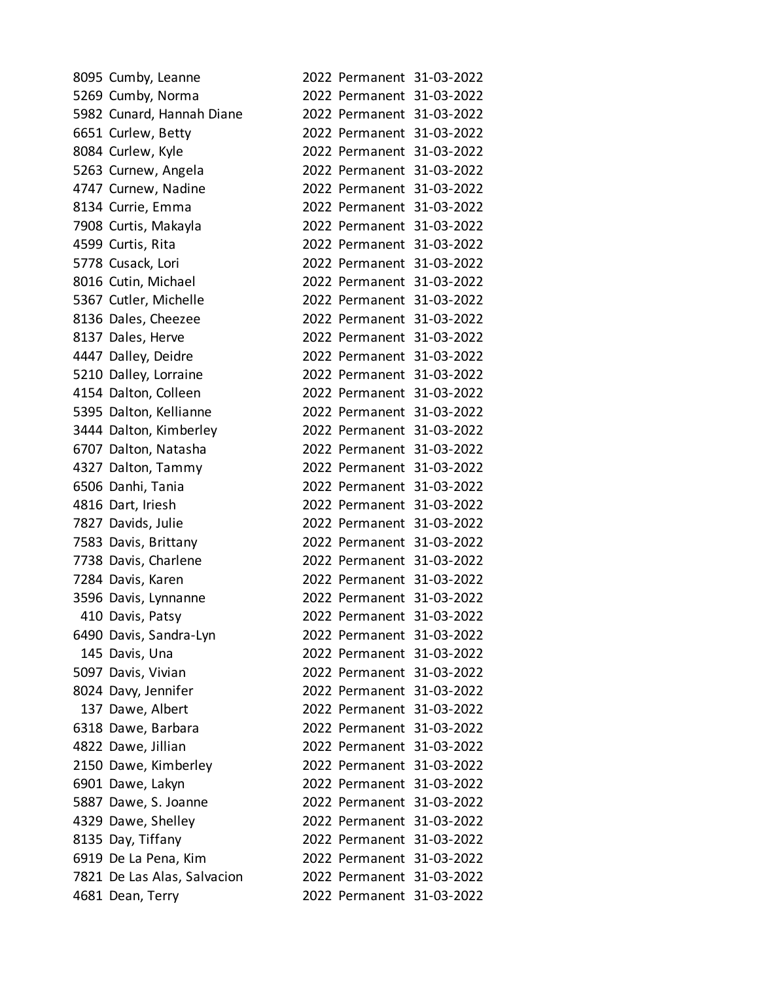| 8095 Cumby, Leanne          |  | 2022 Permanent 31-03-2022 |
|-----------------------------|--|---------------------------|
| 5269 Cumby, Norma           |  | 2022 Permanent 31-03-2022 |
| 5982 Cunard, Hannah Diane   |  | 2022 Permanent 31-03-2022 |
| 6651 Curlew, Betty          |  | 2022 Permanent 31-03-2022 |
| 8084 Curlew, Kyle           |  | 2022 Permanent 31-03-2022 |
| 5263 Curnew, Angela         |  | 2022 Permanent 31-03-2022 |
| 4747 Curnew, Nadine         |  | 2022 Permanent 31-03-2022 |
| 8134 Currie, Emma           |  | 2022 Permanent 31-03-2022 |
| 7908 Curtis, Makayla        |  | 2022 Permanent 31-03-2022 |
| 4599 Curtis, Rita           |  | 2022 Permanent 31-03-2022 |
| 5778 Cusack, Lori           |  | 2022 Permanent 31-03-2022 |
| 8016 Cutin, Michael         |  | 2022 Permanent 31-03-2022 |
| 5367 Cutler, Michelle       |  | 2022 Permanent 31-03-2022 |
| 8136 Dales, Cheezee         |  | 2022 Permanent 31-03-2022 |
| 8137 Dales, Herve           |  | 2022 Permanent 31-03-2022 |
| 4447 Dalley, Deidre         |  | 2022 Permanent 31-03-2022 |
| 5210 Dalley, Lorraine       |  | 2022 Permanent 31-03-2022 |
| 4154 Dalton, Colleen        |  | 2022 Permanent 31-03-2022 |
| 5395 Dalton, Kellianne      |  | 2022 Permanent 31-03-2022 |
| 3444 Dalton, Kimberley      |  | 2022 Permanent 31-03-2022 |
| 6707 Dalton, Natasha        |  | 2022 Permanent 31-03-2022 |
| 4327 Dalton, Tammy          |  | 2022 Permanent 31-03-2022 |
| 6506 Danhi, Tania           |  | 2022 Permanent 31-03-2022 |
| 4816 Dart, Iriesh           |  | 2022 Permanent 31-03-2022 |
| 7827 Davids, Julie          |  | 2022 Permanent 31-03-2022 |
| 7583 Davis, Brittany        |  | 2022 Permanent 31-03-2022 |
| 7738 Davis, Charlene        |  | 2022 Permanent 31-03-2022 |
| 7284 Davis, Karen           |  | 2022 Permanent 31-03-2022 |
| 3596 Davis, Lynnanne        |  | 2022 Permanent 31-03-2022 |
| 410 Davis, Patsy            |  | 2022 Permanent 31-03-2022 |
| 6490 Davis, Sandra-Lyn      |  | 2022 Permanent 31-03-2022 |
| 145 Davis, Una              |  | 2022 Permanent 31-03-2022 |
| 5097 Davis, Vivian          |  | 2022 Permanent 31-03-2022 |
| 8024 Davy, Jennifer         |  | 2022 Permanent 31-03-2022 |
| 137 Dawe, Albert            |  | 2022 Permanent 31-03-2022 |
| 6318 Dawe, Barbara          |  | 2022 Permanent 31-03-2022 |
| 4822 Dawe, Jillian          |  | 2022 Permanent 31-03-2022 |
| 2150 Dawe, Kimberley        |  | 2022 Permanent 31-03-2022 |
| 6901 Dawe, Lakyn            |  | 2022 Permanent 31-03-2022 |
| 5887 Dawe, S. Joanne        |  | 2022 Permanent 31-03-2022 |
| 4329 Dawe, Shelley          |  | 2022 Permanent 31-03-2022 |
| 8135 Day, Tiffany           |  | 2022 Permanent 31-03-2022 |
| 6919 De La Pena, Kim        |  | 2022 Permanent 31-03-2022 |
| 7821 De Las Alas, Salvacion |  | 2022 Permanent 31-03-2022 |
| 4681 Dean, Terry            |  | 2022 Permanent 31-03-2022 |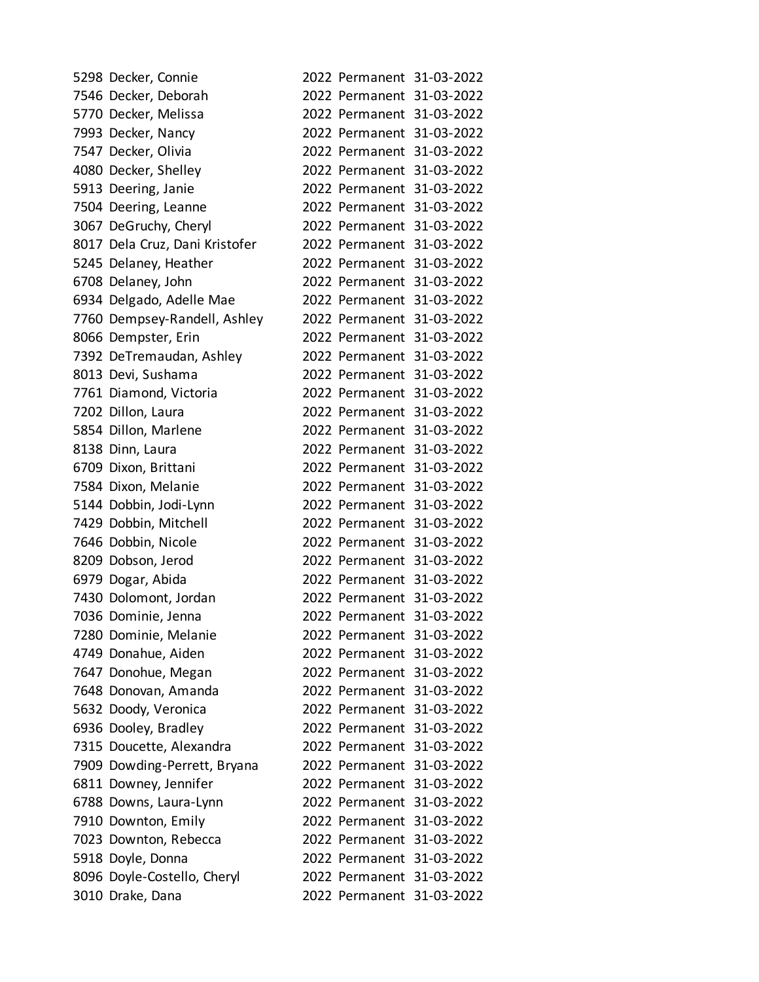| 5298 Decker, Connie            |  | 2022 Permanent 31-03-2022 |
|--------------------------------|--|---------------------------|
| 7546 Decker, Deborah           |  | 2022 Permanent 31-03-2022 |
| 5770 Decker, Melissa           |  | 2022 Permanent 31-03-2022 |
| 7993 Decker, Nancy             |  | 2022 Permanent 31-03-2022 |
| 7547 Decker, Olivia            |  | 2022 Permanent 31-03-2022 |
| 4080 Decker, Shelley           |  | 2022 Permanent 31-03-2022 |
| 5913 Deering, Janie            |  | 2022 Permanent 31-03-2022 |
| 7504 Deering, Leanne           |  | 2022 Permanent 31-03-2022 |
| 3067 DeGruchy, Cheryl          |  | 2022 Permanent 31-03-2022 |
| 8017 Dela Cruz, Dani Kristofer |  | 2022 Permanent 31-03-2022 |
| 5245 Delaney, Heather          |  | 2022 Permanent 31-03-2022 |
| 6708 Delaney, John             |  | 2022 Permanent 31-03-2022 |
| 6934 Delgado, Adelle Mae       |  | 2022 Permanent 31-03-2022 |
| 7760 Dempsey-Randell, Ashley   |  | 2022 Permanent 31-03-2022 |
| 8066 Dempster, Erin            |  | 2022 Permanent 31-03-2022 |
| 7392 DeTremaudan, Ashley       |  | 2022 Permanent 31-03-2022 |
| 8013 Devi, Sushama             |  | 2022 Permanent 31-03-2022 |
| 7761 Diamond, Victoria         |  | 2022 Permanent 31-03-2022 |
| 7202 Dillon, Laura             |  | 2022 Permanent 31-03-2022 |
| 5854 Dillon, Marlene           |  | 2022 Permanent 31-03-2022 |
| 8138 Dinn, Laura               |  | 2022 Permanent 31-03-2022 |
| 6709 Dixon, Brittani           |  | 2022 Permanent 31-03-2022 |
| 7584 Dixon, Melanie            |  | 2022 Permanent 31-03-2022 |
| 5144 Dobbin, Jodi-Lynn         |  | 2022 Permanent 31-03-2022 |
| 7429 Dobbin, Mitchell          |  | 2022 Permanent 31-03-2022 |
| 7646 Dobbin, Nicole            |  | 2022 Permanent 31-03-2022 |
| 8209 Dobson, Jerod             |  | 2022 Permanent 31-03-2022 |
| 6979 Dogar, Abida              |  | 2022 Permanent 31-03-2022 |
| 7430 Dolomont, Jordan          |  | 2022 Permanent 31-03-2022 |
| 7036 Dominie, Jenna            |  | 2022 Permanent 31-03-2022 |
| 7280 Dominie, Melanie          |  | 2022 Permanent 31-03-2022 |
| 4749 Donahue, Aiden            |  | 2022 Permanent 31-03-2022 |
| 7647 Donohue, Megan            |  | 2022 Permanent 31-03-2022 |
| 7648 Donovan, Amanda           |  | 2022 Permanent 31-03-2022 |
| 5632 Doody, Veronica           |  | 2022 Permanent 31-03-2022 |
| 6936 Dooley, Bradley           |  | 2022 Permanent 31-03-2022 |
| 7315 Doucette, Alexandra       |  | 2022 Permanent 31-03-2022 |
| 7909 Dowding-Perrett, Bryana   |  | 2022 Permanent 31-03-2022 |
| 6811 Downey, Jennifer          |  | 2022 Permanent 31-03-2022 |
| 6788 Downs, Laura-Lynn         |  | 2022 Permanent 31-03-2022 |
| 7910 Downton, Emily            |  | 2022 Permanent 31-03-2022 |
| 7023 Downton, Rebecca          |  | 2022 Permanent 31-03-2022 |
| 5918 Doyle, Donna              |  | 2022 Permanent 31-03-2022 |
| 8096 Doyle-Costello, Cheryl    |  | 2022 Permanent 31-03-2022 |
| 3010 Drake, Dana               |  | 2022 Permanent 31-03-2022 |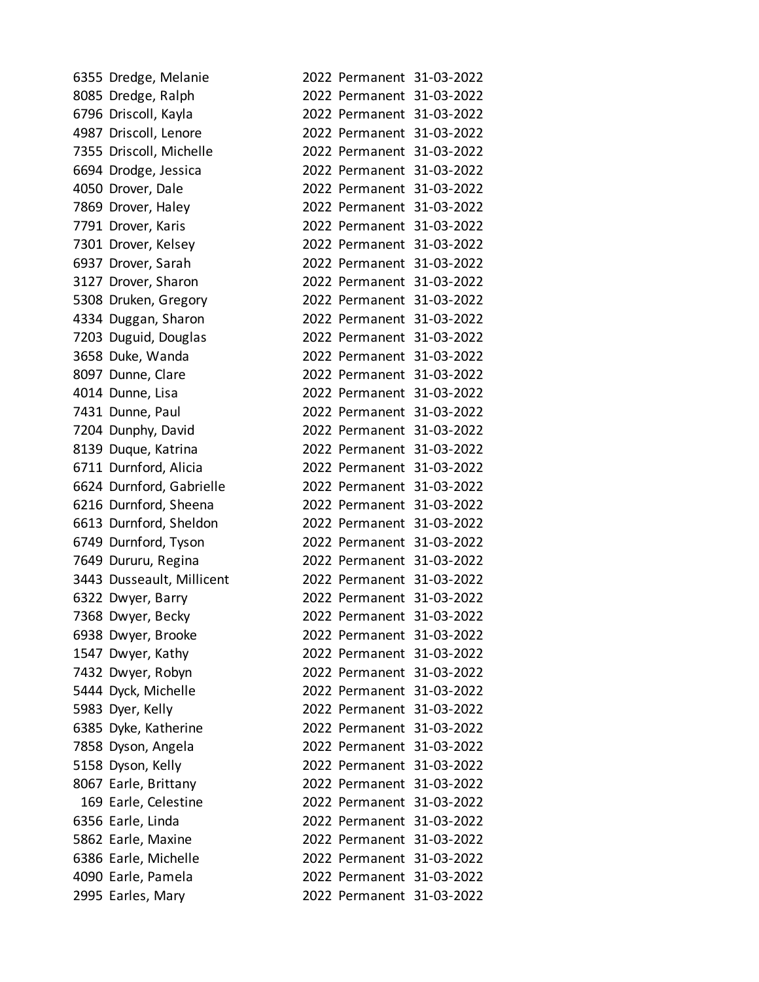| 6355 Dredge, Melanie      |  | 2022 Permanent 31-03-2022 |
|---------------------------|--|---------------------------|
| 8085 Dredge, Ralph        |  | 2022 Permanent 31-03-2022 |
| 6796 Driscoll, Kayla      |  | 2022 Permanent 31-03-2022 |
| 4987 Driscoll, Lenore     |  | 2022 Permanent 31-03-2022 |
| 7355 Driscoll, Michelle   |  | 2022 Permanent 31-03-2022 |
| 6694 Drodge, Jessica      |  | 2022 Permanent 31-03-2022 |
| 4050 Drover, Dale         |  | 2022 Permanent 31-03-2022 |
| 7869 Drover, Haley        |  | 2022 Permanent 31-03-2022 |
| 7791 Drover, Karis        |  | 2022 Permanent 31-03-2022 |
| 7301 Drover, Kelsey       |  | 2022 Permanent 31-03-2022 |
| 6937 Drover, Sarah        |  | 2022 Permanent 31-03-2022 |
| 3127 Drover, Sharon       |  | 2022 Permanent 31-03-2022 |
| 5308 Druken, Gregory      |  | 2022 Permanent 31-03-2022 |
| 4334 Duggan, Sharon       |  | 2022 Permanent 31-03-2022 |
| 7203 Duguid, Douglas      |  | 2022 Permanent 31-03-2022 |
| 3658 Duke, Wanda          |  | 2022 Permanent 31-03-2022 |
| 8097 Dunne, Clare         |  | 2022 Permanent 31-03-2022 |
| 4014 Dunne, Lisa          |  | 2022 Permanent 31-03-2022 |
| 7431 Dunne, Paul          |  | 2022 Permanent 31-03-2022 |
| 7204 Dunphy, David        |  | 2022 Permanent 31-03-2022 |
| 8139 Duque, Katrina       |  | 2022 Permanent 31-03-2022 |
| 6711 Durnford, Alicia     |  | 2022 Permanent 31-03-2022 |
| 6624 Durnford, Gabrielle  |  | 2022 Permanent 31-03-2022 |
| 6216 Durnford, Sheena     |  | 2022 Permanent 31-03-2022 |
| 6613 Durnford, Sheldon    |  | 2022 Permanent 31-03-2022 |
| 6749 Durnford, Tyson      |  | 2022 Permanent 31-03-2022 |
| 7649 Dururu, Regina       |  | 2022 Permanent 31-03-2022 |
| 3443 Dusseault, Millicent |  | 2022 Permanent 31-03-2022 |
| 6322 Dwyer, Barry         |  | 2022 Permanent 31-03-2022 |
| 7368 Dwyer, Becky         |  | 2022 Permanent 31-03-2022 |
| 6938 Dwyer, Brooke        |  | 2022 Permanent 31-03-2022 |
| 1547 Dwyer, Kathy         |  | 2022 Permanent 31-03-2022 |
| 7432 Dwyer, Robyn         |  | 2022 Permanent 31-03-2022 |
| 5444 Dyck, Michelle       |  | 2022 Permanent 31-03-2022 |
| 5983 Dyer, Kelly          |  | 2022 Permanent 31-03-2022 |
| 6385 Dyke, Katherine      |  | 2022 Permanent 31-03-2022 |
| 7858 Dyson, Angela        |  | 2022 Permanent 31-03-2022 |
| 5158 Dyson, Kelly         |  | 2022 Permanent 31-03-2022 |
| 8067 Earle, Brittany      |  | 2022 Permanent 31-03-2022 |
| 169 Earle, Celestine      |  | 2022 Permanent 31-03-2022 |
| 6356 Earle, Linda         |  | 2022 Permanent 31-03-2022 |
| 5862 Earle, Maxine        |  | 2022 Permanent 31-03-2022 |
| 6386 Earle, Michelle      |  | 2022 Permanent 31-03-2022 |
| 4090 Earle, Pamela        |  | 2022 Permanent 31-03-2022 |
| 2995 Earles, Mary         |  | 2022 Permanent 31-03-2022 |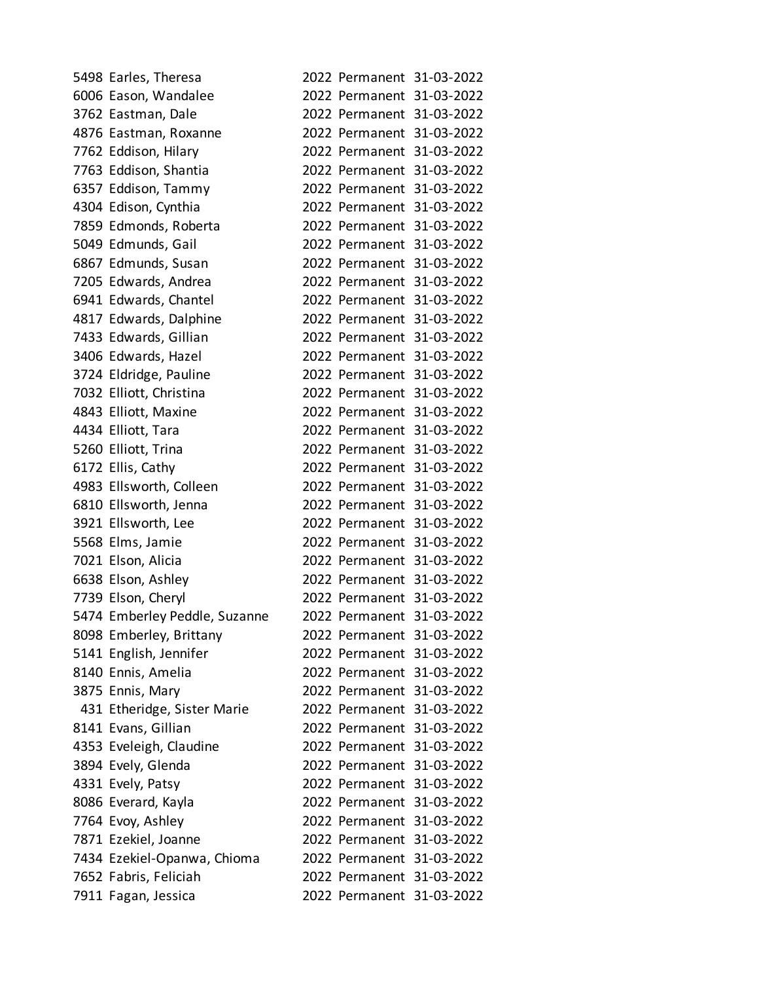| 5498 Earles, Theresa          |  | 2022 Permanent 31-03-2022 |
|-------------------------------|--|---------------------------|
| 6006 Eason, Wandalee          |  | 2022 Permanent 31-03-2022 |
| 3762 Eastman, Dale            |  | 2022 Permanent 31-03-2022 |
| 4876 Eastman, Roxanne         |  | 2022 Permanent 31-03-2022 |
| 7762 Eddison, Hilary          |  | 2022 Permanent 31-03-2022 |
| 7763 Eddison, Shantia         |  | 2022 Permanent 31-03-2022 |
| 6357 Eddison, Tammy           |  | 2022 Permanent 31-03-2022 |
| 4304 Edison, Cynthia          |  | 2022 Permanent 31-03-2022 |
| 7859 Edmonds, Roberta         |  | 2022 Permanent 31-03-2022 |
| 5049 Edmunds, Gail            |  | 2022 Permanent 31-03-2022 |
| 6867 Edmunds, Susan           |  | 2022 Permanent 31-03-2022 |
| 7205 Edwards, Andrea          |  | 2022 Permanent 31-03-2022 |
| 6941 Edwards, Chantel         |  | 2022 Permanent 31-03-2022 |
| 4817 Edwards, Dalphine        |  | 2022 Permanent 31-03-2022 |
| 7433 Edwards, Gillian         |  | 2022 Permanent 31-03-2022 |
| 3406 Edwards, Hazel           |  | 2022 Permanent 31-03-2022 |
| 3724 Eldridge, Pauline        |  | 2022 Permanent 31-03-2022 |
| 7032 Elliott, Christina       |  | 2022 Permanent 31-03-2022 |
| 4843 Elliott, Maxine          |  | 2022 Permanent 31-03-2022 |
| 4434 Elliott, Tara            |  | 2022 Permanent 31-03-2022 |
| 5260 Elliott, Trina           |  | 2022 Permanent 31-03-2022 |
| 6172 Ellis, Cathy             |  | 2022 Permanent 31-03-2022 |
| 4983 Ellsworth, Colleen       |  | 2022 Permanent 31-03-2022 |
| 6810 Ellsworth, Jenna         |  | 2022 Permanent 31-03-2022 |
| 3921 Ellsworth, Lee           |  | 2022 Permanent 31-03-2022 |
| 5568 Elms, Jamie              |  | 2022 Permanent 31-03-2022 |
| 7021 Elson, Alicia            |  | 2022 Permanent 31-03-2022 |
| 6638 Elson, Ashley            |  | 2022 Permanent 31-03-2022 |
| 7739 Elson, Cheryl            |  | 2022 Permanent 31-03-2022 |
| 5474 Emberley Peddle, Suzanne |  | 2022 Permanent 31-03-2022 |
| 8098 Emberley, Brittany       |  | 2022 Permanent 31-03-2022 |
| 5141 English, Jennifer        |  | 2022 Permanent 31-03-2022 |
| 8140 Ennis, Amelia            |  | 2022 Permanent 31-03-2022 |
| 3875 Ennis, Mary              |  | 2022 Permanent 31-03-2022 |
| 431 Etheridge, Sister Marie   |  | 2022 Permanent 31-03-2022 |
| 8141 Evans, Gillian           |  | 2022 Permanent 31-03-2022 |
| 4353 Eveleigh, Claudine       |  | 2022 Permanent 31-03-2022 |
| 3894 Evely, Glenda            |  | 2022 Permanent 31-03-2022 |
| 4331 Evely, Patsy             |  | 2022 Permanent 31-03-2022 |
| 8086 Everard, Kayla           |  | 2022 Permanent 31-03-2022 |
| 7764 Evoy, Ashley             |  | 2022 Permanent 31-03-2022 |
| 7871 Ezekiel, Joanne          |  | 2022 Permanent 31-03-2022 |
| 7434 Ezekiel-Opanwa, Chioma   |  | 2022 Permanent 31-03-2022 |
| 7652 Fabris, Feliciah         |  | 2022 Permanent 31-03-2022 |
| 7911 Fagan, Jessica           |  | 2022 Permanent 31-03-2022 |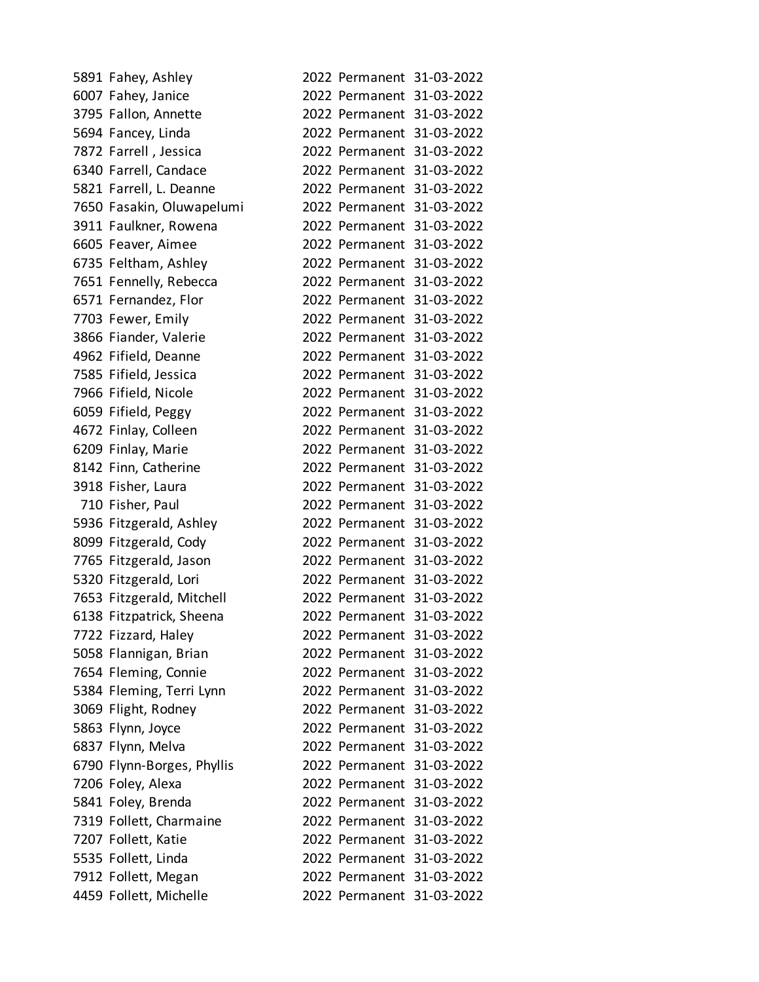| 5891 Fahey, Ashley         |  | 2022 Permanent 31-03-2022 |
|----------------------------|--|---------------------------|
| 6007 Fahey, Janice         |  | 2022 Permanent 31-03-2022 |
| 3795 Fallon, Annette       |  | 2022 Permanent 31-03-2022 |
| 5694 Fancey, Linda         |  | 2022 Permanent 31-03-2022 |
| 7872 Farrell, Jessica      |  | 2022 Permanent 31-03-2022 |
| 6340 Farrell, Candace      |  | 2022 Permanent 31-03-2022 |
| 5821 Farrell, L. Deanne    |  | 2022 Permanent 31-03-2022 |
| 7650 Fasakin, Oluwapelumi  |  | 2022 Permanent 31-03-2022 |
| 3911 Faulkner, Rowena      |  | 2022 Permanent 31-03-2022 |
| 6605 Feaver, Aimee         |  | 2022 Permanent 31-03-2022 |
| 6735 Feltham, Ashley       |  | 2022 Permanent 31-03-2022 |
| 7651 Fennelly, Rebecca     |  | 2022 Permanent 31-03-2022 |
| 6571 Fernandez, Flor       |  | 2022 Permanent 31-03-2022 |
| 7703 Fewer, Emily          |  | 2022 Permanent 31-03-2022 |
| 3866 Fiander, Valerie      |  | 2022 Permanent 31-03-2022 |
| 4962 Fifield, Deanne       |  | 2022 Permanent 31-03-2022 |
| 7585 Fifield, Jessica      |  | 2022 Permanent 31-03-2022 |
| 7966 Fifield, Nicole       |  | 2022 Permanent 31-03-2022 |
| 6059 Fifield, Peggy        |  | 2022 Permanent 31-03-2022 |
| 4672 Finlay, Colleen       |  | 2022 Permanent 31-03-2022 |
| 6209 Finlay, Marie         |  | 2022 Permanent 31-03-2022 |
| 8142 Finn, Catherine       |  | 2022 Permanent 31-03-2022 |
| 3918 Fisher, Laura         |  | 2022 Permanent 31-03-2022 |
| 710 Fisher, Paul           |  | 2022 Permanent 31-03-2022 |
| 5936 Fitzgerald, Ashley    |  | 2022 Permanent 31-03-2022 |
| 8099 Fitzgerald, Cody      |  | 2022 Permanent 31-03-2022 |
| 7765 Fitzgerald, Jason     |  | 2022 Permanent 31-03-2022 |
| 5320 Fitzgerald, Lori      |  | 2022 Permanent 31-03-2022 |
| 7653 Fitzgerald, Mitchell  |  | 2022 Permanent 31-03-2022 |
| 6138 Fitzpatrick, Sheena   |  | 2022 Permanent 31-03-2022 |
| 7722 Fizzard, Haley        |  | 2022 Permanent 31-03-2022 |
| 5058 Flannigan, Brian      |  | 2022 Permanent 31-03-2022 |
| 7654 Fleming, Connie       |  | 2022 Permanent 31-03-2022 |
| 5384 Fleming, Terri Lynn   |  | 2022 Permanent 31-03-2022 |
| 3069 Flight, Rodney        |  | 2022 Permanent 31-03-2022 |
| 5863 Flynn, Joyce          |  | 2022 Permanent 31-03-2022 |
| 6837 Flynn, Melva          |  | 2022 Permanent 31-03-2022 |
| 6790 Flynn-Borges, Phyllis |  | 2022 Permanent 31-03-2022 |
| 7206 Foley, Alexa          |  | 2022 Permanent 31-03-2022 |
| 5841 Foley, Brenda         |  | 2022 Permanent 31-03-2022 |
| 7319 Follett, Charmaine    |  | 2022 Permanent 31-03-2022 |
| 7207 Follett, Katie        |  | 2022 Permanent 31-03-2022 |
| 5535 Follett, Linda        |  | 2022 Permanent 31-03-2022 |
| 7912 Follett, Megan        |  | 2022 Permanent 31-03-2022 |
| 4459 Follett, Michelle     |  | 2022 Permanent 31-03-2022 |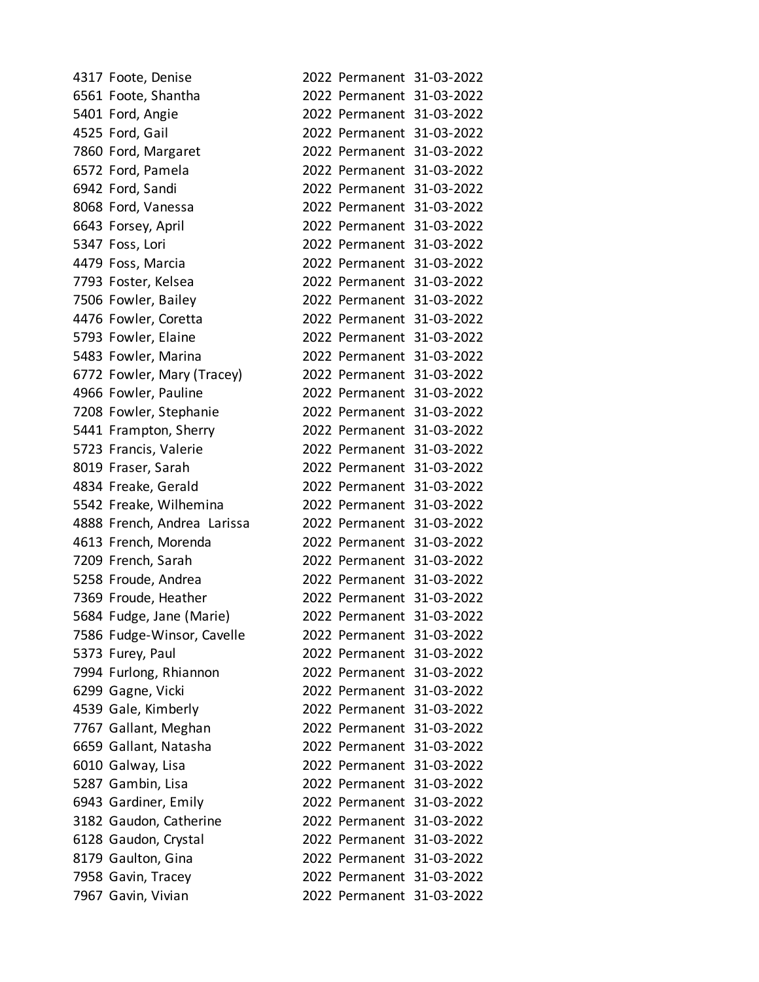| 4317 Foote, Denise          |  | 2022 Permanent 31-03-2022 |
|-----------------------------|--|---------------------------|
| 6561 Foote, Shantha         |  | 2022 Permanent 31-03-2022 |
| 5401 Ford, Angie            |  | 2022 Permanent 31-03-2022 |
| 4525 Ford, Gail             |  | 2022 Permanent 31-03-2022 |
| 7860 Ford, Margaret         |  | 2022 Permanent 31-03-2022 |
| 6572 Ford, Pamela           |  | 2022 Permanent 31-03-2022 |
| 6942 Ford, Sandi            |  | 2022 Permanent 31-03-2022 |
| 8068 Ford, Vanessa          |  | 2022 Permanent 31-03-2022 |
| 6643 Forsey, April          |  | 2022 Permanent 31-03-2022 |
| 5347 Foss, Lori             |  | 2022 Permanent 31-03-2022 |
| 4479 Foss, Marcia           |  | 2022 Permanent 31-03-2022 |
| 7793 Foster, Kelsea         |  | 2022 Permanent 31-03-2022 |
| 7506 Fowler, Bailey         |  | 2022 Permanent 31-03-2022 |
| 4476 Fowler, Coretta        |  | 2022 Permanent 31-03-2022 |
| 5793 Fowler, Elaine         |  | 2022 Permanent 31-03-2022 |
| 5483 Fowler, Marina         |  | 2022 Permanent 31-03-2022 |
| 6772 Fowler, Mary (Tracey)  |  | 2022 Permanent 31-03-2022 |
| 4966 Fowler, Pauline        |  | 2022 Permanent 31-03-2022 |
| 7208 Fowler, Stephanie      |  | 2022 Permanent 31-03-2022 |
| 5441 Frampton, Sherry       |  | 2022 Permanent 31-03-2022 |
| 5723 Francis, Valerie       |  | 2022 Permanent 31-03-2022 |
| 8019 Fraser, Sarah          |  | 2022 Permanent 31-03-2022 |
| 4834 Freake, Gerald         |  | 2022 Permanent 31-03-2022 |
| 5542 Freake, Wilhemina      |  | 2022 Permanent 31-03-2022 |
| 4888 French, Andrea Larissa |  | 2022 Permanent 31-03-2022 |
| 4613 French, Morenda        |  | 2022 Permanent 31-03-2022 |
| 7209 French, Sarah          |  | 2022 Permanent 31-03-2022 |
| 5258 Froude, Andrea         |  | 2022 Permanent 31-03-2022 |
| 7369 Froude, Heather        |  | 2022 Permanent 31-03-2022 |
| 5684 Fudge, Jane (Marie)    |  | 2022 Permanent 31-03-2022 |
| 7586 Fudge-Winsor, Cavelle  |  | 2022 Permanent 31-03-2022 |
| 5373 Furey, Paul            |  | 2022 Permanent 31-03-2022 |
| 7994 Furlong, Rhiannon      |  | 2022 Permanent 31-03-2022 |
| 6299 Gagne, Vicki           |  | 2022 Permanent 31-03-2022 |
| 4539 Gale, Kimberly         |  | 2022 Permanent 31-03-2022 |
| 7767 Gallant, Meghan        |  | 2022 Permanent 31-03-2022 |
| 6659 Gallant, Natasha       |  | 2022 Permanent 31-03-2022 |
| 6010 Galway, Lisa           |  | 2022 Permanent 31-03-2022 |
| 5287 Gambin, Lisa           |  | 2022 Permanent 31-03-2022 |
| 6943 Gardiner, Emily        |  | 2022 Permanent 31-03-2022 |
| 3182 Gaudon, Catherine      |  | 2022 Permanent 31-03-2022 |
| 6128 Gaudon, Crystal        |  | 2022 Permanent 31-03-2022 |
| 8179 Gaulton, Gina          |  | 2022 Permanent 31-03-2022 |
| 7958 Gavin, Tracey          |  | 2022 Permanent 31-03-2022 |
| 7967 Gavin, Vivian          |  | 2022 Permanent 31-03-2022 |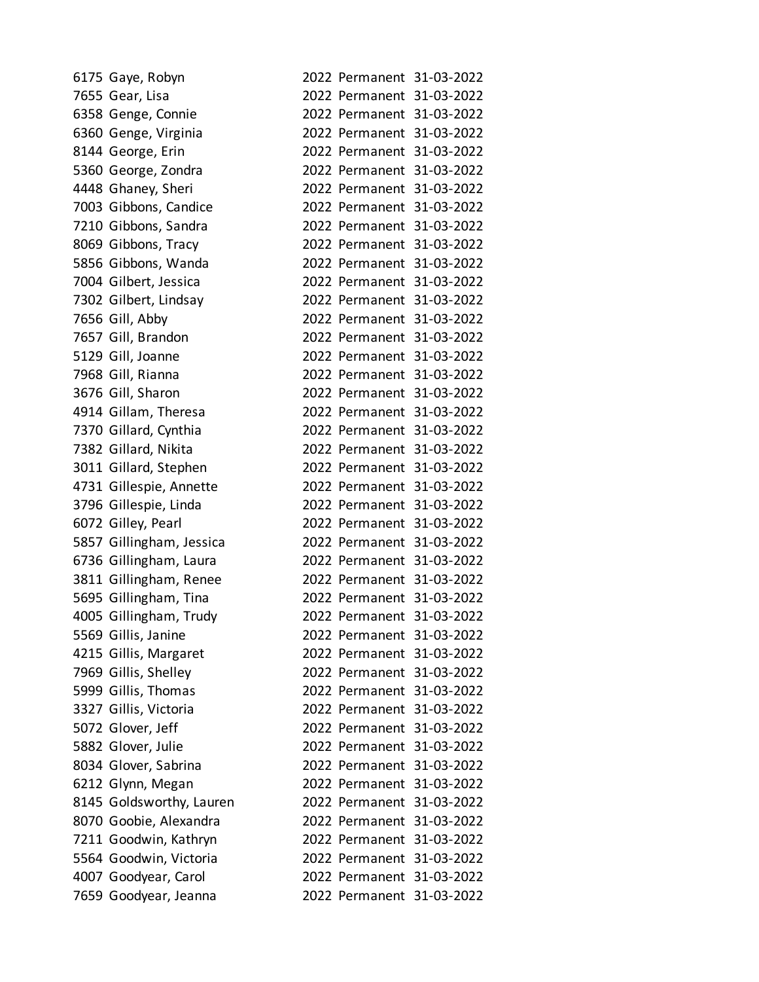| 6175 Gaye, Robyn         |                           | 2022 Permanent 31-03-2022 |
|--------------------------|---------------------------|---------------------------|
| 7655 Gear, Lisa          |                           | 2022 Permanent 31-03-2022 |
| 6358 Genge, Connie       |                           | 2022 Permanent 31-03-2022 |
| 6360 Genge, Virginia     |                           | 2022 Permanent 31-03-2022 |
| 8144 George, Erin        |                           | 2022 Permanent 31-03-2022 |
| 5360 George, Zondra      |                           | 2022 Permanent 31-03-2022 |
| 4448 Ghaney, Sheri       |                           | 2022 Permanent 31-03-2022 |
| 7003 Gibbons, Candice    |                           | 2022 Permanent 31-03-2022 |
| 7210 Gibbons, Sandra     |                           | 2022 Permanent 31-03-2022 |
| 8069 Gibbons, Tracy      |                           | 2022 Permanent 31-03-2022 |
| 5856 Gibbons, Wanda      |                           | 2022 Permanent 31-03-2022 |
| 7004 Gilbert, Jessica    |                           | 2022 Permanent 31-03-2022 |
| 7302 Gilbert, Lindsay    |                           | 2022 Permanent 31-03-2022 |
| 7656 Gill, Abby          |                           | 2022 Permanent 31-03-2022 |
| 7657 Gill, Brandon       |                           | 2022 Permanent 31-03-2022 |
| 5129 Gill, Joanne        |                           | 2022 Permanent 31-03-2022 |
| 7968 Gill, Rianna        |                           | 2022 Permanent 31-03-2022 |
| 3676 Gill, Sharon        |                           | 2022 Permanent 31-03-2022 |
| 4914 Gillam, Theresa     |                           | 2022 Permanent 31-03-2022 |
| 7370 Gillard, Cynthia    |                           | 2022 Permanent 31-03-2022 |
| 7382 Gillard, Nikita     |                           | 2022 Permanent 31-03-2022 |
| 3011 Gillard, Stephen    |                           | 2022 Permanent 31-03-2022 |
| 4731 Gillespie, Annette  |                           | 2022 Permanent 31-03-2022 |
| 3796 Gillespie, Linda    |                           | 2022 Permanent 31-03-2022 |
| 6072 Gilley, Pearl       |                           | 2022 Permanent 31-03-2022 |
| 5857 Gillingham, Jessica |                           | 2022 Permanent 31-03-2022 |
| 6736 Gillingham, Laura   |                           | 2022 Permanent 31-03-2022 |
| 3811 Gillingham, Renee   |                           | 2022 Permanent 31-03-2022 |
| 5695 Gillingham, Tina    |                           | 2022 Permanent 31-03-2022 |
| 4005 Gillingham, Trudy   |                           | 2022 Permanent 31-03-2022 |
| 5569 Gillis, Janine      | 2022 Permanent 31-03-2022 |                           |
| 4215 Gillis, Margaret    |                           | 2022 Permanent 31-03-2022 |
| 7969 Gillis, Shelley     |                           | 2022 Permanent 31-03-2022 |
| 5999 Gillis, Thomas      | 2022 Permanent 31-03-2022 |                           |
| 3327 Gillis, Victoria    | 2022 Permanent 31-03-2022 |                           |
| 5072 Glover, Jeff        | 2022 Permanent 31-03-2022 |                           |
| 5882 Glover, Julie       | 2022 Permanent 31-03-2022 |                           |
| 8034 Glover, Sabrina     | 2022 Permanent            | 31-03-2022                |
| 6212 Glynn, Megan        | 2022 Permanent 31-03-2022 |                           |
| 8145 Goldsworthy, Lauren | 2022 Permanent 31-03-2022 |                           |
| 8070 Goobie, Alexandra   | 2022 Permanent 31-03-2022 |                           |
| 7211 Goodwin, Kathryn    | 2022 Permanent 31-03-2022 |                           |
| 5564 Goodwin, Victoria   |                           | 2022 Permanent 31-03-2022 |
| 4007 Goodyear, Carol     |                           | 2022 Permanent 31-03-2022 |
| 7659 Goodyear, Jeanna    |                           | 2022 Permanent 31-03-2022 |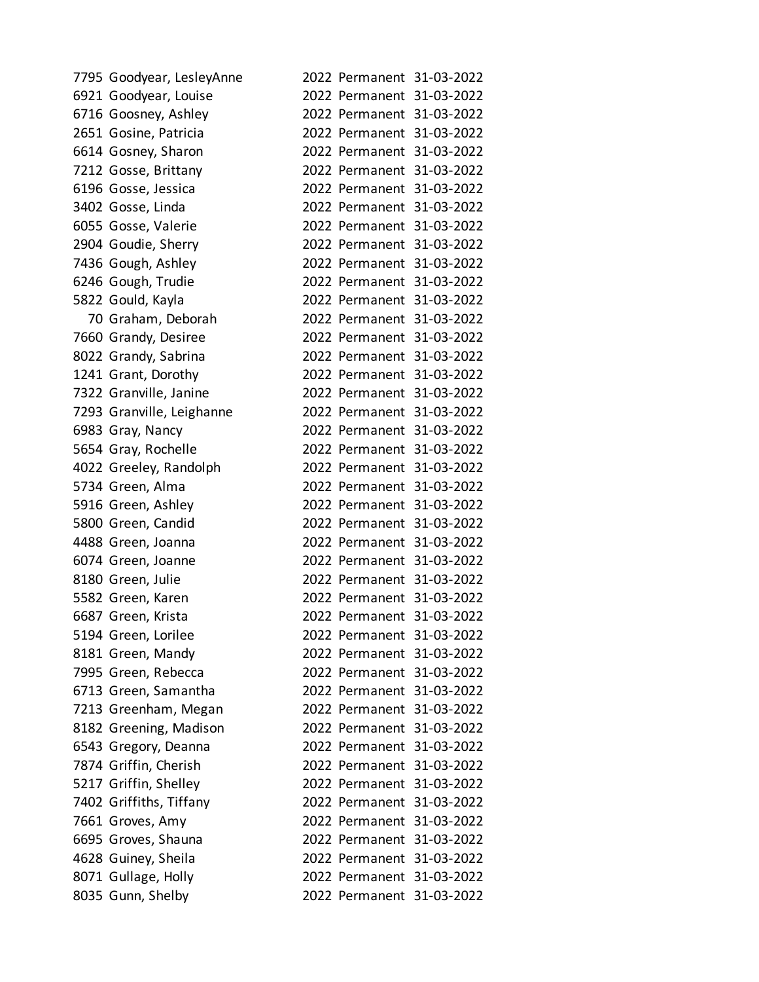| 7795 Goodyear, LesleyAnne |  | 2022 Permanent 31-03-2022 |
|---------------------------|--|---------------------------|
| 6921 Goodyear, Louise     |  | 2022 Permanent 31-03-2022 |
| 6716 Goosney, Ashley      |  | 2022 Permanent 31-03-2022 |
| 2651 Gosine, Patricia     |  | 2022 Permanent 31-03-2022 |
| 6614 Gosney, Sharon       |  | 2022 Permanent 31-03-2022 |
| 7212 Gosse, Brittany      |  | 2022 Permanent 31-03-2022 |
| 6196 Gosse, Jessica       |  | 2022 Permanent 31-03-2022 |
| 3402 Gosse, Linda         |  | 2022 Permanent 31-03-2022 |
| 6055 Gosse, Valerie       |  | 2022 Permanent 31-03-2022 |
| 2904 Goudie, Sherry       |  | 2022 Permanent 31-03-2022 |
| 7436 Gough, Ashley        |  | 2022 Permanent 31-03-2022 |
| 6246 Gough, Trudie        |  | 2022 Permanent 31-03-2022 |
| 5822 Gould, Kayla         |  | 2022 Permanent 31-03-2022 |
| 70 Graham, Deborah        |  | 2022 Permanent 31-03-2022 |
| 7660 Grandy, Desiree      |  | 2022 Permanent 31-03-2022 |
| 8022 Grandy, Sabrina      |  | 2022 Permanent 31-03-2022 |
| 1241 Grant, Dorothy       |  | 2022 Permanent 31-03-2022 |
| 7322 Granville, Janine    |  | 2022 Permanent 31-03-2022 |
| 7293 Granville, Leighanne |  | 2022 Permanent 31-03-2022 |
| 6983 Gray, Nancy          |  | 2022 Permanent 31-03-2022 |
| 5654 Gray, Rochelle       |  | 2022 Permanent 31-03-2022 |
| 4022 Greeley, Randolph    |  | 2022 Permanent 31-03-2022 |
| 5734 Green, Alma          |  | 2022 Permanent 31-03-2022 |
| 5916 Green, Ashley        |  | 2022 Permanent 31-03-2022 |
| 5800 Green, Candid        |  | 2022 Permanent 31-03-2022 |
| 4488 Green, Joanna        |  | 2022 Permanent 31-03-2022 |
| 6074 Green, Joanne        |  | 2022 Permanent 31-03-2022 |
| 8180 Green, Julie         |  | 2022 Permanent 31-03-2022 |
| 5582 Green, Karen         |  | 2022 Permanent 31-03-2022 |
| 6687 Green, Krista        |  | 2022 Permanent 31-03-2022 |
| 5194 Green, Lorilee       |  | 2022 Permanent 31-03-2022 |
| 8181 Green, Mandy         |  | 2022 Permanent 31-03-2022 |
| 7995 Green, Rebecca       |  | 2022 Permanent 31-03-2022 |
| 6713 Green, Samantha      |  | 2022 Permanent 31-03-2022 |
| 7213 Greenham, Megan      |  | 2022 Permanent 31-03-2022 |
| 8182 Greening, Madison    |  | 2022 Permanent 31-03-2022 |
| 6543 Gregory, Deanna      |  | 2022 Permanent 31-03-2022 |
| 7874 Griffin, Cherish     |  | 2022 Permanent 31-03-2022 |
| 5217 Griffin, Shelley     |  | 2022 Permanent 31-03-2022 |
| 7402 Griffiths, Tiffany   |  | 2022 Permanent 31-03-2022 |
| 7661 Groves, Amy          |  | 2022 Permanent 31-03-2022 |
| 6695 Groves, Shauna       |  | 2022 Permanent 31-03-2022 |
| 4628 Guiney, Sheila       |  | 2022 Permanent 31-03-2022 |
| 8071 Gullage, Holly       |  | 2022 Permanent 31-03-2022 |
| 8035 Gunn, Shelby         |  | 2022 Permanent 31-03-2022 |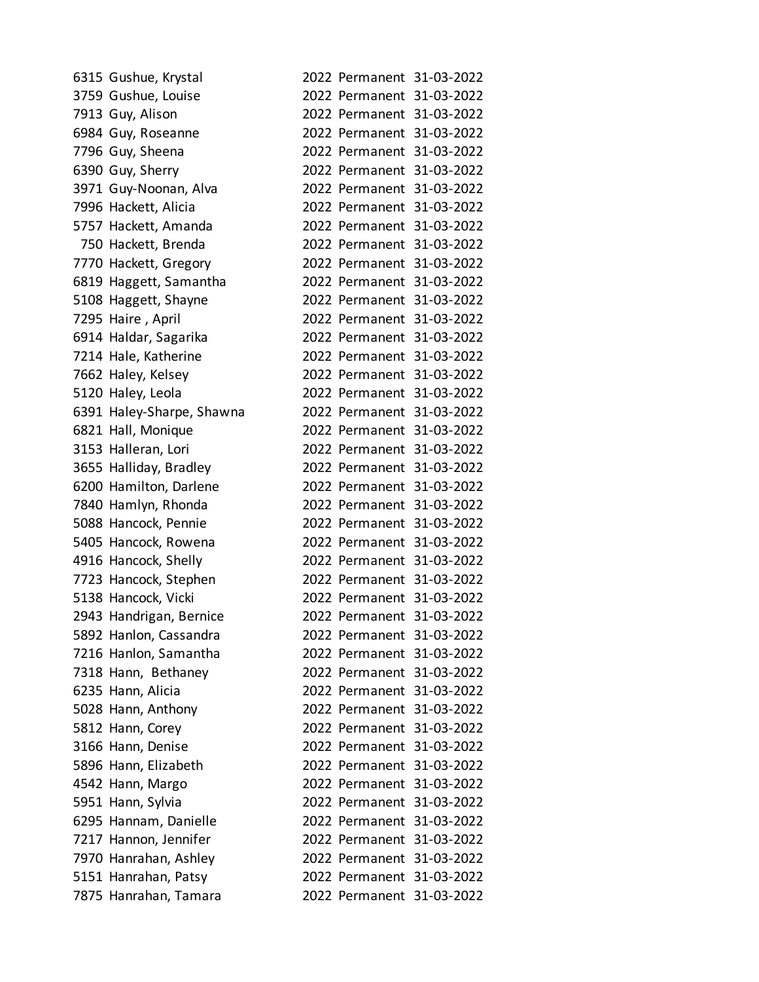| 6315 Gushue, Krystal      |                           | 2022 Permanent 31-03-2022 |
|---------------------------|---------------------------|---------------------------|
| 3759 Gushue, Louise       |                           | 2022 Permanent 31-03-2022 |
| 7913 Guy, Alison          |                           | 2022 Permanent 31-03-2022 |
| 6984 Guy, Roseanne        |                           | 2022 Permanent 31-03-2022 |
| 7796 Guy, Sheena          |                           | 2022 Permanent 31-03-2022 |
| 6390 Guy, Sherry          |                           | 2022 Permanent 31-03-2022 |
| 3971 Guy-Noonan, Alva     |                           | 2022 Permanent 31-03-2022 |
| 7996 Hackett, Alicia      |                           | 2022 Permanent 31-03-2022 |
| 5757 Hackett, Amanda      |                           | 2022 Permanent 31-03-2022 |
| 750 Hackett, Brenda       |                           | 2022 Permanent 31-03-2022 |
| 7770 Hackett, Gregory     |                           | 2022 Permanent 31-03-2022 |
| 6819 Haggett, Samantha    |                           | 2022 Permanent 31-03-2022 |
| 5108 Haggett, Shayne      |                           | 2022 Permanent 31-03-2022 |
| 7295 Haire, April         |                           | 2022 Permanent 31-03-2022 |
| 6914 Haldar, Sagarika     |                           | 2022 Permanent 31-03-2022 |
| 7214 Hale, Katherine      |                           | 2022 Permanent 31-03-2022 |
| 7662 Haley, Kelsey        |                           | 2022 Permanent 31-03-2022 |
| 5120 Haley, Leola         |                           | 2022 Permanent 31-03-2022 |
| 6391 Haley-Sharpe, Shawna |                           | 2022 Permanent 31-03-2022 |
| 6821 Hall, Monique        |                           | 2022 Permanent 31-03-2022 |
| 3153 Halleran, Lori       |                           | 2022 Permanent 31-03-2022 |
| 3655 Halliday, Bradley    |                           | 2022 Permanent 31-03-2022 |
| 6200 Hamilton, Darlene    |                           | 2022 Permanent 31-03-2022 |
| 7840 Hamlyn, Rhonda       |                           | 2022 Permanent 31-03-2022 |
| 5088 Hancock, Pennie      |                           | 2022 Permanent 31-03-2022 |
| 5405 Hancock, Rowena      |                           | 2022 Permanent 31-03-2022 |
| 4916 Hancock, Shelly      |                           | 2022 Permanent 31-03-2022 |
| 7723 Hancock, Stephen     |                           | 2022 Permanent 31-03-2022 |
| 5138 Hancock, Vicki       |                           | 2022 Permanent 31-03-2022 |
| 2943 Handrigan, Bernice   |                           | 2022 Permanent 31-03-2022 |
| 5892 Hanlon, Cassandra    | 2022 Permanent 31-03-2022 |                           |
| 7216 Hanlon, Samantha     |                           | 2022 Permanent 31-03-2022 |
| 7318 Hann, Bethaney       |                           | 2022 Permanent 31-03-2022 |
| 6235 Hann, Alicia         | 2022 Permanent 31-03-2022 |                           |
| 5028 Hann, Anthony        |                           | 2022 Permanent 31-03-2022 |
| 5812 Hann, Corey          |                           | 2022 Permanent 31-03-2022 |
| 3166 Hann, Denise         |                           | 2022 Permanent 31-03-2022 |
| 5896 Hann, Elizabeth      | 2022 Permanent 31-03-2022 |                           |
| 4542 Hann, Margo          |                           | 2022 Permanent 31-03-2022 |
| 5951 Hann, Sylvia         |                           | 2022 Permanent 31-03-2022 |
| 6295 Hannam, Danielle     |                           | 2022 Permanent 31-03-2022 |
| 7217 Hannon, Jennifer     | 2022 Permanent 31-03-2022 |                           |
| 7970 Hanrahan, Ashley     |                           | 2022 Permanent 31-03-2022 |
| 5151 Hanrahan, Patsy      |                           | 2022 Permanent 31-03-2022 |
| 7875 Hanrahan, Tamara     |                           | 2022 Permanent 31-03-2022 |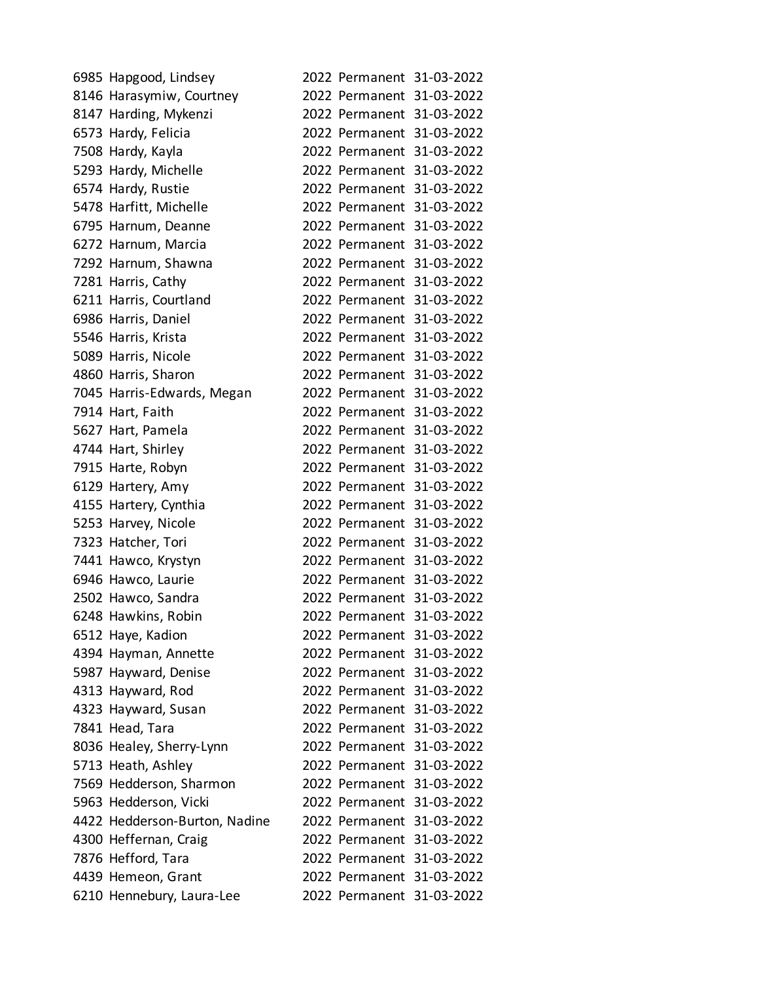| 6985 Hapgood, Lindsey         |  | 2022 Permanent 31-03-2022 |
|-------------------------------|--|---------------------------|
| 8146 Harasymiw, Courtney      |  | 2022 Permanent 31-03-2022 |
| 8147 Harding, Mykenzi         |  | 2022 Permanent 31-03-2022 |
| 6573 Hardy, Felicia           |  | 2022 Permanent 31-03-2022 |
| 7508 Hardy, Kayla             |  | 2022 Permanent 31-03-2022 |
| 5293 Hardy, Michelle          |  | 2022 Permanent 31-03-2022 |
| 6574 Hardy, Rustie            |  | 2022 Permanent 31-03-2022 |
| 5478 Harfitt, Michelle        |  | 2022 Permanent 31-03-2022 |
| 6795 Harnum, Deanne           |  | 2022 Permanent 31-03-2022 |
| 6272 Harnum, Marcia           |  | 2022 Permanent 31-03-2022 |
| 7292 Harnum, Shawna           |  | 2022 Permanent 31-03-2022 |
| 7281 Harris, Cathy            |  | 2022 Permanent 31-03-2022 |
| 6211 Harris, Courtland        |  | 2022 Permanent 31-03-2022 |
| 6986 Harris, Daniel           |  | 2022 Permanent 31-03-2022 |
| 5546 Harris, Krista           |  | 2022 Permanent 31-03-2022 |
| 5089 Harris, Nicole           |  | 2022 Permanent 31-03-2022 |
| 4860 Harris, Sharon           |  | 2022 Permanent 31-03-2022 |
| 7045 Harris-Edwards, Megan    |  | 2022 Permanent 31-03-2022 |
| 7914 Hart, Faith              |  | 2022 Permanent 31-03-2022 |
| 5627 Hart, Pamela             |  | 2022 Permanent 31-03-2022 |
| 4744 Hart, Shirley            |  | 2022 Permanent 31-03-2022 |
| 7915 Harte, Robyn             |  | 2022 Permanent 31-03-2022 |
| 6129 Hartery, Amy             |  | 2022 Permanent 31-03-2022 |
| 4155 Hartery, Cynthia         |  | 2022 Permanent 31-03-2022 |
| 5253 Harvey, Nicole           |  | 2022 Permanent 31-03-2022 |
| 7323 Hatcher, Tori            |  | 2022 Permanent 31-03-2022 |
| 7441 Hawco, Krystyn           |  | 2022 Permanent 31-03-2022 |
| 6946 Hawco, Laurie            |  | 2022 Permanent 31-03-2022 |
| 2502 Hawco, Sandra            |  | 2022 Permanent 31-03-2022 |
| 6248 Hawkins, Robin           |  | 2022 Permanent 31-03-2022 |
| 6512 Haye, Kadion             |  | 2022 Permanent 31-03-2022 |
| 4394 Hayman, Annette          |  | 2022 Permanent 31-03-2022 |
| 5987 Hayward, Denise          |  | 2022 Permanent 31-03-2022 |
| 4313 Hayward, Rod             |  | 2022 Permanent 31-03-2022 |
| 4323 Hayward, Susan           |  | 2022 Permanent 31-03-2022 |
| 7841 Head, Tara               |  | 2022 Permanent 31-03-2022 |
| 8036 Healey, Sherry-Lynn      |  | 2022 Permanent 31-03-2022 |
| 5713 Heath, Ashley            |  | 2022 Permanent 31-03-2022 |
| 7569 Hedderson, Sharmon       |  | 2022 Permanent 31-03-2022 |
| 5963 Hedderson, Vicki         |  | 2022 Permanent 31-03-2022 |
| 4422 Hedderson-Burton, Nadine |  | 2022 Permanent 31-03-2022 |
| 4300 Heffernan, Craig         |  | 2022 Permanent 31-03-2022 |
| 7876 Hefford, Tara            |  | 2022 Permanent 31-03-2022 |
| 4439 Hemeon, Grant            |  | 2022 Permanent 31-03-2022 |
| 6210 Hennebury, Laura-Lee     |  | 2022 Permanent 31-03-2022 |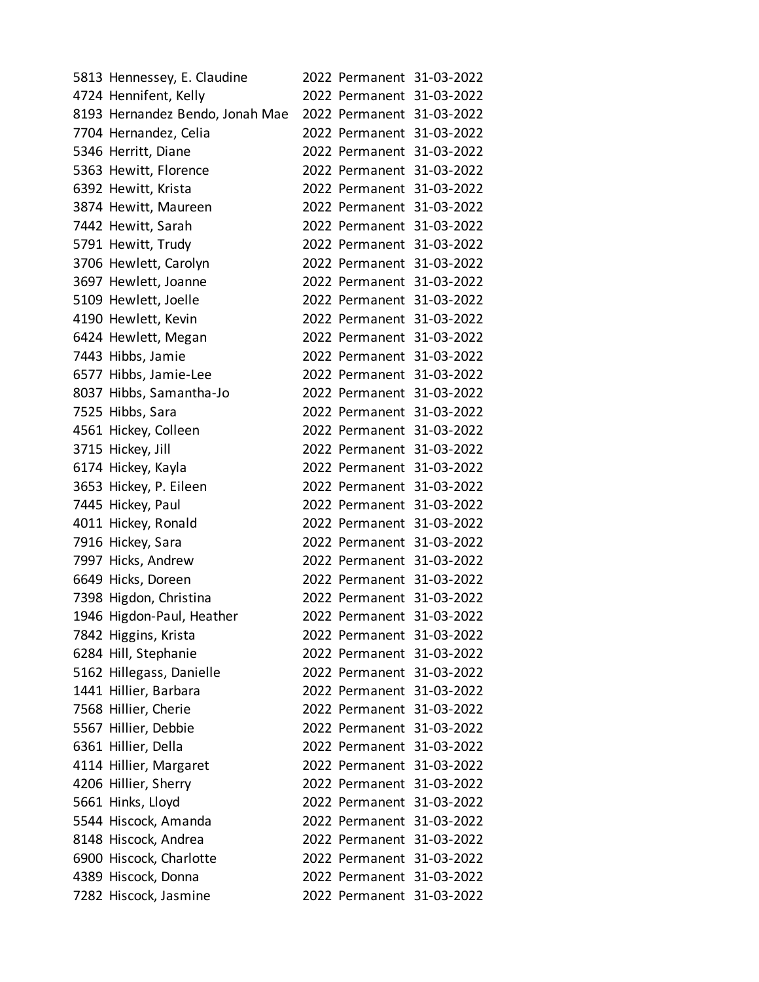| 5813 Hennessey, E. Claudine     |  | 2022 Permanent 31-03-2022 |
|---------------------------------|--|---------------------------|
| 4724 Hennifent, Kelly           |  | 2022 Permanent 31-03-2022 |
| 8193 Hernandez Bendo, Jonah Mae |  | 2022 Permanent 31-03-2022 |
| 7704 Hernandez, Celia           |  | 2022 Permanent 31-03-2022 |
| 5346 Herritt, Diane             |  | 2022 Permanent 31-03-2022 |
| 5363 Hewitt, Florence           |  | 2022 Permanent 31-03-2022 |
| 6392 Hewitt, Krista             |  | 2022 Permanent 31-03-2022 |
| 3874 Hewitt, Maureen            |  | 2022 Permanent 31-03-2022 |
| 7442 Hewitt, Sarah              |  | 2022 Permanent 31-03-2022 |
| 5791 Hewitt, Trudy              |  | 2022 Permanent 31-03-2022 |
| 3706 Hewlett, Carolyn           |  | 2022 Permanent 31-03-2022 |
| 3697 Hewlett, Joanne            |  | 2022 Permanent 31-03-2022 |
| 5109 Hewlett, Joelle            |  | 2022 Permanent 31-03-2022 |
| 4190 Hewlett, Kevin             |  | 2022 Permanent 31-03-2022 |
| 6424 Hewlett, Megan             |  | 2022 Permanent 31-03-2022 |
| 7443 Hibbs, Jamie               |  | 2022 Permanent 31-03-2022 |
| 6577 Hibbs, Jamie-Lee           |  | 2022 Permanent 31-03-2022 |
| 8037 Hibbs, Samantha-Jo         |  | 2022 Permanent 31-03-2022 |
| 7525 Hibbs, Sara                |  | 2022 Permanent 31-03-2022 |
| 4561 Hickey, Colleen            |  | 2022 Permanent 31-03-2022 |
| 3715 Hickey, Jill               |  | 2022 Permanent 31-03-2022 |
| 6174 Hickey, Kayla              |  | 2022 Permanent 31-03-2022 |
| 3653 Hickey, P. Eileen          |  | 2022 Permanent 31-03-2022 |
| 7445 Hickey, Paul               |  | 2022 Permanent 31-03-2022 |
| 4011 Hickey, Ronald             |  | 2022 Permanent 31-03-2022 |
| 7916 Hickey, Sara               |  | 2022 Permanent 31-03-2022 |
| 7997 Hicks, Andrew              |  | 2022 Permanent 31-03-2022 |
| 6649 Hicks, Doreen              |  | 2022 Permanent 31-03-2022 |
| 7398 Higdon, Christina          |  | 2022 Permanent 31-03-2022 |
| 1946 Higdon-Paul, Heather       |  | 2022 Permanent 31-03-2022 |
| 7842 Higgins, Krista            |  | 2022 Permanent 31-03-2022 |
| 6284 Hill, Stephanie            |  | 2022 Permanent 31-03-2022 |
| 5162 Hillegass, Danielle        |  | 2022 Permanent 31-03-2022 |
| 1441 Hillier, Barbara           |  | 2022 Permanent 31-03-2022 |
| 7568 Hillier, Cherie            |  | 2022 Permanent 31-03-2022 |
| 5567 Hillier, Debbie            |  | 2022 Permanent 31-03-2022 |
| 6361 Hillier, Della             |  | 2022 Permanent 31-03-2022 |
| 4114 Hillier, Margaret          |  | 2022 Permanent 31-03-2022 |
| 4206 Hillier, Sherry            |  | 2022 Permanent 31-03-2022 |
| 5661 Hinks, Lloyd               |  | 2022 Permanent 31-03-2022 |
| 5544 Hiscock, Amanda            |  | 2022 Permanent 31-03-2022 |
| 8148 Hiscock, Andrea            |  | 2022 Permanent 31-03-2022 |
| 6900 Hiscock, Charlotte         |  | 2022 Permanent 31-03-2022 |
| 4389 Hiscock, Donna             |  | 2022 Permanent 31-03-2022 |
| 7282 Hiscock, Jasmine           |  | 2022 Permanent 31-03-2022 |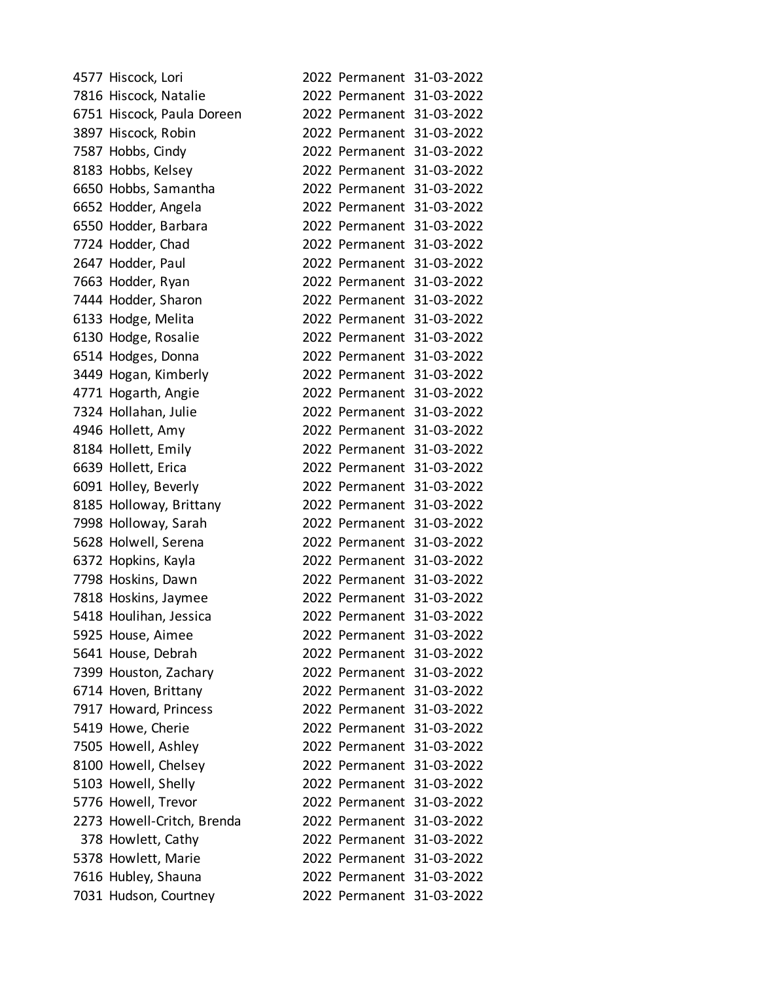| 4577 Hiscock, Lori         |                           | 2022 Permanent 31-03-2022 |
|----------------------------|---------------------------|---------------------------|
| 7816 Hiscock, Natalie      |                           | 2022 Permanent 31-03-2022 |
| 6751 Hiscock, Paula Doreen |                           | 2022 Permanent 31-03-2022 |
| 3897 Hiscock, Robin        |                           | 2022 Permanent 31-03-2022 |
| 7587 Hobbs, Cindy          |                           | 2022 Permanent 31-03-2022 |
| 8183 Hobbs, Kelsey         |                           | 2022 Permanent 31-03-2022 |
| 6650 Hobbs, Samantha       |                           | 2022 Permanent 31-03-2022 |
| 6652 Hodder, Angela        |                           | 2022 Permanent 31-03-2022 |
| 6550 Hodder, Barbara       |                           | 2022 Permanent 31-03-2022 |
| 7724 Hodder, Chad          |                           | 2022 Permanent 31-03-2022 |
| 2647 Hodder, Paul          |                           | 2022 Permanent 31-03-2022 |
| 7663 Hodder, Ryan          |                           | 2022 Permanent 31-03-2022 |
| 7444 Hodder, Sharon        |                           | 2022 Permanent 31-03-2022 |
| 6133 Hodge, Melita         |                           | 2022 Permanent 31-03-2022 |
| 6130 Hodge, Rosalie        |                           | 2022 Permanent 31-03-2022 |
| 6514 Hodges, Donna         |                           | 2022 Permanent 31-03-2022 |
| 3449 Hogan, Kimberly       |                           | 2022 Permanent 31-03-2022 |
| 4771 Hogarth, Angie        |                           | 2022 Permanent 31-03-2022 |
| 7324 Hollahan, Julie       |                           | 2022 Permanent 31-03-2022 |
| 4946 Hollett, Amy          |                           | 2022 Permanent 31-03-2022 |
| 8184 Hollett, Emily        |                           | 2022 Permanent 31-03-2022 |
| 6639 Hollett, Erica        |                           | 2022 Permanent 31-03-2022 |
| 6091 Holley, Beverly       |                           | 2022 Permanent 31-03-2022 |
| 8185 Holloway, Brittany    |                           | 2022 Permanent 31-03-2022 |
| 7998 Holloway, Sarah       |                           | 2022 Permanent 31-03-2022 |
| 5628 Holwell, Serena       |                           | 2022 Permanent 31-03-2022 |
| 6372 Hopkins, Kayla        |                           | 2022 Permanent 31-03-2022 |
| 7798 Hoskins, Dawn         |                           | 2022 Permanent 31-03-2022 |
| 7818 Hoskins, Jaymee       |                           | 2022 Permanent 31-03-2022 |
| 5418 Houlihan, Jessica     |                           | 2022 Permanent 31-03-2022 |
| 5925 House, Aimee          | 2022 Permanent 31-03-2022 |                           |
| 5641 House, Debrah         |                           | 2022 Permanent 31-03-2022 |
| 7399 Houston, Zachary      |                           | 2022 Permanent 31-03-2022 |
| 6714 Hoven, Brittany       | 2022 Permanent 31-03-2022 |                           |
| 7917 Howard, Princess      | 2022 Permanent 31-03-2022 |                           |
| 5419 Howe, Cherie          |                           | 2022 Permanent 31-03-2022 |
| 7505 Howell, Ashley        | 2022 Permanent 31-03-2022 |                           |
| 8100 Howell, Chelsey       | 2022 Permanent 31-03-2022 |                           |
| 5103 Howell, Shelly        | 2022 Permanent 31-03-2022 |                           |
| 5776 Howell, Trevor        | 2022 Permanent 31-03-2022 |                           |
| 2273 Howell-Critch, Brenda | 2022 Permanent 31-03-2022 |                           |
| 378 Howlett, Cathy         | 2022 Permanent 31-03-2022 |                           |
| 5378 Howlett, Marie        |                           | 2022 Permanent 31-03-2022 |
| 7616 Hubley, Shauna        |                           | 2022 Permanent 31-03-2022 |
| 7031 Hudson, Courtney      | 2022 Permanent 31-03-2022 |                           |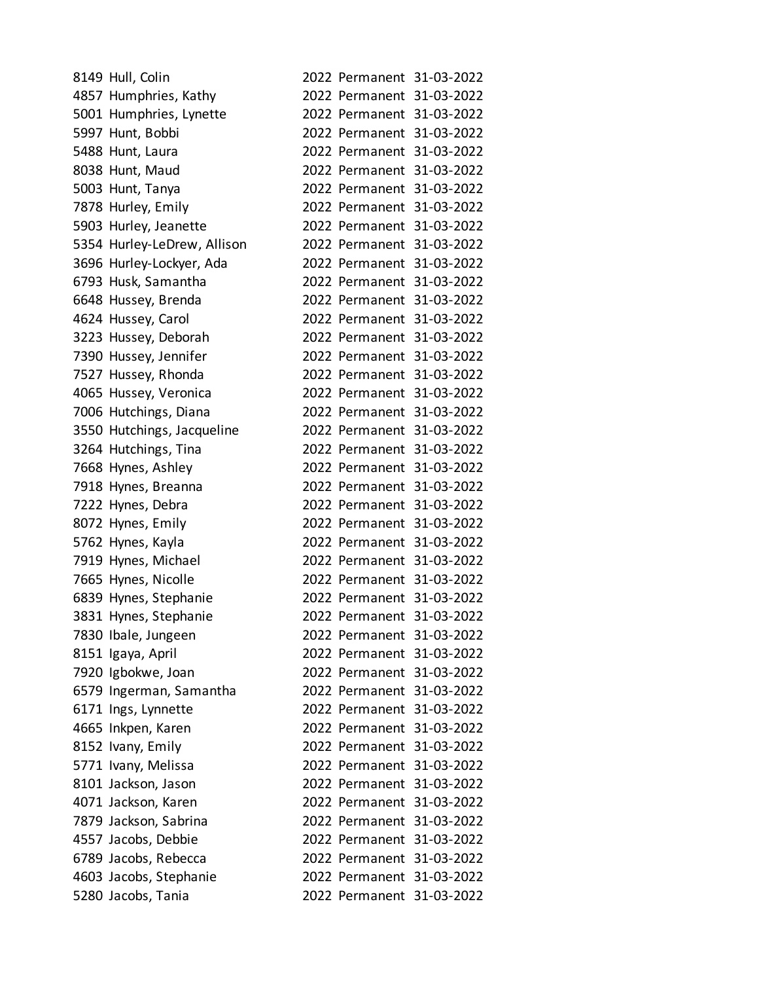| 8149 Hull, Colin            |  | 2022 Permanent 31-03-2022 |
|-----------------------------|--|---------------------------|
| 4857 Humphries, Kathy       |  | 2022 Permanent 31-03-2022 |
| 5001 Humphries, Lynette     |  | 2022 Permanent 31-03-2022 |
| 5997 Hunt, Bobbi            |  | 2022 Permanent 31-03-2022 |
| 5488 Hunt, Laura            |  | 2022 Permanent 31-03-2022 |
| 8038 Hunt, Maud             |  | 2022 Permanent 31-03-2022 |
| 5003 Hunt, Tanya            |  | 2022 Permanent 31-03-2022 |
| 7878 Hurley, Emily          |  | 2022 Permanent 31-03-2022 |
| 5903 Hurley, Jeanette       |  | 2022 Permanent 31-03-2022 |
| 5354 Hurley-LeDrew, Allison |  | 2022 Permanent 31-03-2022 |
| 3696 Hurley-Lockyer, Ada    |  | 2022 Permanent 31-03-2022 |
| 6793 Husk, Samantha         |  | 2022 Permanent 31-03-2022 |
| 6648 Hussey, Brenda         |  | 2022 Permanent 31-03-2022 |
| 4624 Hussey, Carol          |  | 2022 Permanent 31-03-2022 |
| 3223 Hussey, Deborah        |  | 2022 Permanent 31-03-2022 |
| 7390 Hussey, Jennifer       |  | 2022 Permanent 31-03-2022 |
| 7527 Hussey, Rhonda         |  | 2022 Permanent 31-03-2022 |
| 4065 Hussey, Veronica       |  | 2022 Permanent 31-03-2022 |
| 7006 Hutchings, Diana       |  | 2022 Permanent 31-03-2022 |
| 3550 Hutchings, Jacqueline  |  | 2022 Permanent 31-03-2022 |
| 3264 Hutchings, Tina        |  | 2022 Permanent 31-03-2022 |
| 7668 Hynes, Ashley          |  | 2022 Permanent 31-03-2022 |
| 7918 Hynes, Breanna         |  | 2022 Permanent 31-03-2022 |
| 7222 Hynes, Debra           |  | 2022 Permanent 31-03-2022 |
| 8072 Hynes, Emily           |  | 2022 Permanent 31-03-2022 |
| 5762 Hynes, Kayla           |  | 2022 Permanent 31-03-2022 |
| 7919 Hynes, Michael         |  | 2022 Permanent 31-03-2022 |
| 7665 Hynes, Nicolle         |  | 2022 Permanent 31-03-2022 |
| 6839 Hynes, Stephanie       |  | 2022 Permanent 31-03-2022 |
| 3831 Hynes, Stephanie       |  | 2022 Permanent 31-03-2022 |
| 7830 Ibale, Jungeen         |  | 2022 Permanent 31-03-2022 |
| 8151 Igaya, April           |  | 2022 Permanent 31-03-2022 |
| 7920 Igbokwe, Joan          |  | 2022 Permanent 31-03-2022 |
| 6579 Ingerman, Samantha     |  | 2022 Permanent 31-03-2022 |
| 6171 Ings, Lynnette         |  | 2022 Permanent 31-03-2022 |
| 4665 Inkpen, Karen          |  | 2022 Permanent 31-03-2022 |
| 8152 Ivany, Emily           |  | 2022 Permanent 31-03-2022 |
| 5771 Ivany, Melissa         |  | 2022 Permanent 31-03-2022 |
| 8101 Jackson, Jason         |  | 2022 Permanent 31-03-2022 |
| 4071 Jackson, Karen         |  | 2022 Permanent 31-03-2022 |
| 7879 Jackson, Sabrina       |  | 2022 Permanent 31-03-2022 |
| 4557 Jacobs, Debbie         |  | 2022 Permanent 31-03-2022 |
| 6789 Jacobs, Rebecca        |  | 2022 Permanent 31-03-2022 |
| 4603 Jacobs, Stephanie      |  | 2022 Permanent 31-03-2022 |
| 5280 Jacobs, Tania          |  | 2022 Permanent 31-03-2022 |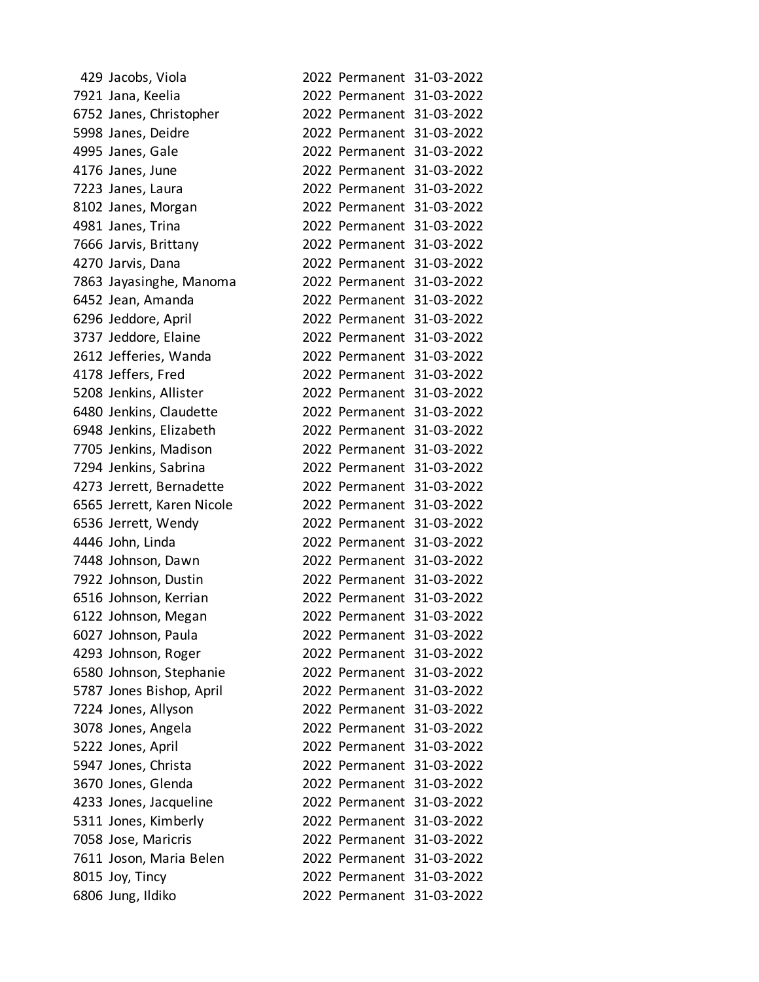| 429 Jacobs, Viola          |                           | 2022 Permanent 31-03-2022 |
|----------------------------|---------------------------|---------------------------|
| 7921 Jana, Keelia          |                           | 2022 Permanent 31-03-2022 |
| 6752 Janes, Christopher    |                           | 2022 Permanent 31-03-2022 |
| 5998 Janes, Deidre         |                           | 2022 Permanent 31-03-2022 |
| 4995 Janes, Gale           |                           | 2022 Permanent 31-03-2022 |
| 4176 Janes, June           |                           | 2022 Permanent 31-03-2022 |
| 7223 Janes, Laura          |                           | 2022 Permanent 31-03-2022 |
| 8102 Janes, Morgan         |                           | 2022 Permanent 31-03-2022 |
| 4981 Janes, Trina          |                           | 2022 Permanent 31-03-2022 |
| 7666 Jarvis, Brittany      |                           | 2022 Permanent 31-03-2022 |
| 4270 Jarvis, Dana          |                           | 2022 Permanent 31-03-2022 |
| 7863 Jayasinghe, Manoma    |                           | 2022 Permanent 31-03-2022 |
| 6452 Jean, Amanda          |                           | 2022 Permanent 31-03-2022 |
| 6296 Jeddore, April        |                           | 2022 Permanent 31-03-2022 |
| 3737 Jeddore, Elaine       |                           | 2022 Permanent 31-03-2022 |
| 2612 Jefferies, Wanda      |                           | 2022 Permanent 31-03-2022 |
| 4178 Jeffers, Fred         |                           | 2022 Permanent 31-03-2022 |
| 5208 Jenkins, Allister     |                           | 2022 Permanent 31-03-2022 |
| 6480 Jenkins, Claudette    |                           | 2022 Permanent 31-03-2022 |
| 6948 Jenkins, Elizabeth    |                           | 2022 Permanent 31-03-2022 |
| 7705 Jenkins, Madison      |                           | 2022 Permanent 31-03-2022 |
| 7294 Jenkins, Sabrina      |                           | 2022 Permanent 31-03-2022 |
| 4273 Jerrett, Bernadette   |                           | 2022 Permanent 31-03-2022 |
| 6565 Jerrett, Karen Nicole |                           | 2022 Permanent 31-03-2022 |
| 6536 Jerrett, Wendy        |                           | 2022 Permanent 31-03-2022 |
| 4446 John, Linda           |                           | 2022 Permanent 31-03-2022 |
| 7448 Johnson, Dawn         |                           | 2022 Permanent 31-03-2022 |
| 7922 Johnson, Dustin       |                           | 2022 Permanent 31-03-2022 |
| 6516 Johnson, Kerrian      |                           | 2022 Permanent 31-03-2022 |
| 6122 Johnson, Megan        |                           | 2022 Permanent 31-03-2022 |
| 6027 Johnson, Paula        |                           | 2022 Permanent 31-03-2022 |
| 4293 Johnson, Roger        |                           | 2022 Permanent 31-03-2022 |
| 6580 Johnson, Stephanie    |                           | 2022 Permanent 31-03-2022 |
| 5787 Jones Bishop, April   |                           | 2022 Permanent 31-03-2022 |
| 7224 Jones, Allyson        |                           | 2022 Permanent 31-03-2022 |
| 3078 Jones, Angela         |                           | 2022 Permanent 31-03-2022 |
| 5222 Jones, April          |                           | 2022 Permanent 31-03-2022 |
| 5947 Jones, Christa        |                           | 2022 Permanent 31-03-2022 |
| 3670 Jones, Glenda         |                           | 2022 Permanent 31-03-2022 |
| 4233 Jones, Jacqueline     |                           | 2022 Permanent 31-03-2022 |
| 5311 Jones, Kimberly       |                           | 2022 Permanent 31-03-2022 |
| 7058 Jose, Maricris        | 2022 Permanent 31-03-2022 |                           |
| 7611 Joson, Maria Belen    |                           | 2022 Permanent 31-03-2022 |
| 8015 Joy, Tincy            |                           | 2022 Permanent 31-03-2022 |
| 6806 Jung, Ildiko          |                           | 2022 Permanent 31-03-2022 |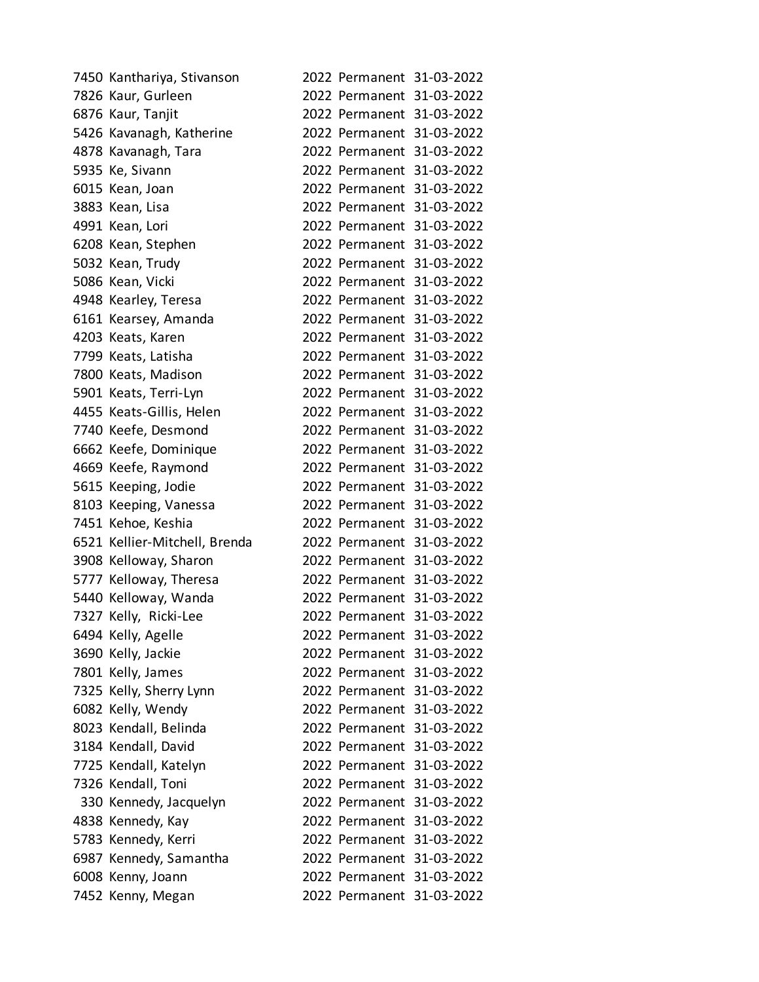| 7450 Kanthariya, Stivanson    |  | 2022 Permanent 31-03-2022 |
|-------------------------------|--|---------------------------|
| 7826 Kaur, Gurleen            |  | 2022 Permanent 31-03-2022 |
| 6876 Kaur, Tanjit             |  | 2022 Permanent 31-03-2022 |
| 5426 Kavanagh, Katherine      |  | 2022 Permanent 31-03-2022 |
| 4878 Kavanagh, Tara           |  | 2022 Permanent 31-03-2022 |
| 5935 Ke, Sivann               |  | 2022 Permanent 31-03-2022 |
| 6015 Kean, Joan               |  | 2022 Permanent 31-03-2022 |
| 3883 Kean, Lisa               |  | 2022 Permanent 31-03-2022 |
| 4991 Kean, Lori               |  | 2022 Permanent 31-03-2022 |
| 6208 Kean, Stephen            |  | 2022 Permanent 31-03-2022 |
| 5032 Kean, Trudy              |  | 2022 Permanent 31-03-2022 |
| 5086 Kean, Vicki              |  | 2022 Permanent 31-03-2022 |
| 4948 Kearley, Teresa          |  | 2022 Permanent 31-03-2022 |
| 6161 Kearsey, Amanda          |  | 2022 Permanent 31-03-2022 |
| 4203 Keats, Karen             |  | 2022 Permanent 31-03-2022 |
| 7799 Keats, Latisha           |  | 2022 Permanent 31-03-2022 |
| 7800 Keats, Madison           |  | 2022 Permanent 31-03-2022 |
| 5901 Keats, Terri-Lyn         |  | 2022 Permanent 31-03-2022 |
| 4455 Keats-Gillis, Helen      |  | 2022 Permanent 31-03-2022 |
| 7740 Keefe, Desmond           |  | 2022 Permanent 31-03-2022 |
| 6662 Keefe, Dominique         |  | 2022 Permanent 31-03-2022 |
| 4669 Keefe, Raymond           |  | 2022 Permanent 31-03-2022 |
| 5615 Keeping, Jodie           |  | 2022 Permanent 31-03-2022 |
| 8103 Keeping, Vanessa         |  | 2022 Permanent 31-03-2022 |
| 7451 Kehoe, Keshia            |  | 2022 Permanent 31-03-2022 |
| 6521 Kellier-Mitchell, Brenda |  | 2022 Permanent 31-03-2022 |
| 3908 Kelloway, Sharon         |  | 2022 Permanent 31-03-2022 |
| 5777 Kelloway, Theresa        |  | 2022 Permanent 31-03-2022 |
| 5440 Kelloway, Wanda          |  | 2022 Permanent 31-03-2022 |
| 7327 Kelly, Ricki-Lee         |  | 2022 Permanent 31-03-2022 |
| 6494 Kelly, Agelle            |  | 2022 Permanent 31-03-2022 |
| 3690 Kelly, Jackie            |  | 2022 Permanent 31-03-2022 |
| 7801 Kelly, James             |  | 2022 Permanent 31-03-2022 |
| 7325 Kelly, Sherry Lynn       |  | 2022 Permanent 31-03-2022 |
| 6082 Kelly, Wendy             |  | 2022 Permanent 31-03-2022 |
| 8023 Kendall, Belinda         |  | 2022 Permanent 31-03-2022 |
| 3184 Kendall, David           |  | 2022 Permanent 31-03-2022 |
| 7725 Kendall, Katelyn         |  | 2022 Permanent 31-03-2022 |
| 7326 Kendall, Toni            |  | 2022 Permanent 31-03-2022 |
| 330 Kennedy, Jacquelyn        |  | 2022 Permanent 31-03-2022 |
| 4838 Kennedy, Kay             |  | 2022 Permanent 31-03-2022 |
| 5783 Kennedy, Kerri           |  | 2022 Permanent 31-03-2022 |
| 6987 Kennedy, Samantha        |  | 2022 Permanent 31-03-2022 |
| 6008 Kenny, Joann             |  | 2022 Permanent 31-03-2022 |
| 7452 Kenny, Megan             |  | 2022 Permanent 31-03-2022 |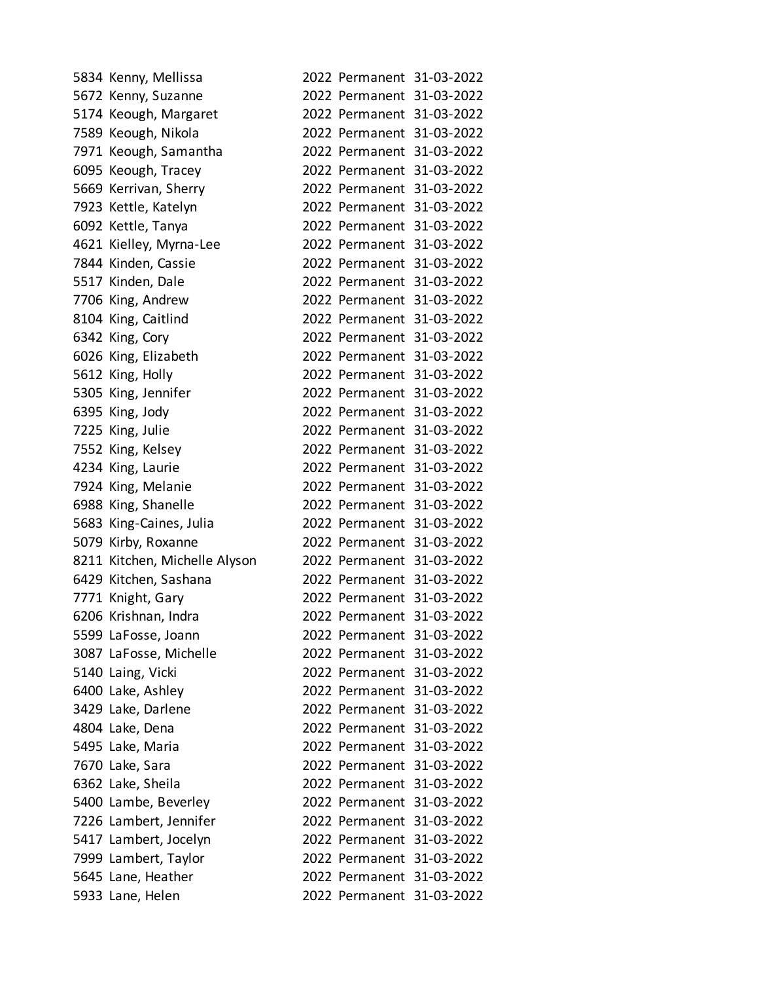| 5834 Kenny, Mellissa          | 2022 Permanent 31-03-2022 |
|-------------------------------|---------------------------|
| 5672 Kenny, Suzanne           | 2022 Permanent 31-03-2022 |
| 5174 Keough, Margaret         | 2022 Permanent 31-03-2022 |
| 7589 Keough, Nikola           | 2022 Permanent 31-03-2022 |
| 7971 Keough, Samantha         | 2022 Permanent 31-03-2022 |
| 6095 Keough, Tracey           | 2022 Permanent 31-03-2022 |
| 5669 Kerrivan, Sherry         | 2022 Permanent 31-03-2022 |
| 7923 Kettle, Katelyn          | 2022 Permanent 31-03-2022 |
| 6092 Kettle, Tanya            | 2022 Permanent 31-03-2022 |
| 4621 Kielley, Myrna-Lee       | 2022 Permanent 31-03-2022 |
| 7844 Kinden, Cassie           | 2022 Permanent 31-03-2022 |
| 5517 Kinden, Dale             | 2022 Permanent 31-03-2022 |
| 7706 King, Andrew             | 2022 Permanent 31-03-2022 |
| 8104 King, Caitlind           | 2022 Permanent 31-03-2022 |
| 6342 King, Cory               | 2022 Permanent 31-03-2022 |
| 6026 King, Elizabeth          | 2022 Permanent 31-03-2022 |
| 5612 King, Holly              | 2022 Permanent 31-03-2022 |
| 5305 King, Jennifer           | 2022 Permanent 31-03-2022 |
| 6395 King, Jody               | 2022 Permanent 31-03-2022 |
| 7225 King, Julie              | 2022 Permanent 31-03-2022 |
| 7552 King, Kelsey             | 2022 Permanent 31-03-2022 |
| 4234 King, Laurie             | 2022 Permanent 31-03-2022 |
| 7924 King, Melanie            | 2022 Permanent 31-03-2022 |
| 6988 King, Shanelle           | 2022 Permanent 31-03-2022 |
| 5683 King-Caines, Julia       | 2022 Permanent 31-03-2022 |
| 5079 Kirby, Roxanne           | 2022 Permanent 31-03-2022 |
| 8211 Kitchen, Michelle Alyson | 2022 Permanent 31-03-2022 |
| 6429 Kitchen, Sashana         | 2022 Permanent 31-03-2022 |
| 7771 Knight, Gary             | 2022 Permanent 31-03-2022 |
| 6206 Krishnan, Indra          | 2022 Permanent 31-03-2022 |
| 5599 LaFosse, Joann           | 2022 Permanent 31-03-2022 |
| 3087 LaFosse, Michelle        | 2022 Permanent 31-03-2022 |
| 5140 Laing, Vicki             | 2022 Permanent 31-03-2022 |
| 6400 Lake, Ashley             | 2022 Permanent 31-03-2022 |
| 3429 Lake, Darlene            | 2022 Permanent 31-03-2022 |
| 4804 Lake, Dena               | 2022 Permanent 31-03-2022 |
| 5495 Lake, Maria              | 2022 Permanent 31-03-2022 |
| 7670 Lake, Sara               | 2022 Permanent 31-03-2022 |
| 6362 Lake, Sheila             | 2022 Permanent 31-03-2022 |
| 5400 Lambe, Beverley          | 2022 Permanent 31-03-2022 |
| 7226 Lambert, Jennifer        | 2022 Permanent 31-03-2022 |
| 5417 Lambert, Jocelyn         | 2022 Permanent 31-03-2022 |
| 7999 Lambert, Taylor          | 2022 Permanent 31-03-2022 |
| 5645 Lane, Heather            | 2022 Permanent 31-03-2022 |
| 5933 Lane, Helen              | 2022 Permanent 31-03-2022 |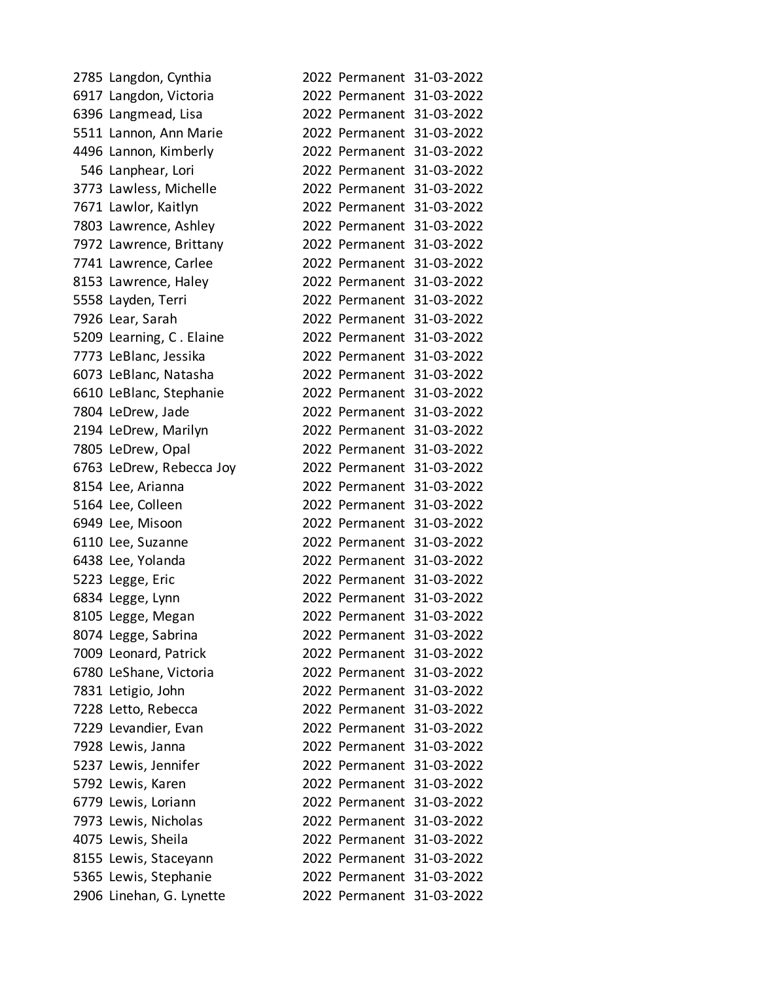| 2785 Langdon, Cynthia    |  | 2022 Permanent 31-03-2022 |
|--------------------------|--|---------------------------|
| 6917 Langdon, Victoria   |  | 2022 Permanent 31-03-2022 |
| 6396 Langmead, Lisa      |  | 2022 Permanent 31-03-2022 |
| 5511 Lannon, Ann Marie   |  | 2022 Permanent 31-03-2022 |
| 4496 Lannon, Kimberly    |  | 2022 Permanent 31-03-2022 |
| 546 Lanphear, Lori       |  | 2022 Permanent 31-03-2022 |
| 3773 Lawless, Michelle   |  | 2022 Permanent 31-03-2022 |
| 7671 Lawlor, Kaitlyn     |  | 2022 Permanent 31-03-2022 |
| 7803 Lawrence, Ashley    |  | 2022 Permanent 31-03-2022 |
| 7972 Lawrence, Brittany  |  | 2022 Permanent 31-03-2022 |
| 7741 Lawrence, Carlee    |  | 2022 Permanent 31-03-2022 |
| 8153 Lawrence, Haley     |  | 2022 Permanent 31-03-2022 |
| 5558 Layden, Terri       |  | 2022 Permanent 31-03-2022 |
| 7926 Lear, Sarah         |  | 2022 Permanent 31-03-2022 |
| 5209 Learning, C. Elaine |  | 2022 Permanent 31-03-2022 |
| 7773 LeBlanc, Jessika    |  | 2022 Permanent 31-03-2022 |
| 6073 LeBlanc, Natasha    |  | 2022 Permanent 31-03-2022 |
| 6610 LeBlanc, Stephanie  |  | 2022 Permanent 31-03-2022 |
| 7804 LeDrew, Jade        |  | 2022 Permanent 31-03-2022 |
| 2194 LeDrew, Marilyn     |  | 2022 Permanent 31-03-2022 |
| 7805 LeDrew, Opal        |  | 2022 Permanent 31-03-2022 |
| 6763 LeDrew, Rebecca Joy |  | 2022 Permanent 31-03-2022 |
| 8154 Lee, Arianna        |  | 2022 Permanent 31-03-2022 |
| 5164 Lee, Colleen        |  | 2022 Permanent 31-03-2022 |
| 6949 Lee, Misoon         |  | 2022 Permanent 31-03-2022 |
| 6110 Lee, Suzanne        |  | 2022 Permanent 31-03-2022 |
| 6438 Lee, Yolanda        |  | 2022 Permanent 31-03-2022 |
| 5223 Legge, Eric         |  | 2022 Permanent 31-03-2022 |
| 6834 Legge, Lynn         |  | 2022 Permanent 31-03-2022 |
| 8105 Legge, Megan        |  | 2022 Permanent 31-03-2022 |
| 8074 Legge, Sabrina      |  | 2022 Permanent 31-03-2022 |
| 7009 Leonard, Patrick    |  | 2022 Permanent 31-03-2022 |
| 6780 LeShane, Victoria   |  | 2022 Permanent 31-03-2022 |
| 7831 Letigio, John       |  | 2022 Permanent 31-03-2022 |
| 7228 Letto, Rebecca      |  | 2022 Permanent 31-03-2022 |
| 7229 Levandier, Evan     |  | 2022 Permanent 31-03-2022 |
| 7928 Lewis, Janna        |  | 2022 Permanent 31-03-2022 |
| 5237 Lewis, Jennifer     |  | 2022 Permanent 31-03-2022 |
| 5792 Lewis, Karen        |  | 2022 Permanent 31-03-2022 |
| 6779 Lewis, Loriann      |  | 2022 Permanent 31-03-2022 |
| 7973 Lewis, Nicholas     |  | 2022 Permanent 31-03-2022 |
| 4075 Lewis, Sheila       |  | 2022 Permanent 31-03-2022 |
| 8155 Lewis, Staceyann    |  | 2022 Permanent 31-03-2022 |
| 5365 Lewis, Stephanie    |  | 2022 Permanent 31-03-2022 |
| 2906 Linehan, G. Lynette |  | 2022 Permanent 31-03-2022 |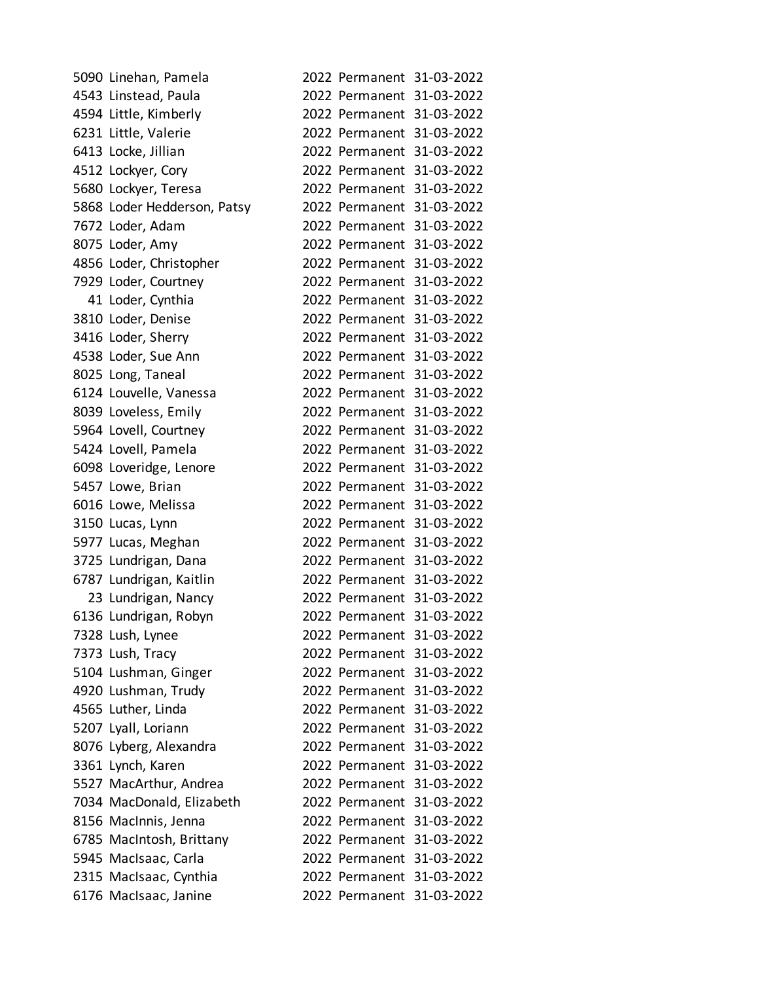| 5090 Linehan, Pamela        |  | 2022 Permanent 31-03-2022 |
|-----------------------------|--|---------------------------|
| 4543 Linstead, Paula        |  | 2022 Permanent 31-03-2022 |
| 4594 Little, Kimberly       |  | 2022 Permanent 31-03-2022 |
| 6231 Little, Valerie        |  | 2022 Permanent 31-03-2022 |
| 6413 Locke, Jillian         |  | 2022 Permanent 31-03-2022 |
| 4512 Lockyer, Cory          |  | 2022 Permanent 31-03-2022 |
| 5680 Lockyer, Teresa        |  | 2022 Permanent 31-03-2022 |
| 5868 Loder Hedderson, Patsy |  | 2022 Permanent 31-03-2022 |
| 7672 Loder, Adam            |  | 2022 Permanent 31-03-2022 |
| 8075 Loder, Amy             |  | 2022 Permanent 31-03-2022 |
| 4856 Loder, Christopher     |  | 2022 Permanent 31-03-2022 |
| 7929 Loder, Courtney        |  | 2022 Permanent 31-03-2022 |
| 41 Loder, Cynthia           |  | 2022 Permanent 31-03-2022 |
| 3810 Loder, Denise          |  | 2022 Permanent 31-03-2022 |
| 3416 Loder, Sherry          |  | 2022 Permanent 31-03-2022 |
| 4538 Loder, Sue Ann         |  | 2022 Permanent 31-03-2022 |
| 8025 Long, Taneal           |  | 2022 Permanent 31-03-2022 |
| 6124 Louvelle, Vanessa      |  | 2022 Permanent 31-03-2022 |
| 8039 Loveless, Emily        |  | 2022 Permanent 31-03-2022 |
| 5964 Lovell, Courtney       |  | 2022 Permanent 31-03-2022 |
| 5424 Lovell, Pamela         |  | 2022 Permanent 31-03-2022 |
| 6098 Loveridge, Lenore      |  | 2022 Permanent 31-03-2022 |
| 5457 Lowe, Brian            |  | 2022 Permanent 31-03-2022 |
| 6016 Lowe, Melissa          |  | 2022 Permanent 31-03-2022 |
| 3150 Lucas, Lynn            |  | 2022 Permanent 31-03-2022 |
| 5977 Lucas, Meghan          |  | 2022 Permanent 31-03-2022 |
| 3725 Lundrigan, Dana        |  | 2022 Permanent 31-03-2022 |
| 6787 Lundrigan, Kaitlin     |  | 2022 Permanent 31-03-2022 |
| 23 Lundrigan, Nancy         |  | 2022 Permanent 31-03-2022 |
| 6136 Lundrigan, Robyn       |  | 2022 Permanent 31-03-2022 |
| 7328 Lush, Lynee            |  | 2022 Permanent 31-03-2022 |
| 7373 Lush, Tracy            |  | 2022 Permanent 31-03-2022 |
| 5104 Lushman, Ginger        |  | 2022 Permanent 31-03-2022 |
| 4920 Lushman, Trudy         |  | 2022 Permanent 31-03-2022 |
| 4565 Luther, Linda          |  | 2022 Permanent 31-03-2022 |
| 5207 Lyall, Loriann         |  | 2022 Permanent 31-03-2022 |
| 8076 Lyberg, Alexandra      |  | 2022 Permanent 31-03-2022 |
| 3361 Lynch, Karen           |  | 2022 Permanent 31-03-2022 |
| 5527 MacArthur, Andrea      |  | 2022 Permanent 31-03-2022 |
| 7034 MacDonald, Elizabeth   |  | 2022 Permanent 31-03-2022 |
| 8156 MacInnis, Jenna        |  | 2022 Permanent 31-03-2022 |
| 6785 MacIntosh, Brittany    |  | 2022 Permanent 31-03-2022 |
| 5945 MacIsaac, Carla        |  | 2022 Permanent 31-03-2022 |
| 2315 MacIsaac, Cynthia      |  | 2022 Permanent 31-03-2022 |
| 6176 MacIsaac, Janine       |  | 2022 Permanent 31-03-2022 |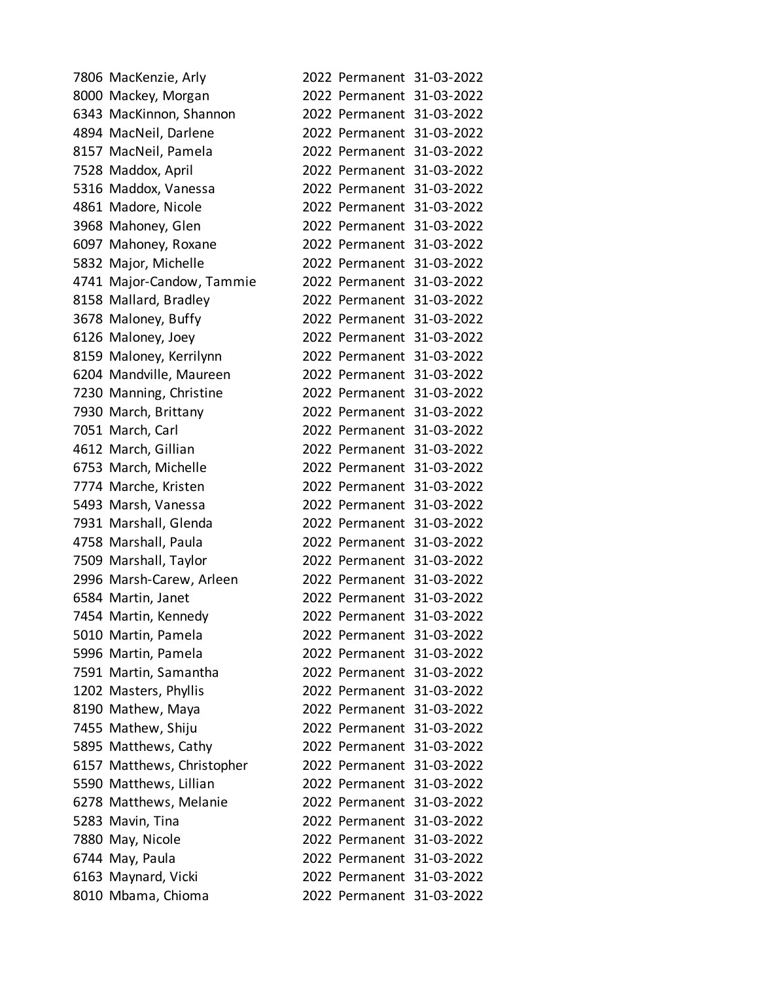| 7806 MacKenzie, Arly       |  | 2022 Permanent 31-03-2022 |
|----------------------------|--|---------------------------|
| 8000 Mackey, Morgan        |  | 2022 Permanent 31-03-2022 |
| 6343 MacKinnon, Shannon    |  | 2022 Permanent 31-03-2022 |
| 4894 MacNeil, Darlene      |  | 2022 Permanent 31-03-2022 |
| 8157 MacNeil, Pamela       |  | 2022 Permanent 31-03-2022 |
| 7528 Maddox, April         |  | 2022 Permanent 31-03-2022 |
| 5316 Maddox, Vanessa       |  | 2022 Permanent 31-03-2022 |
| 4861 Madore, Nicole        |  | 2022 Permanent 31-03-2022 |
| 3968 Mahoney, Glen         |  | 2022 Permanent 31-03-2022 |
| 6097 Mahoney, Roxane       |  | 2022 Permanent 31-03-2022 |
| 5832 Major, Michelle       |  | 2022 Permanent 31-03-2022 |
| 4741 Major-Candow, Tammie  |  | 2022 Permanent 31-03-2022 |
| 8158 Mallard, Bradley      |  | 2022 Permanent 31-03-2022 |
| 3678 Maloney, Buffy        |  | 2022 Permanent 31-03-2022 |
| 6126 Maloney, Joey         |  | 2022 Permanent 31-03-2022 |
| 8159 Maloney, Kerrilynn    |  | 2022 Permanent 31-03-2022 |
| 6204 Mandville, Maureen    |  | 2022 Permanent 31-03-2022 |
| 7230 Manning, Christine    |  | 2022 Permanent 31-03-2022 |
| 7930 March, Brittany       |  | 2022 Permanent 31-03-2022 |
| 7051 March, Carl           |  | 2022 Permanent 31-03-2022 |
| 4612 March, Gillian        |  | 2022 Permanent 31-03-2022 |
| 6753 March, Michelle       |  | 2022 Permanent 31-03-2022 |
| 7774 Marche, Kristen       |  | 2022 Permanent 31-03-2022 |
| 5493 Marsh, Vanessa        |  | 2022 Permanent 31-03-2022 |
| 7931 Marshall, Glenda      |  | 2022 Permanent 31-03-2022 |
| 4758 Marshall, Paula       |  | 2022 Permanent 31-03-2022 |
| 7509 Marshall, Taylor      |  | 2022 Permanent 31-03-2022 |
| 2996 Marsh-Carew, Arleen   |  | 2022 Permanent 31-03-2022 |
| 6584 Martin, Janet         |  | 2022 Permanent 31-03-2022 |
| 7454 Martin, Kennedy       |  | 2022 Permanent 31-03-2022 |
| 5010 Martin, Pamela        |  | 2022 Permanent 31-03-2022 |
| 5996 Martin, Pamela        |  | 2022 Permanent 31-03-2022 |
| 7591 Martin, Samantha      |  | 2022 Permanent 31-03-2022 |
| 1202 Masters, Phyllis      |  | 2022 Permanent 31-03-2022 |
| 8190 Mathew, Maya          |  | 2022 Permanent 31-03-2022 |
| 7455 Mathew, Shiju         |  | 2022 Permanent 31-03-2022 |
| 5895 Matthews, Cathy       |  | 2022 Permanent 31-03-2022 |
| 6157 Matthews, Christopher |  | 2022 Permanent 31-03-2022 |
| 5590 Matthews, Lillian     |  | 2022 Permanent 31-03-2022 |
| 6278 Matthews, Melanie     |  | 2022 Permanent 31-03-2022 |
| 5283 Mavin, Tina           |  | 2022 Permanent 31-03-2022 |
| 7880 May, Nicole           |  | 2022 Permanent 31-03-2022 |
| 6744 May, Paula            |  | 2022 Permanent 31-03-2022 |
| 6163 Maynard, Vicki        |  | 2022 Permanent 31-03-2022 |
| 8010 Mbama, Chioma         |  | 2022 Permanent 31-03-2022 |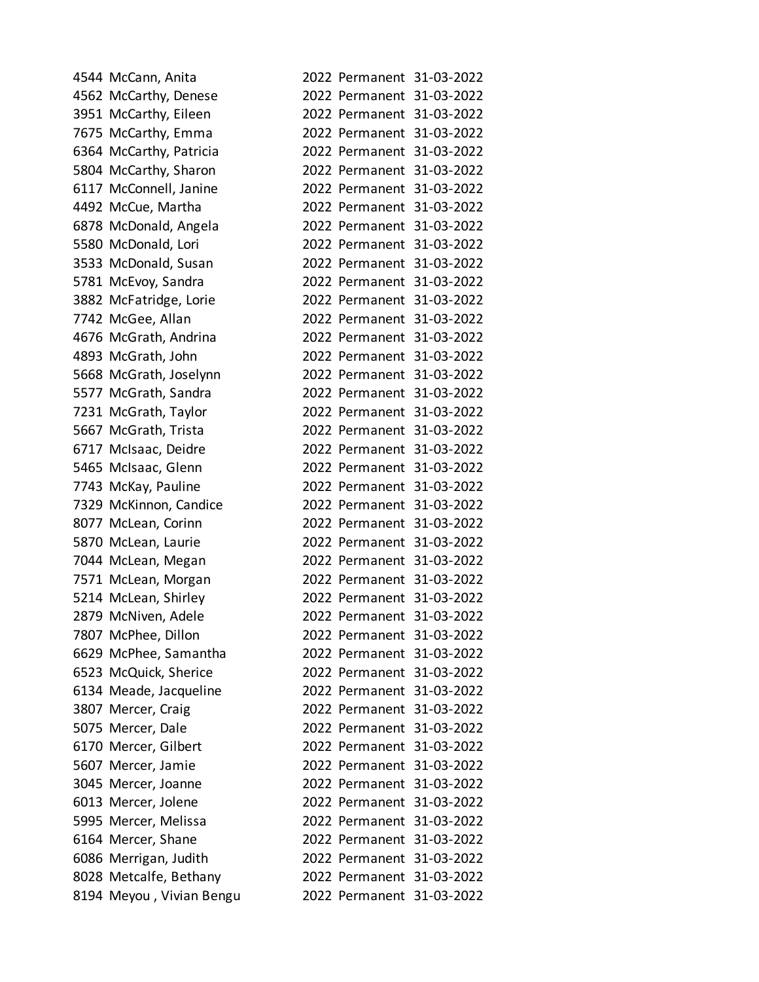| 4544 McCann, Anita       |                           | 2022 Permanent 31-03-2022 |
|--------------------------|---------------------------|---------------------------|
| 4562 McCarthy, Denese    |                           | 2022 Permanent 31-03-2022 |
| 3951 McCarthy, Eileen    |                           | 2022 Permanent 31-03-2022 |
| 7675 McCarthy, Emma      |                           | 2022 Permanent 31-03-2022 |
| 6364 McCarthy, Patricia  |                           | 2022 Permanent 31-03-2022 |
| 5804 McCarthy, Sharon    |                           | 2022 Permanent 31-03-2022 |
| 6117 McConnell, Janine   |                           | 2022 Permanent 31-03-2022 |
| 4492 McCue, Martha       |                           | 2022 Permanent 31-03-2022 |
| 6878 McDonald, Angela    |                           | 2022 Permanent 31-03-2022 |
| 5580 McDonald, Lori      |                           | 2022 Permanent 31-03-2022 |
| 3533 McDonald, Susan     |                           | 2022 Permanent 31-03-2022 |
| 5781 McEvoy, Sandra      |                           | 2022 Permanent 31-03-2022 |
| 3882 McFatridge, Lorie   |                           | 2022 Permanent 31-03-2022 |
| 7742 McGee, Allan        |                           | 2022 Permanent 31-03-2022 |
| 4676 McGrath, Andrina    |                           | 2022 Permanent 31-03-2022 |
| 4893 McGrath, John       | 2022 Permanent 31-03-2022 |                           |
| 5668 McGrath, Joselynn   |                           | 2022 Permanent 31-03-2022 |
| 5577 McGrath, Sandra     |                           | 2022 Permanent 31-03-2022 |
| 7231 McGrath, Taylor     |                           | 2022 Permanent 31-03-2022 |
| 5667 McGrath, Trista     | 2022 Permanent 31-03-2022 |                           |
| 6717 McIsaac, Deidre     |                           | 2022 Permanent 31-03-2022 |
| 5465 McIsaac, Glenn      |                           | 2022 Permanent 31-03-2022 |
| 7743 McKay, Pauline      |                           | 2022 Permanent 31-03-2022 |
| 7329 McKinnon, Candice   | 2022 Permanent 31-03-2022 |                           |
| 8077 McLean, Corinn      |                           | 2022 Permanent 31-03-2022 |
| 5870 McLean, Laurie      |                           | 2022 Permanent 31-03-2022 |
| 7044 McLean, Megan       |                           | 2022 Permanent 31-03-2022 |
| 7571 McLean, Morgan      |                           | 2022 Permanent 31-03-2022 |
| 5214 McLean, Shirley     |                           | 2022 Permanent 31-03-2022 |
| 2879 McNiven, Adele      |                           | 2022 Permanent 31-03-2022 |
| 7807 McPhee, Dillon      | 2022 Permanent 31-03-2022 |                           |
| 6629 McPhee, Samantha    | 2022 Permanent 31-03-2022 |                           |
| 6523 McQuick, Sherice    |                           | 2022 Permanent 31-03-2022 |
| 6134 Meade, Jacqueline   | 2022 Permanent 31-03-2022 |                           |
| 3807 Mercer, Craig       | 2022 Permanent 31-03-2022 |                           |
| 5075 Mercer, Dale        | 2022 Permanent 31-03-2022 |                           |
| 6170 Mercer, Gilbert     | 2022 Permanent 31-03-2022 |                           |
| 5607 Mercer, Jamie       | 2022 Permanent 31-03-2022 |                           |
| 3045 Mercer, Joanne      | 2022 Permanent 31-03-2022 |                           |
| 6013 Mercer, Jolene      | 2022 Permanent 31-03-2022 |                           |
| 5995 Mercer, Melissa     | 2022 Permanent 31-03-2022 |                           |
| 6164 Mercer, Shane       | 2022 Permanent 31-03-2022 |                           |
| 6086 Merrigan, Judith    | 2022 Permanent 31-03-2022 |                           |
| 8028 Metcalfe, Bethany   |                           | 2022 Permanent 31-03-2022 |
| 8194 Meyou, Vivian Bengu |                           | 2022 Permanent 31-03-2022 |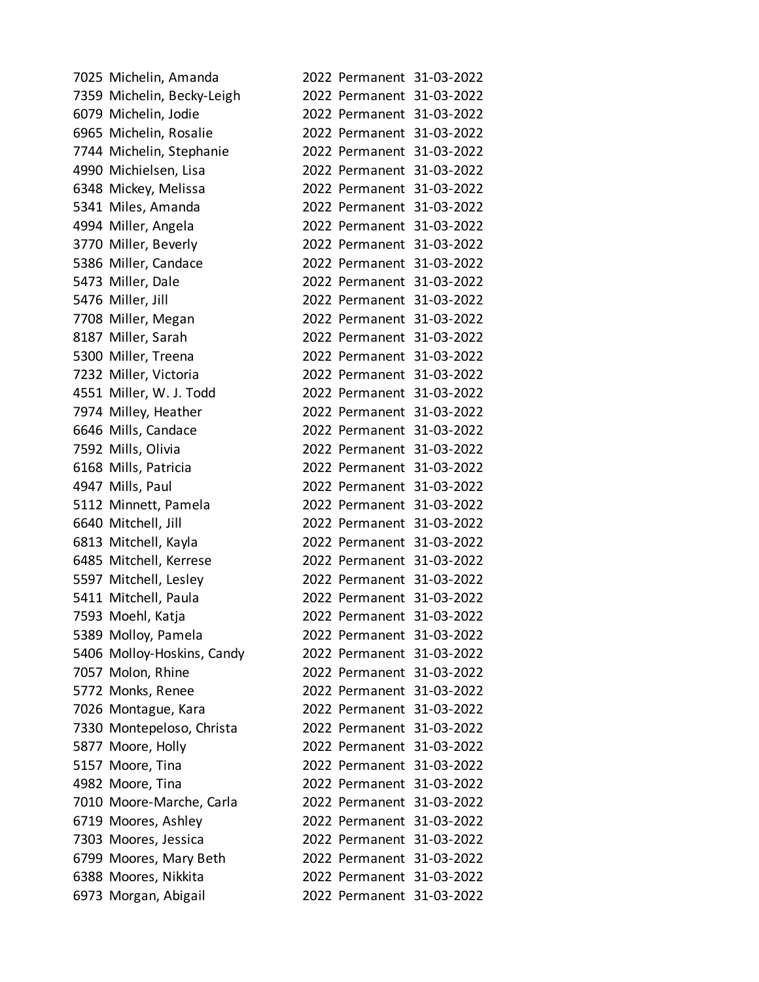| 7025 Michelin, Amanda      |                           | 2022 Permanent 31-03-2022 |
|----------------------------|---------------------------|---------------------------|
| 7359 Michelin, Becky-Leigh |                           | 2022 Permanent 31-03-2022 |
| 6079 Michelin, Jodie       |                           | 2022 Permanent 31-03-2022 |
| 6965 Michelin, Rosalie     |                           | 2022 Permanent 31-03-2022 |
| 7744 Michelin, Stephanie   |                           | 2022 Permanent 31-03-2022 |
| 4990 Michielsen, Lisa      |                           | 2022 Permanent 31-03-2022 |
| 6348 Mickey, Melissa       |                           | 2022 Permanent 31-03-2022 |
| 5341 Miles, Amanda         |                           | 2022 Permanent 31-03-2022 |
| 4994 Miller, Angela        |                           | 2022 Permanent 31-03-2022 |
| 3770 Miller, Beverly       |                           | 2022 Permanent 31-03-2022 |
| 5386 Miller, Candace       |                           | 2022 Permanent 31-03-2022 |
| 5473 Miller, Dale          |                           | 2022 Permanent 31-03-2022 |
| 5476 Miller, Jill          |                           | 2022 Permanent 31-03-2022 |
| 7708 Miller, Megan         |                           | 2022 Permanent 31-03-2022 |
| 8187 Miller, Sarah         |                           | 2022 Permanent 31-03-2022 |
| 5300 Miller, Treena        |                           | 2022 Permanent 31-03-2022 |
| 7232 Miller, Victoria      |                           | 2022 Permanent 31-03-2022 |
| 4551 Miller, W. J. Todd    |                           | 2022 Permanent 31-03-2022 |
| 7974 Milley, Heather       |                           | 2022 Permanent 31-03-2022 |
| 6646 Mills, Candace        |                           | 2022 Permanent 31-03-2022 |
| 7592 Mills, Olivia         |                           | 2022 Permanent 31-03-2022 |
| 6168 Mills, Patricia       |                           | 2022 Permanent 31-03-2022 |
| 4947 Mills, Paul           |                           | 2022 Permanent 31-03-2022 |
| 5112 Minnett, Pamela       |                           | 2022 Permanent 31-03-2022 |
| 6640 Mitchell, Jill        |                           | 2022 Permanent 31-03-2022 |
| 6813 Mitchell, Kayla       |                           | 2022 Permanent 31-03-2022 |
| 6485 Mitchell, Kerrese     |                           | 2022 Permanent 31-03-2022 |
| 5597 Mitchell, Lesley      |                           | 2022 Permanent 31-03-2022 |
| 5411 Mitchell, Paula       |                           | 2022 Permanent 31-03-2022 |
| 7593 Moehl, Katja          |                           | 2022 Permanent 31-03-2022 |
| 5389 Molloy, Pamela        |                           | 2022 Permanent 31-03-2022 |
| 5406 Molloy-Hoskins, Candy |                           | 2022 Permanent 31-03-2022 |
| 7057 Molon, Rhine          |                           | 2022 Permanent 31-03-2022 |
| 5772 Monks, Renee          |                           | 2022 Permanent 31-03-2022 |
| 7026 Montague, Kara        |                           | 2022 Permanent 31-03-2022 |
| 7330 Montepeloso, Christa  |                           | 2022 Permanent 31-03-2022 |
| 5877 Moore, Holly          |                           | 2022 Permanent 31-03-2022 |
| 5157 Moore, Tina           | 2022 Permanent 31-03-2022 |                           |
| 4982 Moore, Tina           |                           | 2022 Permanent 31-03-2022 |
| 7010 Moore-Marche, Carla   |                           | 2022 Permanent 31-03-2022 |
| 6719 Moores, Ashley        |                           | 2022 Permanent 31-03-2022 |
| 7303 Moores, Jessica       | 2022 Permanent 31-03-2022 |                           |
| 6799 Moores, Mary Beth     |                           | 2022 Permanent 31-03-2022 |
| 6388 Moores, Nikkita       |                           | 2022 Permanent 31-03-2022 |
| 6973 Morgan, Abigail       |                           | 2022 Permanent 31-03-2022 |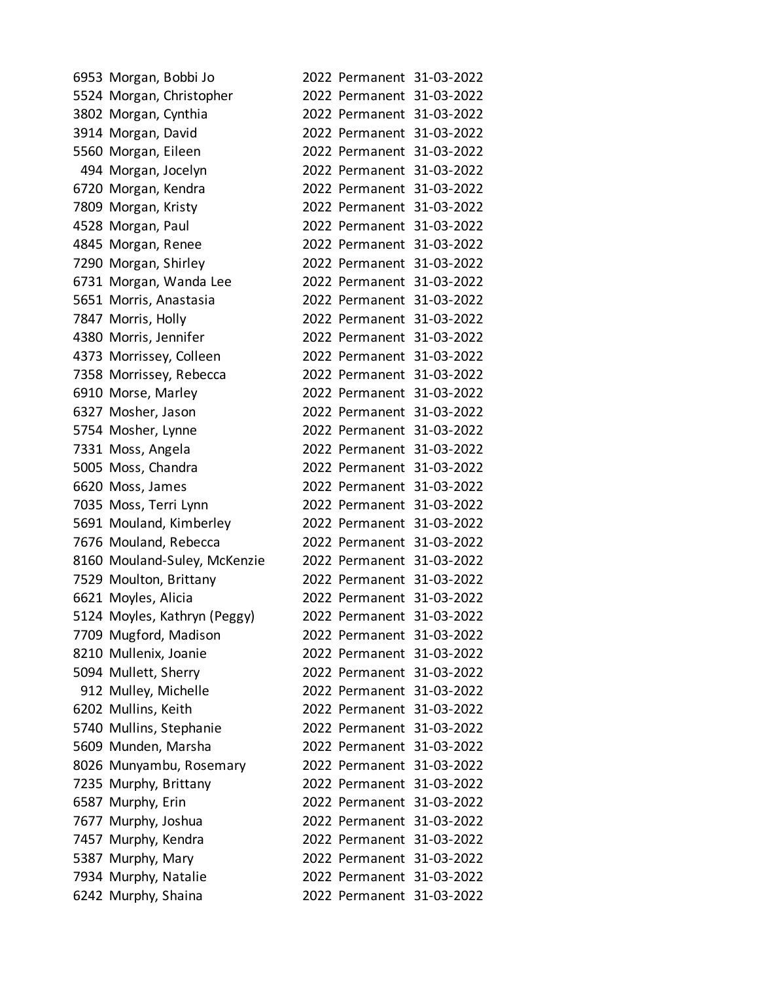| 6953 Morgan, Bobbi Jo        |  | 2022 Permanent 31-03-2022 |
|------------------------------|--|---------------------------|
| 5524 Morgan, Christopher     |  | 2022 Permanent 31-03-2022 |
| 3802 Morgan, Cynthia         |  | 2022 Permanent 31-03-2022 |
| 3914 Morgan, David           |  | 2022 Permanent 31-03-2022 |
| 5560 Morgan, Eileen          |  | 2022 Permanent 31-03-2022 |
| 494 Morgan, Jocelyn          |  | 2022 Permanent 31-03-2022 |
| 6720 Morgan, Kendra          |  | 2022 Permanent 31-03-2022 |
| 7809 Morgan, Kristy          |  | 2022 Permanent 31-03-2022 |
| 4528 Morgan, Paul            |  | 2022 Permanent 31-03-2022 |
| 4845 Morgan, Renee           |  | 2022 Permanent 31-03-2022 |
| 7290 Morgan, Shirley         |  | 2022 Permanent 31-03-2022 |
| 6731 Morgan, Wanda Lee       |  | 2022 Permanent 31-03-2022 |
| 5651 Morris, Anastasia       |  | 2022 Permanent 31-03-2022 |
| 7847 Morris, Holly           |  | 2022 Permanent 31-03-2022 |
| 4380 Morris, Jennifer        |  | 2022 Permanent 31-03-2022 |
| 4373 Morrissey, Colleen      |  | 2022 Permanent 31-03-2022 |
| 7358 Morrissey, Rebecca      |  | 2022 Permanent 31-03-2022 |
| 6910 Morse, Marley           |  | 2022 Permanent 31-03-2022 |
| 6327 Mosher, Jason           |  | 2022 Permanent 31-03-2022 |
| 5754 Mosher, Lynne           |  | 2022 Permanent 31-03-2022 |
| 7331 Moss, Angela            |  | 2022 Permanent 31-03-2022 |
| 5005 Moss, Chandra           |  | 2022 Permanent 31-03-2022 |
| 6620 Moss, James             |  | 2022 Permanent 31-03-2022 |
| 7035 Moss, Terri Lynn        |  | 2022 Permanent 31-03-2022 |
| 5691 Mouland, Kimberley      |  | 2022 Permanent 31-03-2022 |
| 7676 Mouland, Rebecca        |  | 2022 Permanent 31-03-2022 |
| 8160 Mouland-Suley, McKenzie |  | 2022 Permanent 31-03-2022 |
| 7529 Moulton, Brittany       |  | 2022 Permanent 31-03-2022 |
| 6621 Moyles, Alicia          |  | 2022 Permanent 31-03-2022 |
| 5124 Moyles, Kathryn (Peggy) |  | 2022 Permanent 31-03-2022 |
| 7709 Mugford, Madison        |  | 2022 Permanent 31-03-2022 |
| 8210 Mullenix, Joanie        |  | 2022 Permanent 31-03-2022 |
| 5094 Mullett, Sherry         |  | 2022 Permanent 31-03-2022 |
| 912 Mulley, Michelle         |  | 2022 Permanent 31-03-2022 |
| 6202 Mullins, Keith          |  | 2022 Permanent 31-03-2022 |
| 5740 Mullins, Stephanie      |  | 2022 Permanent 31-03-2022 |
| 5609 Munden, Marsha          |  | 2022 Permanent 31-03-2022 |
| 8026 Munyambu, Rosemary      |  | 2022 Permanent 31-03-2022 |
| 7235 Murphy, Brittany        |  | 2022 Permanent 31-03-2022 |
| 6587 Murphy, Erin            |  | 2022 Permanent 31-03-2022 |
| 7677 Murphy, Joshua          |  | 2022 Permanent 31-03-2022 |
| 7457 Murphy, Kendra          |  | 2022 Permanent 31-03-2022 |
| 5387 Murphy, Mary            |  | 2022 Permanent 31-03-2022 |
| 7934 Murphy, Natalie         |  | 2022 Permanent 31-03-2022 |
| 6242 Murphy, Shaina          |  | 2022 Permanent 31-03-2022 |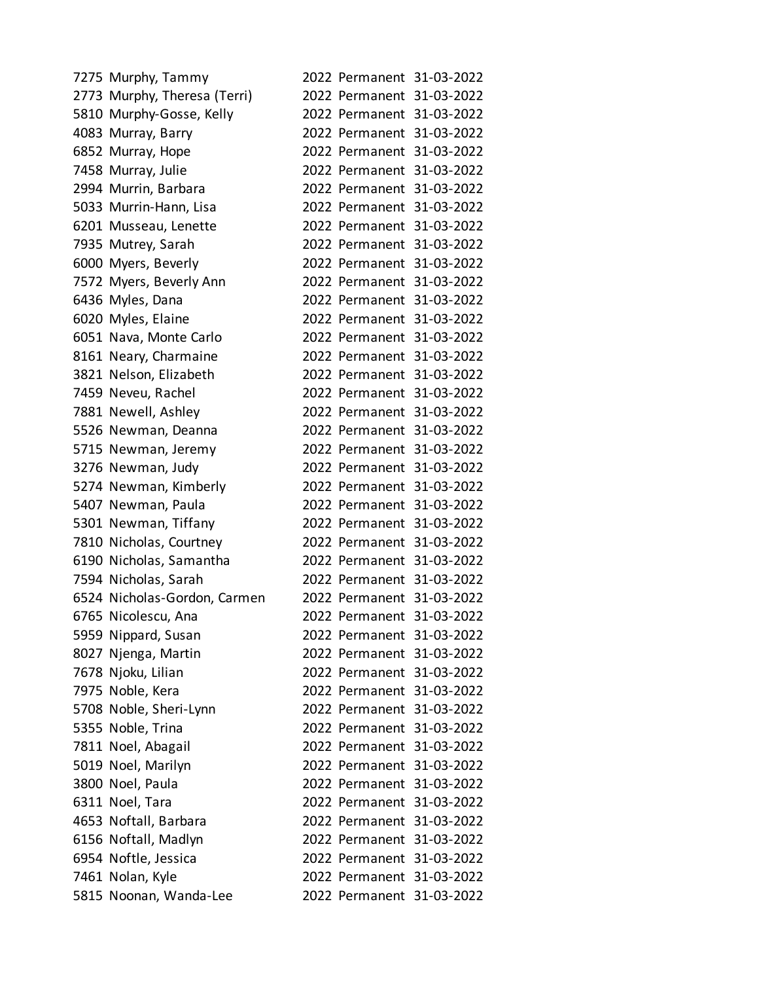| 7275 Murphy, Tammy           |  | 2022 Permanent 31-03-2022 |
|------------------------------|--|---------------------------|
| 2773 Murphy, Theresa (Terri) |  | 2022 Permanent 31-03-2022 |
| 5810 Murphy-Gosse, Kelly     |  | 2022 Permanent 31-03-2022 |
| 4083 Murray, Barry           |  | 2022 Permanent 31-03-2022 |
| 6852 Murray, Hope            |  | 2022 Permanent 31-03-2022 |
| 7458 Murray, Julie           |  | 2022 Permanent 31-03-2022 |
| 2994 Murrin, Barbara         |  | 2022 Permanent 31-03-2022 |
| 5033 Murrin-Hann, Lisa       |  | 2022 Permanent 31-03-2022 |
| 6201 Musseau, Lenette        |  | 2022 Permanent 31-03-2022 |
| 7935 Mutrey, Sarah           |  | 2022 Permanent 31-03-2022 |
| 6000 Myers, Beverly          |  | 2022 Permanent 31-03-2022 |
| 7572 Myers, Beverly Ann      |  | 2022 Permanent 31-03-2022 |
| 6436 Myles, Dana             |  | 2022 Permanent 31-03-2022 |
| 6020 Myles, Elaine           |  | 2022 Permanent 31-03-2022 |
| 6051 Nava, Monte Carlo       |  | 2022 Permanent 31-03-2022 |
| 8161 Neary, Charmaine        |  | 2022 Permanent 31-03-2022 |
| 3821 Nelson, Elizabeth       |  | 2022 Permanent 31-03-2022 |
| 7459 Neveu, Rachel           |  | 2022 Permanent 31-03-2022 |
| 7881 Newell, Ashley          |  | 2022 Permanent 31-03-2022 |
| 5526 Newman, Deanna          |  | 2022 Permanent 31-03-2022 |
| 5715 Newman, Jeremy          |  | 2022 Permanent 31-03-2022 |
| 3276 Newman, Judy            |  | 2022 Permanent 31-03-2022 |
| 5274 Newman, Kimberly        |  | 2022 Permanent 31-03-2022 |
| 5407 Newman, Paula           |  | 2022 Permanent 31-03-2022 |
| 5301 Newman, Tiffany         |  | 2022 Permanent 31-03-2022 |
| 7810 Nicholas, Courtney      |  | 2022 Permanent 31-03-2022 |
| 6190 Nicholas, Samantha      |  | 2022 Permanent 31-03-2022 |
| 7594 Nicholas, Sarah         |  | 2022 Permanent 31-03-2022 |
| 6524 Nicholas-Gordon, Carmen |  | 2022 Permanent 31-03-2022 |
| 6765 Nicolescu, Ana          |  | 2022 Permanent 31-03-2022 |
| 5959 Nippard, Susan          |  | 2022 Permanent 31-03-2022 |
| 8027 Njenga, Martin          |  | 2022 Permanent 31-03-2022 |
| 7678 Njoku, Lilian           |  | 2022 Permanent 31-03-2022 |
| 7975 Noble, Kera             |  | 2022 Permanent 31-03-2022 |
| 5708 Noble, Sheri-Lynn       |  | 2022 Permanent 31-03-2022 |
| 5355 Noble, Trina            |  | 2022 Permanent 31-03-2022 |
| 7811 Noel, Abagail           |  | 2022 Permanent 31-03-2022 |
| 5019 Noel, Marilyn           |  | 2022 Permanent 31-03-2022 |
| 3800 Noel, Paula             |  | 2022 Permanent 31-03-2022 |
| 6311 Noel, Tara              |  | 2022 Permanent 31-03-2022 |
| 4653 Noftall, Barbara        |  | 2022 Permanent 31-03-2022 |
| 6156 Noftall, Madlyn         |  | 2022 Permanent 31-03-2022 |
| 6954 Noftle, Jessica         |  | 2022 Permanent 31-03-2022 |
| 7461 Nolan, Kyle             |  | 2022 Permanent 31-03-2022 |
| 5815 Noonan, Wanda-Lee       |  | 2022 Permanent 31-03-2022 |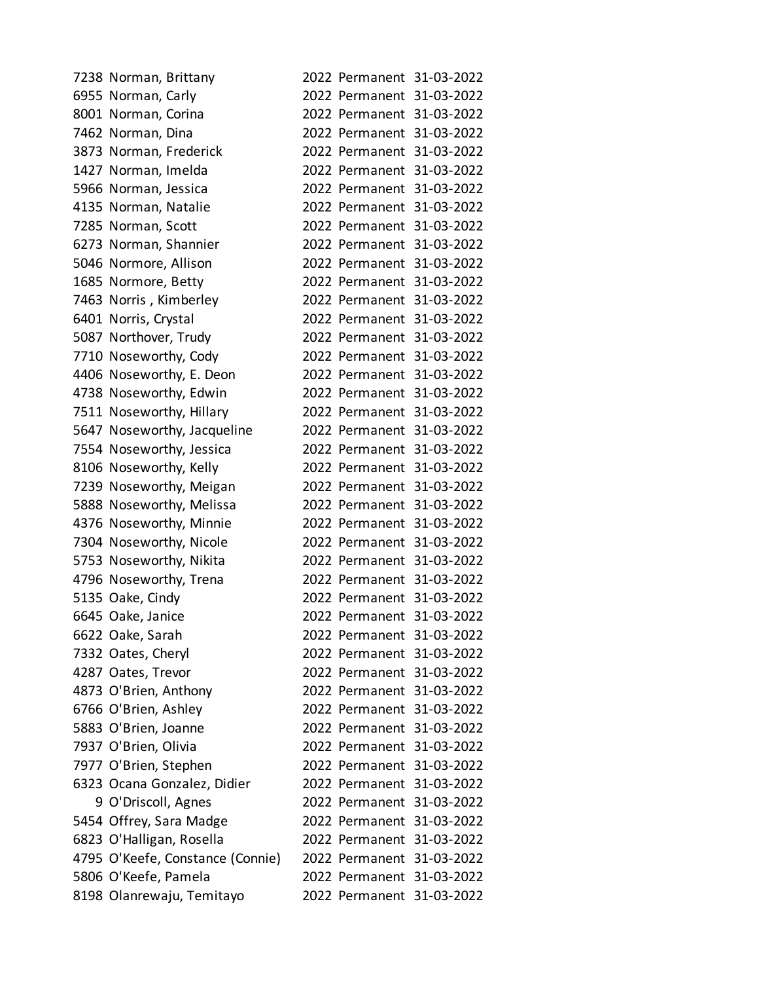| 7238 Norman, Brittany            |  | 2022 Permanent 31-03-2022 |
|----------------------------------|--|---------------------------|
| 6955 Norman, Carly               |  | 2022 Permanent 31-03-2022 |
| 8001 Norman, Corina              |  | 2022 Permanent 31-03-2022 |
| 7462 Norman, Dina                |  | 2022 Permanent 31-03-2022 |
| 3873 Norman, Frederick           |  | 2022 Permanent 31-03-2022 |
| 1427 Norman, Imelda              |  | 2022 Permanent 31-03-2022 |
| 5966 Norman, Jessica             |  | 2022 Permanent 31-03-2022 |
| 4135 Norman, Natalie             |  | 2022 Permanent 31-03-2022 |
| 7285 Norman, Scott               |  | 2022 Permanent 31-03-2022 |
| 6273 Norman, Shannier            |  | 2022 Permanent 31-03-2022 |
| 5046 Normore, Allison            |  | 2022 Permanent 31-03-2022 |
| 1685 Normore, Betty              |  | 2022 Permanent 31-03-2022 |
| 7463 Norris, Kimberley           |  | 2022 Permanent 31-03-2022 |
| 6401 Norris, Crystal             |  | 2022 Permanent 31-03-2022 |
| 5087 Northover, Trudy            |  | 2022 Permanent 31-03-2022 |
| 7710 Noseworthy, Cody            |  | 2022 Permanent 31-03-2022 |
| 4406 Noseworthy, E. Deon         |  | 2022 Permanent 31-03-2022 |
| 4738 Noseworthy, Edwin           |  | 2022 Permanent 31-03-2022 |
| 7511 Noseworthy, Hillary         |  | 2022 Permanent 31-03-2022 |
| 5647 Noseworthy, Jacqueline      |  | 2022 Permanent 31-03-2022 |
| 7554 Noseworthy, Jessica         |  | 2022 Permanent 31-03-2022 |
| 8106 Noseworthy, Kelly           |  | 2022 Permanent 31-03-2022 |
| 7239 Noseworthy, Meigan          |  | 2022 Permanent 31-03-2022 |
| 5888 Noseworthy, Melissa         |  | 2022 Permanent 31-03-2022 |
| 4376 Noseworthy, Minnie          |  | 2022 Permanent 31-03-2022 |
| 7304 Noseworthy, Nicole          |  | 2022 Permanent 31-03-2022 |
| 5753 Noseworthy, Nikita          |  | 2022 Permanent 31-03-2022 |
| 4796 Noseworthy, Trena           |  | 2022 Permanent 31-03-2022 |
| 5135 Oake, Cindy                 |  | 2022 Permanent 31-03-2022 |
| 6645 Oake, Janice                |  | 2022 Permanent 31-03-2022 |
| 6622 Oake, Sarah                 |  | 2022 Permanent 31-03-2022 |
| 7332 Oates, Cheryl               |  | 2022 Permanent 31-03-2022 |
| 4287 Oates, Trevor               |  | 2022 Permanent 31-03-2022 |
| 4873 O'Brien, Anthony            |  | 2022 Permanent 31-03-2022 |
| 6766 O'Brien, Ashley             |  | 2022 Permanent 31-03-2022 |
| 5883 O'Brien, Joanne             |  | 2022 Permanent 31-03-2022 |
| 7937 O'Brien, Olivia             |  | 2022 Permanent 31-03-2022 |
| 7977 O'Brien, Stephen            |  | 2022 Permanent 31-03-2022 |
| 6323 Ocana Gonzalez, Didier      |  | 2022 Permanent 31-03-2022 |
| 9 O'Driscoll, Agnes              |  | 2022 Permanent 31-03-2022 |
| 5454 Offrey, Sara Madge          |  | 2022 Permanent 31-03-2022 |
| 6823 O'Halligan, Rosella         |  | 2022 Permanent 31-03-2022 |
| 4795 O'Keefe, Constance (Connie) |  | 2022 Permanent 31-03-2022 |
| 5806 O'Keefe, Pamela             |  | 2022 Permanent 31-03-2022 |
| 8198 Olanrewaju, Temitayo        |  | 2022 Permanent 31-03-2022 |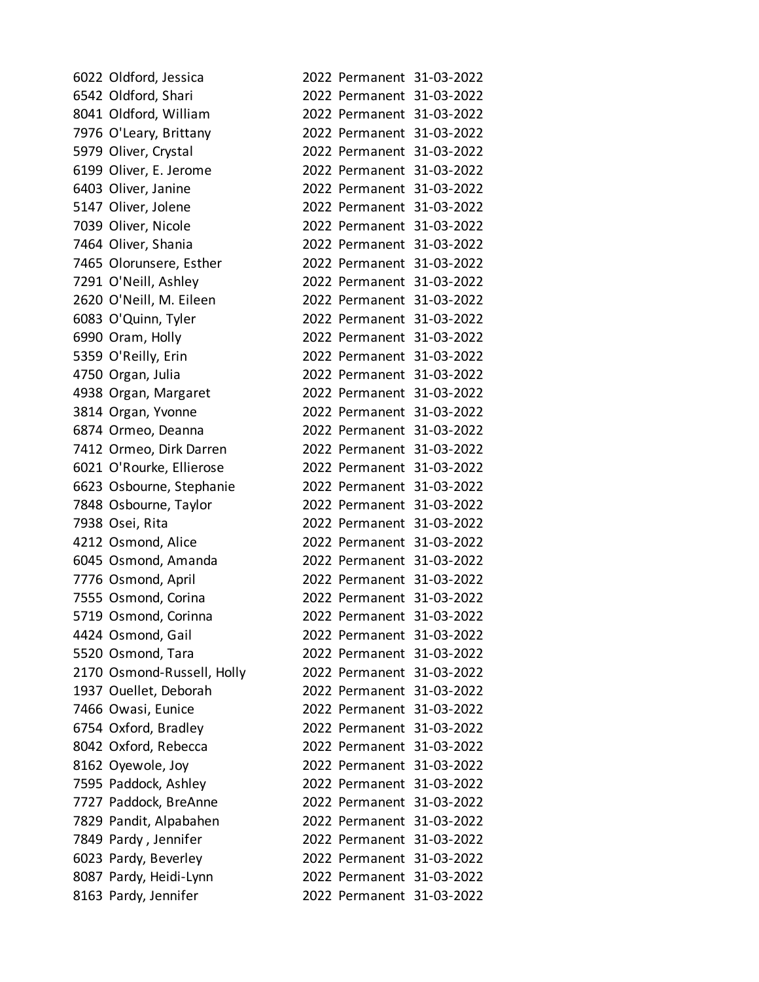| 6022 Oldford, Jessica      |  | 2022 Permanent 31-03-2022 |
|----------------------------|--|---------------------------|
| 6542 Oldford, Shari        |  | 2022 Permanent 31-03-2022 |
| 8041 Oldford, William      |  | 2022 Permanent 31-03-2022 |
| 7976 O'Leary, Brittany     |  | 2022 Permanent 31-03-2022 |
| 5979 Oliver, Crystal       |  | 2022 Permanent 31-03-2022 |
| 6199 Oliver, E. Jerome     |  | 2022 Permanent 31-03-2022 |
| 6403 Oliver, Janine        |  | 2022 Permanent 31-03-2022 |
| 5147 Oliver, Jolene        |  | 2022 Permanent 31-03-2022 |
| 7039 Oliver, Nicole        |  | 2022 Permanent 31-03-2022 |
| 7464 Oliver, Shania        |  | 2022 Permanent 31-03-2022 |
| 7465 Olorunsere, Esther    |  | 2022 Permanent 31-03-2022 |
| 7291 O'Neill, Ashley       |  | 2022 Permanent 31-03-2022 |
| 2620 O'Neill, M. Eileen    |  | 2022 Permanent 31-03-2022 |
| 6083 O'Quinn, Tyler        |  | 2022 Permanent 31-03-2022 |
| 6990 Oram, Holly           |  | 2022 Permanent 31-03-2022 |
| 5359 O'Reilly, Erin        |  | 2022 Permanent 31-03-2022 |
| 4750 Organ, Julia          |  | 2022 Permanent 31-03-2022 |
| 4938 Organ, Margaret       |  | 2022 Permanent 31-03-2022 |
| 3814 Organ, Yvonne         |  | 2022 Permanent 31-03-2022 |
| 6874 Ormeo, Deanna         |  | 2022 Permanent 31-03-2022 |
| 7412 Ormeo, Dirk Darren    |  | 2022 Permanent 31-03-2022 |
| 6021 O'Rourke, Ellierose   |  | 2022 Permanent 31-03-2022 |
| 6623 Osbourne, Stephanie   |  | 2022 Permanent 31-03-2022 |
| 7848 Osbourne, Taylor      |  | 2022 Permanent 31-03-2022 |
| 7938 Osei, Rita            |  | 2022 Permanent 31-03-2022 |
| 4212 Osmond, Alice         |  | 2022 Permanent 31-03-2022 |
| 6045 Osmond, Amanda        |  | 2022 Permanent 31-03-2022 |
| 7776 Osmond, April         |  | 2022 Permanent 31-03-2022 |
| 7555 Osmond, Corina        |  | 2022 Permanent 31-03-2022 |
| 5719 Osmond, Corinna       |  | 2022 Permanent 31-03-2022 |
| 4424 Osmond, Gail          |  | 2022 Permanent 31-03-2022 |
| 5520 Osmond, Tara          |  | 2022 Permanent 31-03-2022 |
| 2170 Osmond-Russell, Holly |  | 2022 Permanent 31-03-2022 |
| 1937 Ouellet, Deborah      |  | 2022 Permanent 31-03-2022 |
| 7466 Owasi, Eunice         |  | 2022 Permanent 31-03-2022 |
| 6754 Oxford, Bradley       |  | 2022 Permanent 31-03-2022 |
| 8042 Oxford, Rebecca       |  | 2022 Permanent 31-03-2022 |
| 8162 Oyewole, Joy          |  | 2022 Permanent 31-03-2022 |
| 7595 Paddock, Ashley       |  | 2022 Permanent 31-03-2022 |
| 7727 Paddock, BreAnne      |  | 2022 Permanent 31-03-2022 |
| 7829 Pandit, Alpabahen     |  | 2022 Permanent 31-03-2022 |
| 7849 Pardy, Jennifer       |  | 2022 Permanent 31-03-2022 |
| 6023 Pardy, Beverley       |  | 2022 Permanent 31-03-2022 |
| 8087 Pardy, Heidi-Lynn     |  | 2022 Permanent 31-03-2022 |
| 8163 Pardy, Jennifer       |  | 2022 Permanent 31-03-2022 |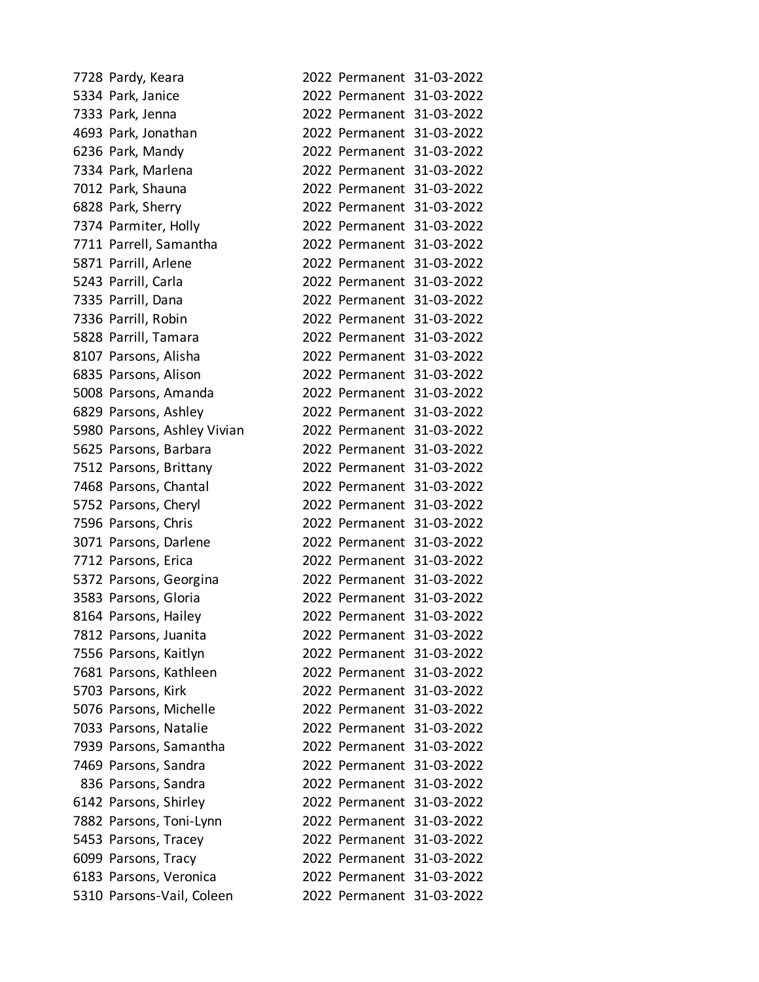| 7728 Pardy, Keara           |  | 2022 Permanent 31-03-2022 |
|-----------------------------|--|---------------------------|
| 5334 Park, Janice           |  | 2022 Permanent 31-03-2022 |
| 7333 Park, Jenna            |  | 2022 Permanent 31-03-2022 |
| 4693 Park, Jonathan         |  | 2022 Permanent 31-03-2022 |
| 6236 Park, Mandy            |  | 2022 Permanent 31-03-2022 |
| 7334 Park, Marlena          |  | 2022 Permanent 31-03-2022 |
| 7012 Park, Shauna           |  | 2022 Permanent 31-03-2022 |
| 6828 Park, Sherry           |  | 2022 Permanent 31-03-2022 |
| 7374 Parmiter, Holly        |  | 2022 Permanent 31-03-2022 |
| 7711 Parrell, Samantha      |  | 2022 Permanent 31-03-2022 |
| 5871 Parrill, Arlene        |  | 2022 Permanent 31-03-2022 |
| 5243 Parrill, Carla         |  | 2022 Permanent 31-03-2022 |
| 7335 Parrill, Dana          |  | 2022 Permanent 31-03-2022 |
| 7336 Parrill, Robin         |  | 2022 Permanent 31-03-2022 |
| 5828 Parrill, Tamara        |  | 2022 Permanent 31-03-2022 |
| 8107 Parsons, Alisha        |  | 2022 Permanent 31-03-2022 |
| 6835 Parsons, Alison        |  | 2022 Permanent 31-03-2022 |
| 5008 Parsons, Amanda        |  | 2022 Permanent 31-03-2022 |
| 6829 Parsons, Ashley        |  | 2022 Permanent 31-03-2022 |
| 5980 Parsons, Ashley Vivian |  | 2022 Permanent 31-03-2022 |
| 5625 Parsons, Barbara       |  | 2022 Permanent 31-03-2022 |
| 7512 Parsons, Brittany      |  | 2022 Permanent 31-03-2022 |
| 7468 Parsons, Chantal       |  | 2022 Permanent 31-03-2022 |
| 5752 Parsons, Cheryl        |  | 2022 Permanent 31-03-2022 |
| 7596 Parsons, Chris         |  | 2022 Permanent 31-03-2022 |
| 3071 Parsons, Darlene       |  | 2022 Permanent 31-03-2022 |
| 7712 Parsons, Erica         |  | 2022 Permanent 31-03-2022 |
| 5372 Parsons, Georgina      |  | 2022 Permanent 31-03-2022 |
| 3583 Parsons, Gloria        |  | 2022 Permanent 31-03-2022 |
| 8164 Parsons, Hailey        |  | 2022 Permanent 31-03-2022 |
| 7812 Parsons, Juanita       |  | 2022 Permanent 31-03-2022 |
| 7556 Parsons, Kaitlyn       |  | 2022 Permanent 31-03-2022 |
| 7681 Parsons, Kathleen      |  | 2022 Permanent 31-03-2022 |
| 5703 Parsons, Kirk          |  | 2022 Permanent 31-03-2022 |
| 5076 Parsons, Michelle      |  | 2022 Permanent 31-03-2022 |
| 7033 Parsons, Natalie       |  | 2022 Permanent 31-03-2022 |
| 7939 Parsons, Samantha      |  | 2022 Permanent 31-03-2022 |
| 7469 Parsons, Sandra        |  | 2022 Permanent 31-03-2022 |
| 836 Parsons, Sandra         |  | 2022 Permanent 31-03-2022 |
| 6142 Parsons, Shirley       |  | 2022 Permanent 31-03-2022 |
| 7882 Parsons, Toni-Lynn     |  | 2022 Permanent 31-03-2022 |
| 5453 Parsons, Tracey        |  | 2022 Permanent 31-03-2022 |
| 6099 Parsons, Tracy         |  | 2022 Permanent 31-03-2022 |
| 6183 Parsons, Veronica      |  | 2022 Permanent 31-03-2022 |
| 5310 Parsons-Vail, Coleen   |  | 2022 Permanent 31-03-2022 |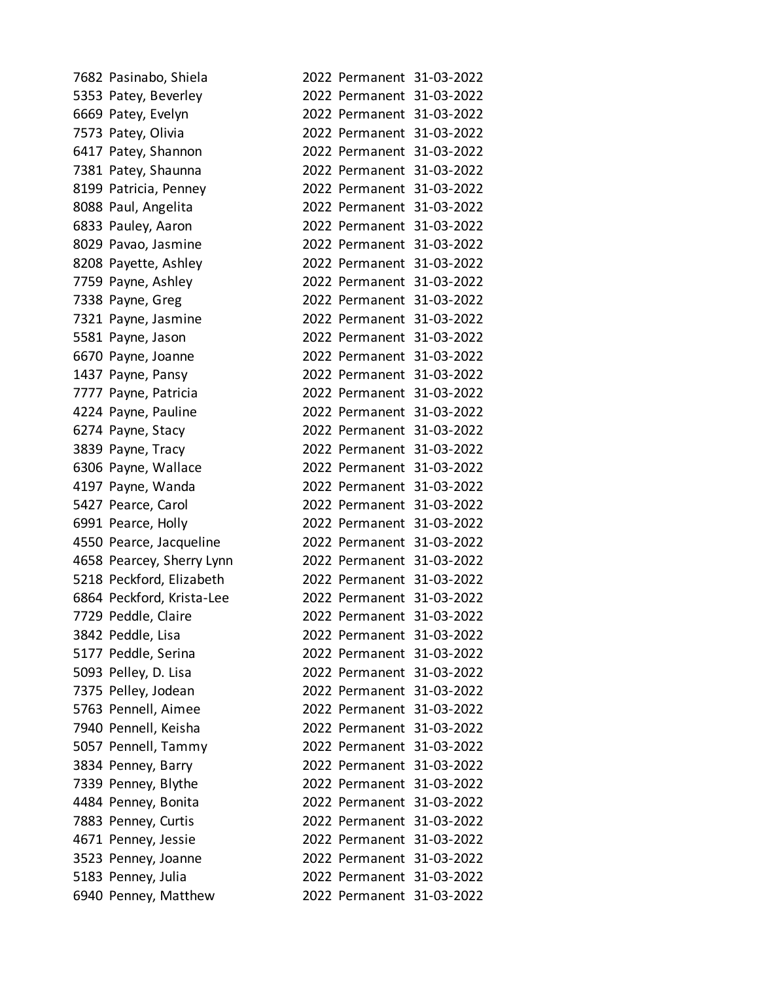| 7682 Pasinabo, Shiela     |                           | 2022 Permanent 31-03-2022 |
|---------------------------|---------------------------|---------------------------|
| 5353 Patey, Beverley      |                           | 2022 Permanent 31-03-2022 |
| 6669 Patey, Evelyn        |                           | 2022 Permanent 31-03-2022 |
| 7573 Patey, Olivia        |                           | 2022 Permanent 31-03-2022 |
| 6417 Patey, Shannon       |                           | 2022 Permanent 31-03-2022 |
| 7381 Patey, Shaunna       |                           | 2022 Permanent 31-03-2022 |
| 8199 Patricia, Penney     |                           | 2022 Permanent 31-03-2022 |
| 8088 Paul, Angelita       |                           | 2022 Permanent 31-03-2022 |
| 6833 Pauley, Aaron        |                           | 2022 Permanent 31-03-2022 |
| 8029 Pavao, Jasmine       |                           | 2022 Permanent 31-03-2022 |
| 8208 Payette, Ashley      |                           | 2022 Permanent 31-03-2022 |
| 7759 Payne, Ashley        |                           | 2022 Permanent 31-03-2022 |
| 7338 Payne, Greg          |                           | 2022 Permanent 31-03-2022 |
| 7321 Payne, Jasmine       |                           | 2022 Permanent 31-03-2022 |
| 5581 Payne, Jason         |                           | 2022 Permanent 31-03-2022 |
| 6670 Payne, Joanne        |                           | 2022 Permanent 31-03-2022 |
| 1437 Payne, Pansy         |                           | 2022 Permanent 31-03-2022 |
| 7777 Payne, Patricia      |                           | 2022 Permanent 31-03-2022 |
| 4224 Payne, Pauline       |                           | 2022 Permanent 31-03-2022 |
| 6274 Payne, Stacy         |                           | 2022 Permanent 31-03-2022 |
| 3839 Payne, Tracy         |                           | 2022 Permanent 31-03-2022 |
| 6306 Payne, Wallace       |                           | 2022 Permanent 31-03-2022 |
| 4197 Payne, Wanda         |                           | 2022 Permanent 31-03-2022 |
| 5427 Pearce, Carol        |                           | 2022 Permanent 31-03-2022 |
| 6991 Pearce, Holly        |                           | 2022 Permanent 31-03-2022 |
| 4550 Pearce, Jacqueline   |                           | 2022 Permanent 31-03-2022 |
| 4658 Pearcey, Sherry Lynn |                           | 2022 Permanent 31-03-2022 |
| 5218 Peckford, Elizabeth  |                           | 2022 Permanent 31-03-2022 |
| 6864 Peckford, Krista-Lee |                           | 2022 Permanent 31-03-2022 |
| 7729 Peddle, Claire       |                           | 2022 Permanent 31-03-2022 |
| 3842 Peddle, Lisa         |                           | 2022 Permanent 31-03-2022 |
| 5177 Peddle, Serina       |                           | 2022 Permanent 31-03-2022 |
| 5093 Pelley, D. Lisa      |                           | 2022 Permanent 31-03-2022 |
| 7375 Pelley, Jodean       | 2022 Permanent 31-03-2022 |                           |
| 5763 Pennell, Aimee       |                           | 2022 Permanent 31-03-2022 |
| 7940 Pennell, Keisha      |                           | 2022 Permanent 31-03-2022 |
| 5057 Pennell, Tammy       |                           | 2022 Permanent 31-03-2022 |
| 3834 Penney, Barry        | 2022 Permanent 31-03-2022 |                           |
| 7339 Penney, Blythe       |                           | 2022 Permanent 31-03-2022 |
| 4484 Penney, Bonita       |                           | 2022 Permanent 31-03-2022 |
| 7883 Penney, Curtis       |                           | 2022 Permanent 31-03-2022 |
| 4671 Penney, Jessie       | 2022 Permanent 31-03-2022 |                           |
| 3523 Penney, Joanne       |                           | 2022 Permanent 31-03-2022 |
| 5183 Penney, Julia        |                           | 2022 Permanent 31-03-2022 |
| 6940 Penney, Matthew      |                           | 2022 Permanent 31-03-2022 |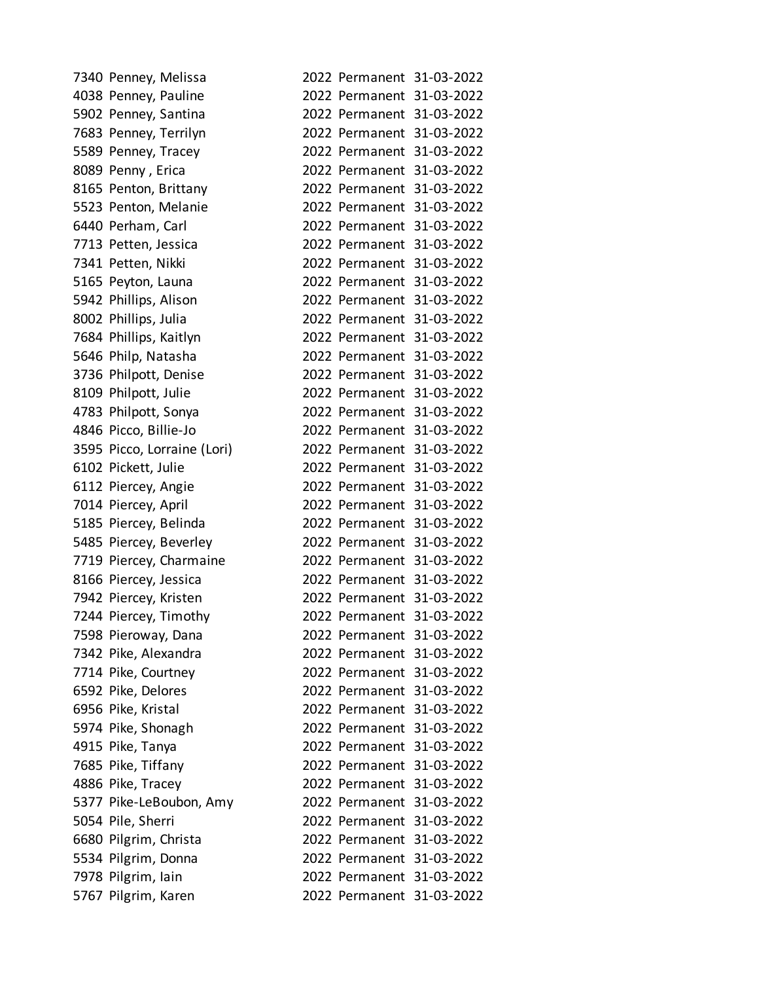| 7340 Penney, Melissa        |  | 2022 Permanent 31-03-2022 |
|-----------------------------|--|---------------------------|
| 4038 Penney, Pauline        |  | 2022 Permanent 31-03-2022 |
| 5902 Penney, Santina        |  | 2022 Permanent 31-03-2022 |
| 7683 Penney, Terrilyn       |  | 2022 Permanent 31-03-2022 |
| 5589 Penney, Tracey         |  | 2022 Permanent 31-03-2022 |
| 8089 Penny, Erica           |  | 2022 Permanent 31-03-2022 |
| 8165 Penton, Brittany       |  | 2022 Permanent 31-03-2022 |
| 5523 Penton, Melanie        |  | 2022 Permanent 31-03-2022 |
| 6440 Perham, Carl           |  | 2022 Permanent 31-03-2022 |
| 7713 Petten, Jessica        |  | 2022 Permanent 31-03-2022 |
| 7341 Petten, Nikki          |  | 2022 Permanent 31-03-2022 |
| 5165 Peyton, Launa          |  | 2022 Permanent 31-03-2022 |
| 5942 Phillips, Alison       |  | 2022 Permanent 31-03-2022 |
| 8002 Phillips, Julia        |  | 2022 Permanent 31-03-2022 |
| 7684 Phillips, Kaitlyn      |  | 2022 Permanent 31-03-2022 |
| 5646 Philp, Natasha         |  | 2022 Permanent 31-03-2022 |
| 3736 Philpott, Denise       |  | 2022 Permanent 31-03-2022 |
| 8109 Philpott, Julie        |  | 2022 Permanent 31-03-2022 |
| 4783 Philpott, Sonya        |  | 2022 Permanent 31-03-2022 |
| 4846 Picco, Billie-Jo       |  | 2022 Permanent 31-03-2022 |
| 3595 Picco, Lorraine (Lori) |  | 2022 Permanent 31-03-2022 |
| 6102 Pickett, Julie         |  | 2022 Permanent 31-03-2022 |
| 6112 Piercey, Angie         |  | 2022 Permanent 31-03-2022 |
| 7014 Piercey, April         |  | 2022 Permanent 31-03-2022 |
| 5185 Piercey, Belinda       |  | 2022 Permanent 31-03-2022 |
| 5485 Piercey, Beverley      |  | 2022 Permanent 31-03-2022 |
| 7719 Piercey, Charmaine     |  | 2022 Permanent 31-03-2022 |
| 8166 Piercey, Jessica       |  | 2022 Permanent 31-03-2022 |
| 7942 Piercey, Kristen       |  | 2022 Permanent 31-03-2022 |
| 7244 Piercey, Timothy       |  | 2022 Permanent 31-03-2022 |
| 7598 Pieroway, Dana         |  | 2022 Permanent 31-03-2022 |
| 7342 Pike, Alexandra        |  | 2022 Permanent 31-03-2022 |
| 7714 Pike, Courtney         |  | 2022 Permanent 31-03-2022 |
| 6592 Pike, Delores          |  | 2022 Permanent 31-03-2022 |
| 6956 Pike, Kristal          |  | 2022 Permanent 31-03-2022 |
| 5974 Pike, Shonagh          |  | 2022 Permanent 31-03-2022 |
| 4915 Pike, Tanya            |  | 2022 Permanent 31-03-2022 |
| 7685 Pike, Tiffany          |  | 2022 Permanent 31-03-2022 |
| 4886 Pike, Tracey           |  | 2022 Permanent 31-03-2022 |
| 5377 Pike-LeBoubon, Amy     |  | 2022 Permanent 31-03-2022 |
| 5054 Pile, Sherri           |  | 2022 Permanent 31-03-2022 |
| 6680 Pilgrim, Christa       |  | 2022 Permanent 31-03-2022 |
| 5534 Pilgrim, Donna         |  | 2022 Permanent 31-03-2022 |
| 7978 Pilgrim, Iain          |  | 2022 Permanent 31-03-2022 |
| 5767 Pilgrim, Karen         |  | 2022 Permanent 31-03-2022 |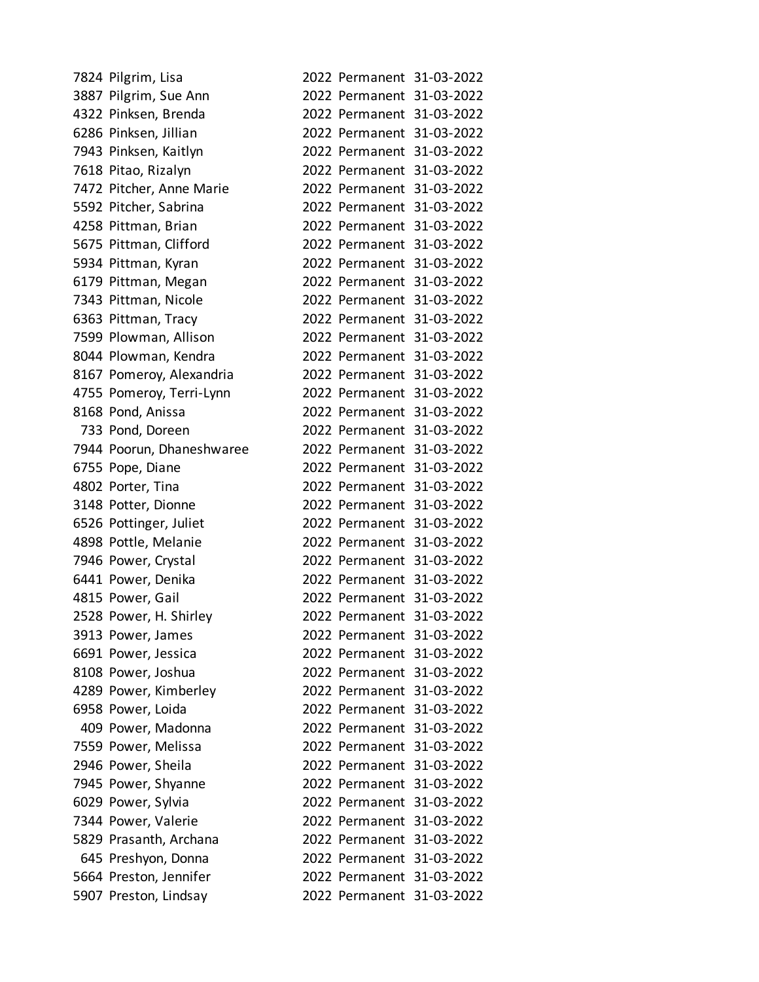| 7824 Pilgrim, Lisa        |  | 2022 Permanent 31-03-2022 |
|---------------------------|--|---------------------------|
| 3887 Pilgrim, Sue Ann     |  | 2022 Permanent 31-03-2022 |
| 4322 Pinksen, Brenda      |  | 2022 Permanent 31-03-2022 |
| 6286 Pinksen, Jillian     |  | 2022 Permanent 31-03-2022 |
| 7943 Pinksen, Kaitlyn     |  | 2022 Permanent 31-03-2022 |
| 7618 Pitao, Rizalyn       |  | 2022 Permanent 31-03-2022 |
| 7472 Pitcher, Anne Marie  |  | 2022 Permanent 31-03-2022 |
| 5592 Pitcher, Sabrina     |  | 2022 Permanent 31-03-2022 |
| 4258 Pittman, Brian       |  | 2022 Permanent 31-03-2022 |
| 5675 Pittman, Clifford    |  | 2022 Permanent 31-03-2022 |
| 5934 Pittman, Kyran       |  | 2022 Permanent 31-03-2022 |
| 6179 Pittman, Megan       |  | 2022 Permanent 31-03-2022 |
| 7343 Pittman, Nicole      |  | 2022 Permanent 31-03-2022 |
| 6363 Pittman, Tracy       |  | 2022 Permanent 31-03-2022 |
| 7599 Plowman, Allison     |  | 2022 Permanent 31-03-2022 |
| 8044 Plowman, Kendra      |  | 2022 Permanent 31-03-2022 |
| 8167 Pomeroy, Alexandria  |  | 2022 Permanent 31-03-2022 |
| 4755 Pomeroy, Terri-Lynn  |  | 2022 Permanent 31-03-2022 |
| 8168 Pond, Anissa         |  | 2022 Permanent 31-03-2022 |
| 733 Pond, Doreen          |  | 2022 Permanent 31-03-2022 |
| 7944 Poorun, Dhaneshwaree |  | 2022 Permanent 31-03-2022 |
| 6755 Pope, Diane          |  | 2022 Permanent 31-03-2022 |
| 4802 Porter, Tina         |  | 2022 Permanent 31-03-2022 |
| 3148 Potter, Dionne       |  | 2022 Permanent 31-03-2022 |
| 6526 Pottinger, Juliet    |  | 2022 Permanent 31-03-2022 |
| 4898 Pottle, Melanie      |  | 2022 Permanent 31-03-2022 |
| 7946 Power, Crystal       |  | 2022 Permanent 31-03-2022 |
| 6441 Power, Denika        |  | 2022 Permanent 31-03-2022 |
| 4815 Power, Gail          |  | 2022 Permanent 31-03-2022 |
| 2528 Power, H. Shirley    |  | 2022 Permanent 31-03-2022 |
| 3913 Power, James         |  | 2022 Permanent 31-03-2022 |
| 6691 Power, Jessica       |  | 2022 Permanent 31-03-2022 |
| 8108 Power, Joshua        |  | 2022 Permanent 31-03-2022 |
| 4289 Power, Kimberley     |  | 2022 Permanent 31-03-2022 |
| 6958 Power, Loida         |  | 2022 Permanent 31-03-2022 |
| 409 Power, Madonna        |  | 2022 Permanent 31-03-2022 |
| 7559 Power, Melissa       |  | 2022 Permanent 31-03-2022 |
| 2946 Power, Sheila        |  | 2022 Permanent 31-03-2022 |
| 7945 Power, Shyanne       |  | 2022 Permanent 31-03-2022 |
| 6029 Power, Sylvia        |  | 2022 Permanent 31-03-2022 |
| 7344 Power, Valerie       |  | 2022 Permanent 31-03-2022 |
| 5829 Prasanth, Archana    |  | 2022 Permanent 31-03-2022 |
| 645 Preshyon, Donna       |  | 2022 Permanent 31-03-2022 |
| 5664 Preston, Jennifer    |  | 2022 Permanent 31-03-2022 |
| 5907 Preston, Lindsay     |  | 2022 Permanent 31-03-2022 |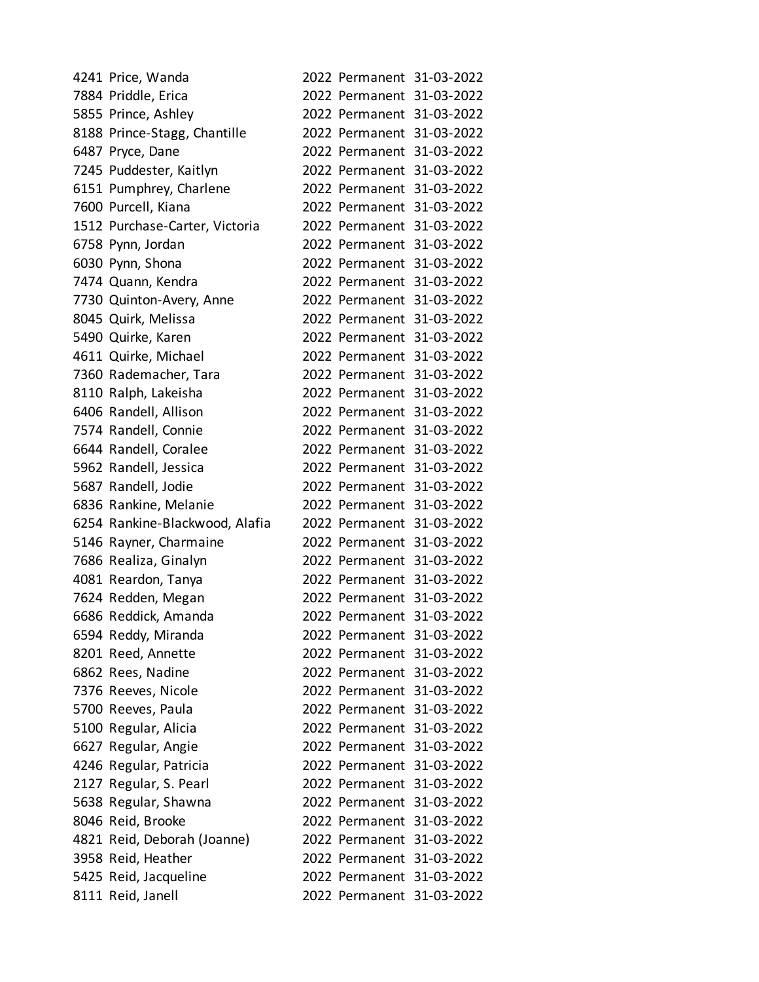| 4241 Price, Wanda              |                           | 2022 Permanent 31-03-2022 |
|--------------------------------|---------------------------|---------------------------|
| 7884 Priddle, Erica            |                           | 2022 Permanent 31-03-2022 |
| 5855 Prince, Ashley            |                           | 2022 Permanent 31-03-2022 |
| 8188 Prince-Stagg, Chantille   |                           | 2022 Permanent 31-03-2022 |
| 6487 Pryce, Dane               |                           | 2022 Permanent 31-03-2022 |
| 7245 Puddester, Kaitlyn        |                           | 2022 Permanent 31-03-2022 |
| 6151 Pumphrey, Charlene        |                           | 2022 Permanent 31-03-2022 |
| 7600 Purcell, Kiana            |                           | 2022 Permanent 31-03-2022 |
| 1512 Purchase-Carter, Victoria |                           | 2022 Permanent 31-03-2022 |
| 6758 Pynn, Jordan              |                           | 2022 Permanent 31-03-2022 |
| 6030 Pynn, Shona               |                           | 2022 Permanent 31-03-2022 |
| 7474 Quann, Kendra             |                           | 2022 Permanent 31-03-2022 |
| 7730 Quinton-Avery, Anne       |                           | 2022 Permanent 31-03-2022 |
| 8045 Quirk, Melissa            |                           | 2022 Permanent 31-03-2022 |
| 5490 Quirke, Karen             |                           | 2022 Permanent 31-03-2022 |
| 4611 Quirke, Michael           |                           | 2022 Permanent 31-03-2022 |
| 7360 Rademacher, Tara          |                           | 2022 Permanent 31-03-2022 |
| 8110 Ralph, Lakeisha           |                           | 2022 Permanent 31-03-2022 |
| 6406 Randell, Allison          |                           | 2022 Permanent 31-03-2022 |
| 7574 Randell, Connie           |                           | 2022 Permanent 31-03-2022 |
| 6644 Randell, Coralee          |                           | 2022 Permanent 31-03-2022 |
| 5962 Randell, Jessica          |                           | 2022 Permanent 31-03-2022 |
| 5687 Randell, Jodie            |                           | 2022 Permanent 31-03-2022 |
| 6836 Rankine, Melanie          |                           | 2022 Permanent 31-03-2022 |
| 6254 Rankine-Blackwood, Alafia |                           | 2022 Permanent 31-03-2022 |
| 5146 Rayner, Charmaine         |                           | 2022 Permanent 31-03-2022 |
| 7686 Realiza, Ginalyn          |                           | 2022 Permanent 31-03-2022 |
| 4081 Reardon, Tanya            |                           | 2022 Permanent 31-03-2022 |
| 7624 Redden, Megan             |                           | 2022 Permanent 31-03-2022 |
| 6686 Reddick, Amanda           |                           | 2022 Permanent 31-03-2022 |
| 6594 Reddy, Miranda            |                           | 2022 Permanent 31-03-2022 |
| 8201 Reed, Annette             |                           | 2022 Permanent 31-03-2022 |
| 6862 Rees, Nadine              |                           | 2022 Permanent 31-03-2022 |
| 7376 Reeves, Nicole            | 2022 Permanent 31-03-2022 |                           |
| 5700 Reeves, Paula             |                           | 2022 Permanent 31-03-2022 |
| 5100 Regular, Alicia           |                           | 2022 Permanent 31-03-2022 |
| 6627 Regular, Angie            |                           | 2022 Permanent 31-03-2022 |
| 4246 Regular, Patricia         | 2022 Permanent 31-03-2022 |                           |
| 2127 Regular, S. Pearl         | 2022 Permanent 31-03-2022 |                           |
| 5638 Regular, Shawna           |                           | 2022 Permanent 31-03-2022 |
| 8046 Reid, Brooke              |                           | 2022 Permanent 31-03-2022 |
| 4821 Reid, Deborah (Joanne)    | 2022 Permanent 31-03-2022 |                           |
| 3958 Reid, Heather             |                           | 2022 Permanent 31-03-2022 |
| 5425 Reid, Jacqueline          |                           | 2022 Permanent 31-03-2022 |
| 8111 Reid, Janell              |                           | 2022 Permanent 31-03-2022 |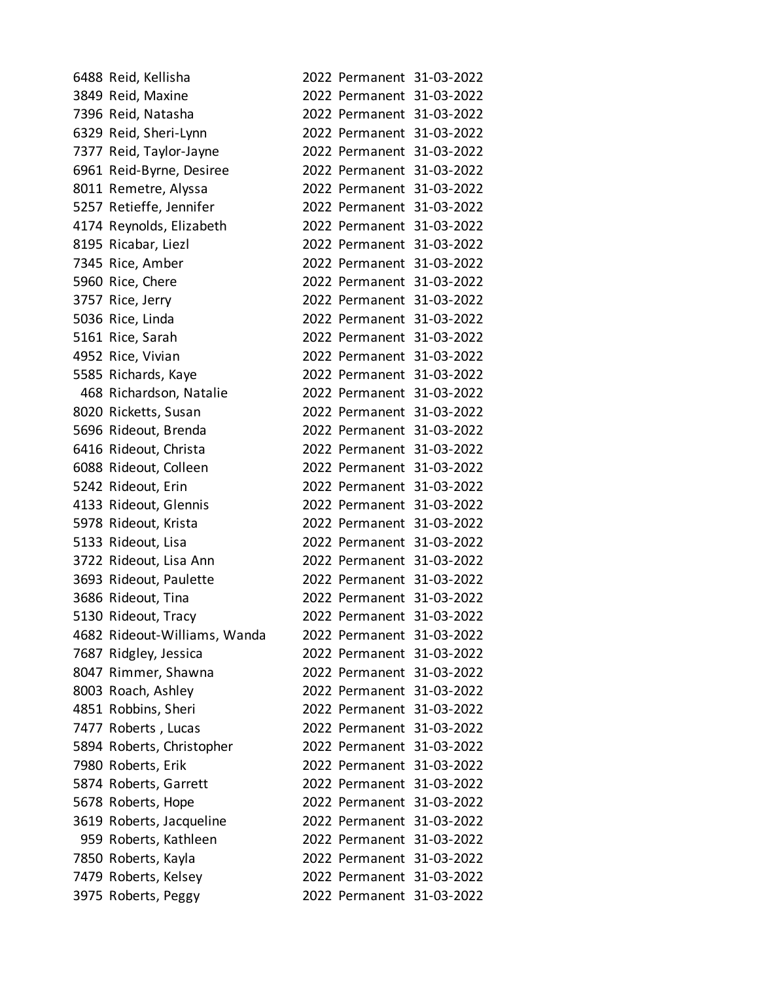| 6488 Reid, Kellisha          |  | 2022 Permanent 31-03-2022 |
|------------------------------|--|---------------------------|
| 3849 Reid, Maxine            |  | 2022 Permanent 31-03-2022 |
| 7396 Reid, Natasha           |  | 2022 Permanent 31-03-2022 |
| 6329 Reid, Sheri-Lynn        |  | 2022 Permanent 31-03-2022 |
| 7377 Reid, Taylor-Jayne      |  | 2022 Permanent 31-03-2022 |
| 6961 Reid-Byrne, Desiree     |  | 2022 Permanent 31-03-2022 |
| 8011 Remetre, Alyssa         |  | 2022 Permanent 31-03-2022 |
| 5257 Retieffe, Jennifer      |  | 2022 Permanent 31-03-2022 |
| 4174 Reynolds, Elizabeth     |  | 2022 Permanent 31-03-2022 |
| 8195 Ricabar, Liezl          |  | 2022 Permanent 31-03-2022 |
| 7345 Rice, Amber             |  | 2022 Permanent 31-03-2022 |
| 5960 Rice, Chere             |  | 2022 Permanent 31-03-2022 |
| 3757 Rice, Jerry             |  | 2022 Permanent 31-03-2022 |
| 5036 Rice, Linda             |  | 2022 Permanent 31-03-2022 |
| 5161 Rice, Sarah             |  | 2022 Permanent 31-03-2022 |
| 4952 Rice, Vivian            |  | 2022 Permanent 31-03-2022 |
| 5585 Richards, Kaye          |  | 2022 Permanent 31-03-2022 |
| 468 Richardson, Natalie      |  | 2022 Permanent 31-03-2022 |
| 8020 Ricketts, Susan         |  | 2022 Permanent 31-03-2022 |
| 5696 Rideout, Brenda         |  | 2022 Permanent 31-03-2022 |
| 6416 Rideout, Christa        |  | 2022 Permanent 31-03-2022 |
| 6088 Rideout, Colleen        |  | 2022 Permanent 31-03-2022 |
| 5242 Rideout, Erin           |  | 2022 Permanent 31-03-2022 |
| 4133 Rideout, Glennis        |  | 2022 Permanent 31-03-2022 |
| 5978 Rideout, Krista         |  | 2022 Permanent 31-03-2022 |
| 5133 Rideout, Lisa           |  | 2022 Permanent 31-03-2022 |
| 3722 Rideout, Lisa Ann       |  | 2022 Permanent 31-03-2022 |
| 3693 Rideout, Paulette       |  | 2022 Permanent 31-03-2022 |
| 3686 Rideout, Tina           |  | 2022 Permanent 31-03-2022 |
| 5130 Rideout, Tracy          |  | 2022 Permanent 31-03-2022 |
| 4682 Rideout-Williams, Wanda |  | 2022 Permanent 31-03-2022 |
| 7687 Ridgley, Jessica        |  | 2022 Permanent 31-03-2022 |
| 8047 Rimmer, Shawna          |  | 2022 Permanent 31-03-2022 |
| 8003 Roach, Ashley           |  | 2022 Permanent 31-03-2022 |
| 4851 Robbins, Sheri          |  | 2022 Permanent 31-03-2022 |
| 7477 Roberts, Lucas          |  | 2022 Permanent 31-03-2022 |
| 5894 Roberts, Christopher    |  | 2022 Permanent 31-03-2022 |
| 7980 Roberts, Erik           |  | 2022 Permanent 31-03-2022 |
| 5874 Roberts, Garrett        |  | 2022 Permanent 31-03-2022 |
| 5678 Roberts, Hope           |  | 2022 Permanent 31-03-2022 |
| 3619 Roberts, Jacqueline     |  | 2022 Permanent 31-03-2022 |
| 959 Roberts, Kathleen        |  | 2022 Permanent 31-03-2022 |
| 7850 Roberts, Kayla          |  | 2022 Permanent 31-03-2022 |
| 7479 Roberts, Kelsey         |  | 2022 Permanent 31-03-2022 |
| 3975 Roberts, Peggy          |  | 2022 Permanent 31-03-2022 |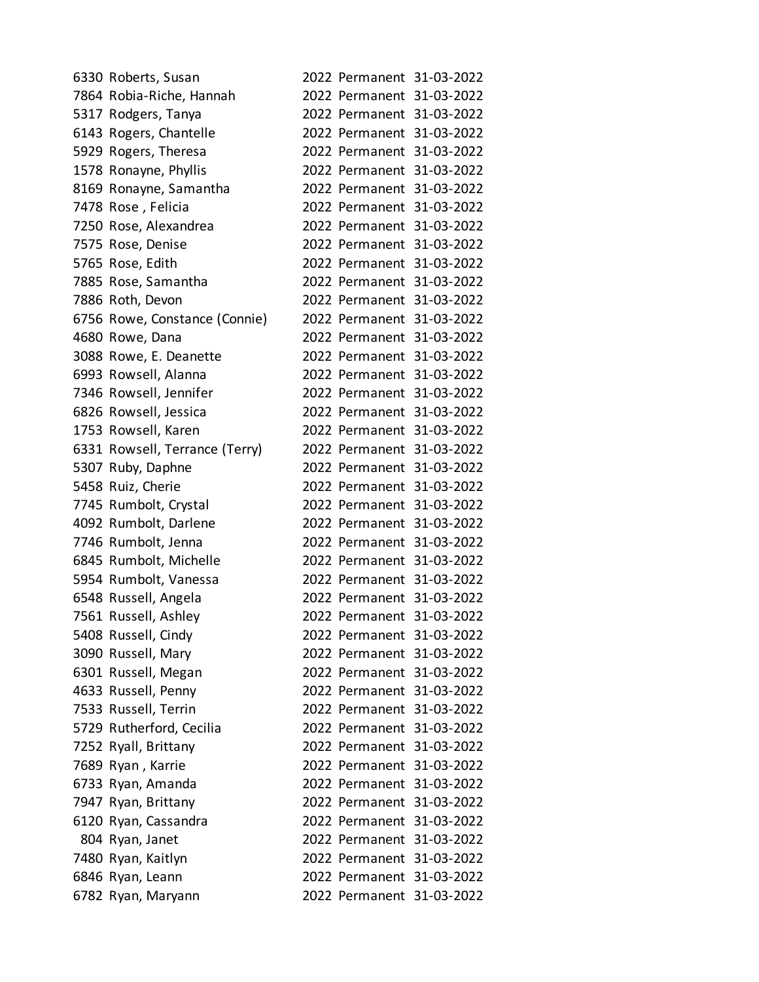| 6330 Roberts, Susan            |  | 2022 Permanent 31-03-2022 |
|--------------------------------|--|---------------------------|
| 7864 Robia-Riche, Hannah       |  | 2022 Permanent 31-03-2022 |
| 5317 Rodgers, Tanya            |  | 2022 Permanent 31-03-2022 |
| 6143 Rogers, Chantelle         |  | 2022 Permanent 31-03-2022 |
| 5929 Rogers, Theresa           |  | 2022 Permanent 31-03-2022 |
| 1578 Ronayne, Phyllis          |  | 2022 Permanent 31-03-2022 |
| 8169 Ronayne, Samantha         |  | 2022 Permanent 31-03-2022 |
| 7478 Rose, Felicia             |  | 2022 Permanent 31-03-2022 |
| 7250 Rose, Alexandrea          |  | 2022 Permanent 31-03-2022 |
| 7575 Rose, Denise              |  | 2022 Permanent 31-03-2022 |
| 5765 Rose, Edith               |  | 2022 Permanent 31-03-2022 |
| 7885 Rose, Samantha            |  | 2022 Permanent 31-03-2022 |
| 7886 Roth, Devon               |  | 2022 Permanent 31-03-2022 |
| 6756 Rowe, Constance (Connie)  |  | 2022 Permanent 31-03-2022 |
| 4680 Rowe, Dana                |  | 2022 Permanent 31-03-2022 |
| 3088 Rowe, E. Deanette         |  | 2022 Permanent 31-03-2022 |
| 6993 Rowsell, Alanna           |  | 2022 Permanent 31-03-2022 |
| 7346 Rowsell, Jennifer         |  | 2022 Permanent 31-03-2022 |
| 6826 Rowsell, Jessica          |  | 2022 Permanent 31-03-2022 |
| 1753 Rowsell, Karen            |  | 2022 Permanent 31-03-2022 |
| 6331 Rowsell, Terrance (Terry) |  | 2022 Permanent 31-03-2022 |
| 5307 Ruby, Daphne              |  | 2022 Permanent 31-03-2022 |
| 5458 Ruiz, Cherie              |  | 2022 Permanent 31-03-2022 |
| 7745 Rumbolt, Crystal          |  | 2022 Permanent 31-03-2022 |
| 4092 Rumbolt, Darlene          |  | 2022 Permanent 31-03-2022 |
| 7746 Rumbolt, Jenna            |  | 2022 Permanent 31-03-2022 |
| 6845 Rumbolt, Michelle         |  | 2022 Permanent 31-03-2022 |
| 5954 Rumbolt, Vanessa          |  | 2022 Permanent 31-03-2022 |
| 6548 Russell, Angela           |  | 2022 Permanent 31-03-2022 |
| 7561 Russell, Ashley           |  | 2022 Permanent 31-03-2022 |
| 5408 Russell, Cindy            |  | 2022 Permanent 31-03-2022 |
| 3090 Russell, Mary             |  | 2022 Permanent 31-03-2022 |
| 6301 Russell, Megan            |  | 2022 Permanent 31-03-2022 |
| 4633 Russell, Penny            |  | 2022 Permanent 31-03-2022 |
| 7533 Russell, Terrin           |  | 2022 Permanent 31-03-2022 |
| 5729 Rutherford, Cecilia       |  | 2022 Permanent 31-03-2022 |
| 7252 Ryall, Brittany           |  | 2022 Permanent 31-03-2022 |
| 7689 Ryan, Karrie              |  | 2022 Permanent 31-03-2022 |
| 6733 Ryan, Amanda              |  | 2022 Permanent 31-03-2022 |
| 7947 Ryan, Brittany            |  | 2022 Permanent 31-03-2022 |
| 6120 Ryan, Cassandra           |  | 2022 Permanent 31-03-2022 |
| 804 Ryan, Janet                |  | 2022 Permanent 31-03-2022 |
| 7480 Ryan, Kaitlyn             |  | 2022 Permanent 31-03-2022 |
| 6846 Ryan, Leann               |  | 2022 Permanent 31-03-2022 |
| 6782 Ryan, Maryann             |  | 2022 Permanent 31-03-2022 |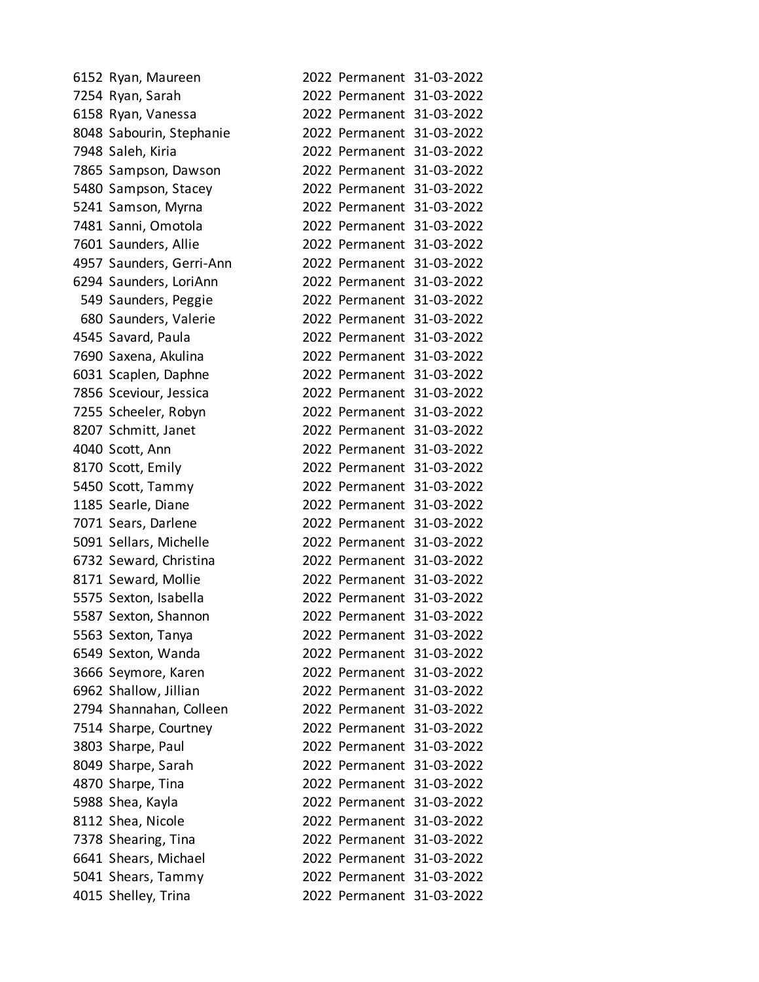| 6152 Ryan, Maureen       |                           | 2022 Permanent 31-03-2022 |
|--------------------------|---------------------------|---------------------------|
| 7254 Ryan, Sarah         |                           | 2022 Permanent 31-03-2022 |
| 6158 Ryan, Vanessa       |                           | 2022 Permanent 31-03-2022 |
| 8048 Sabourin, Stephanie |                           | 2022 Permanent 31-03-2022 |
| 7948 Saleh, Kiria        |                           | 2022 Permanent 31-03-2022 |
| 7865 Sampson, Dawson     |                           | 2022 Permanent 31-03-2022 |
| 5480 Sampson, Stacey     |                           | 2022 Permanent 31-03-2022 |
| 5241 Samson, Myrna       |                           | 2022 Permanent 31-03-2022 |
| 7481 Sanni, Omotola      |                           | 2022 Permanent 31-03-2022 |
| 7601 Saunders, Allie     |                           | 2022 Permanent 31-03-2022 |
| 4957 Saunders, Gerri-Ann |                           | 2022 Permanent 31-03-2022 |
| 6294 Saunders, LoriAnn   |                           | 2022 Permanent 31-03-2022 |
| 549 Saunders, Peggie     |                           | 2022 Permanent 31-03-2022 |
| 680 Saunders, Valerie    |                           | 2022 Permanent 31-03-2022 |
| 4545 Savard, Paula       |                           | 2022 Permanent 31-03-2022 |
| 7690 Saxena, Akulina     |                           | 2022 Permanent 31-03-2022 |
| 6031 Scaplen, Daphne     |                           | 2022 Permanent 31-03-2022 |
| 7856 Sceviour, Jessica   |                           | 2022 Permanent 31-03-2022 |
| 7255 Scheeler, Robyn     |                           | 2022 Permanent 31-03-2022 |
| 8207 Schmitt, Janet      |                           | 2022 Permanent 31-03-2022 |
| 4040 Scott, Ann          |                           | 2022 Permanent 31-03-2022 |
| 8170 Scott, Emily        |                           | 2022 Permanent 31-03-2022 |
| 5450 Scott, Tammy        |                           | 2022 Permanent 31-03-2022 |
| 1185 Searle, Diane       |                           | 2022 Permanent 31-03-2022 |
| 7071 Sears, Darlene      |                           | 2022 Permanent 31-03-2022 |
| 5091 Sellars, Michelle   |                           | 2022 Permanent 31-03-2022 |
| 6732 Seward, Christina   |                           | 2022 Permanent 31-03-2022 |
| 8171 Seward, Mollie      |                           | 2022 Permanent 31-03-2022 |
| 5575 Sexton, Isabella    |                           | 2022 Permanent 31-03-2022 |
| 5587 Sexton, Shannon     |                           | 2022 Permanent 31-03-2022 |
| 5563 Sexton, Tanya       |                           | 2022 Permanent 31-03-2022 |
| 6549 Sexton, Wanda       |                           | 2022 Permanent 31-03-2022 |
| 3666 Seymore, Karen      |                           | 2022 Permanent 31-03-2022 |
| 6962 Shallow, Jillian    | 2022 Permanent 31-03-2022 |                           |
| 2794 Shannahan, Colleen  |                           | 2022 Permanent 31-03-2022 |
| 7514 Sharpe, Courtney    |                           | 2022 Permanent 31-03-2022 |
| 3803 Sharpe, Paul        |                           | 2022 Permanent 31-03-2022 |
| 8049 Sharpe, Sarah       | 2022 Permanent 31-03-2022 |                           |
| 4870 Sharpe, Tina        |                           | 2022 Permanent 31-03-2022 |
| 5988 Shea, Kayla         |                           | 2022 Permanent 31-03-2022 |
| 8112 Shea, Nicole        |                           | 2022 Permanent 31-03-2022 |
| 7378 Shearing, Tina      | 2022 Permanent 31-03-2022 |                           |
| 6641 Shears, Michael     |                           | 2022 Permanent 31-03-2022 |
| 5041 Shears, Tammy       |                           | 2022 Permanent 31-03-2022 |
| 4015 Shelley, Trina      |                           | 2022 Permanent 31-03-2022 |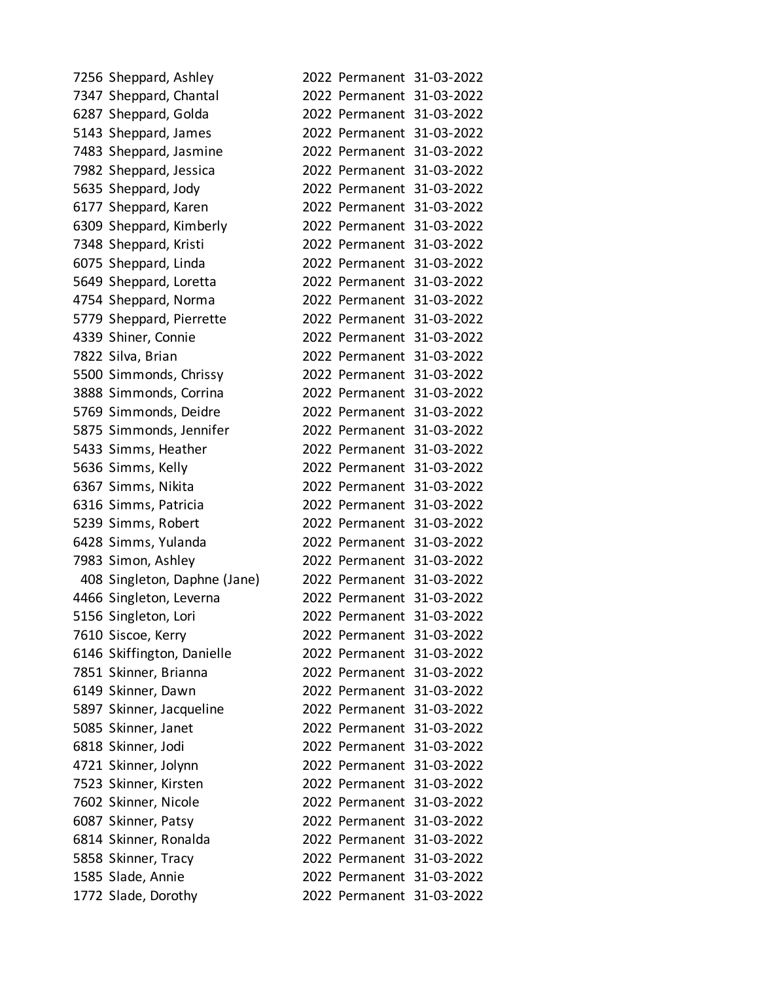| 7256 Sheppard, Ashley        |  | 2022 Permanent 31-03-2022 |
|------------------------------|--|---------------------------|
| 7347 Sheppard, Chantal       |  | 2022 Permanent 31-03-2022 |
| 6287 Sheppard, Golda         |  | 2022 Permanent 31-03-2022 |
| 5143 Sheppard, James         |  | 2022 Permanent 31-03-2022 |
| 7483 Sheppard, Jasmine       |  | 2022 Permanent 31-03-2022 |
| 7982 Sheppard, Jessica       |  | 2022 Permanent 31-03-2022 |
| 5635 Sheppard, Jody          |  | 2022 Permanent 31-03-2022 |
| 6177 Sheppard, Karen         |  | 2022 Permanent 31-03-2022 |
| 6309 Sheppard, Kimberly      |  | 2022 Permanent 31-03-2022 |
| 7348 Sheppard, Kristi        |  | 2022 Permanent 31-03-2022 |
| 6075 Sheppard, Linda         |  | 2022 Permanent 31-03-2022 |
| 5649 Sheppard, Loretta       |  | 2022 Permanent 31-03-2022 |
| 4754 Sheppard, Norma         |  | 2022 Permanent 31-03-2022 |
| 5779 Sheppard, Pierrette     |  | 2022 Permanent 31-03-2022 |
| 4339 Shiner, Connie          |  | 2022 Permanent 31-03-2022 |
| 7822 Silva, Brian            |  | 2022 Permanent 31-03-2022 |
| 5500 Simmonds, Chrissy       |  | 2022 Permanent 31-03-2022 |
| 3888 Simmonds, Corrina       |  | 2022 Permanent 31-03-2022 |
| 5769 Simmonds, Deidre        |  | 2022 Permanent 31-03-2022 |
| 5875 Simmonds, Jennifer      |  | 2022 Permanent 31-03-2022 |
| 5433 Simms, Heather          |  | 2022 Permanent 31-03-2022 |
| 5636 Simms, Kelly            |  | 2022 Permanent 31-03-2022 |
| 6367 Simms, Nikita           |  | 2022 Permanent 31-03-2022 |
| 6316 Simms, Patricia         |  | 2022 Permanent 31-03-2022 |
| 5239 Simms, Robert           |  | 2022 Permanent 31-03-2022 |
| 6428 Simms, Yulanda          |  | 2022 Permanent 31-03-2022 |
| 7983 Simon, Ashley           |  | 2022 Permanent 31-03-2022 |
| 408 Singleton, Daphne (Jane) |  | 2022 Permanent 31-03-2022 |
| 4466 Singleton, Leverna      |  | 2022 Permanent 31-03-2022 |
| 5156 Singleton, Lori         |  | 2022 Permanent 31-03-2022 |
| 7610 Siscoe, Kerry           |  | 2022 Permanent 31-03-2022 |
| 6146 Skiffington, Danielle   |  | 2022 Permanent 31-03-2022 |
| 7851 Skinner, Brianna        |  | 2022 Permanent 31-03-2022 |
| 6149 Skinner, Dawn           |  | 2022 Permanent 31-03-2022 |
| 5897 Skinner, Jacqueline     |  | 2022 Permanent 31-03-2022 |
| 5085 Skinner, Janet          |  | 2022 Permanent 31-03-2022 |
| 6818 Skinner, Jodi           |  | 2022 Permanent 31-03-2022 |
| 4721 Skinner, Jolynn         |  | 2022 Permanent 31-03-2022 |
| 7523 Skinner, Kirsten        |  | 2022 Permanent 31-03-2022 |
| 7602 Skinner, Nicole         |  | 2022 Permanent 31-03-2022 |
| 6087 Skinner, Patsy          |  | 2022 Permanent 31-03-2022 |
| 6814 Skinner, Ronalda        |  | 2022 Permanent 31-03-2022 |
| 5858 Skinner, Tracy          |  | 2022 Permanent 31-03-2022 |
| 1585 Slade, Annie            |  | 2022 Permanent 31-03-2022 |
| 1772 Slade, Dorothy          |  | 2022 Permanent 31-03-2022 |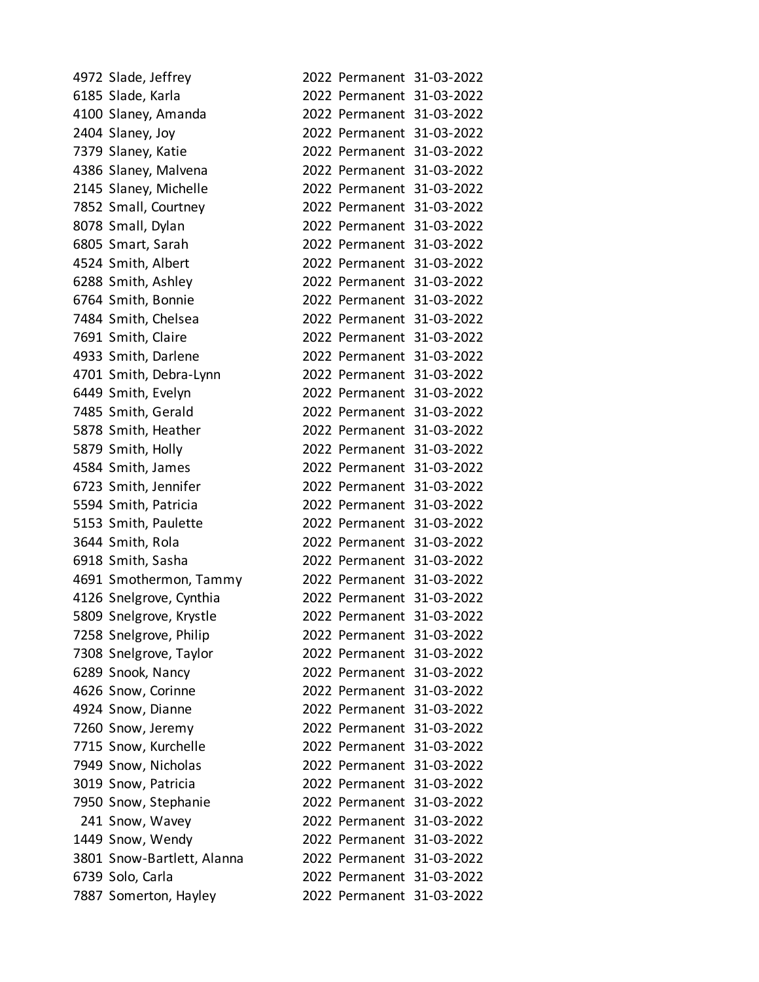| 4972 Slade, Jeffrey        |  | 2022 Permanent 31-03-2022 |
|----------------------------|--|---------------------------|
| 6185 Slade, Karla          |  | 2022 Permanent 31-03-2022 |
| 4100 Slaney, Amanda        |  | 2022 Permanent 31-03-2022 |
| 2404 Slaney, Joy           |  | 2022 Permanent 31-03-2022 |
| 7379 Slaney, Katie         |  | 2022 Permanent 31-03-2022 |
| 4386 Slaney, Malvena       |  | 2022 Permanent 31-03-2022 |
| 2145 Slaney, Michelle      |  | 2022 Permanent 31-03-2022 |
| 7852 Small, Courtney       |  | 2022 Permanent 31-03-2022 |
| 8078 Small, Dylan          |  | 2022 Permanent 31-03-2022 |
| 6805 Smart, Sarah          |  | 2022 Permanent 31-03-2022 |
| 4524 Smith, Albert         |  | 2022 Permanent 31-03-2022 |
| 6288 Smith, Ashley         |  | 2022 Permanent 31-03-2022 |
| 6764 Smith, Bonnie         |  | 2022 Permanent 31-03-2022 |
| 7484 Smith, Chelsea        |  | 2022 Permanent 31-03-2022 |
| 7691 Smith, Claire         |  | 2022 Permanent 31-03-2022 |
| 4933 Smith, Darlene        |  | 2022 Permanent 31-03-2022 |
| 4701 Smith, Debra-Lynn     |  | 2022 Permanent 31-03-2022 |
| 6449 Smith, Evelyn         |  | 2022 Permanent 31-03-2022 |
| 7485 Smith, Gerald         |  | 2022 Permanent 31-03-2022 |
| 5878 Smith, Heather        |  | 2022 Permanent 31-03-2022 |
| 5879 Smith, Holly          |  | 2022 Permanent 31-03-2022 |
| 4584 Smith, James          |  | 2022 Permanent 31-03-2022 |
| 6723 Smith, Jennifer       |  | 2022 Permanent 31-03-2022 |
| 5594 Smith, Patricia       |  | 2022 Permanent 31-03-2022 |
| 5153 Smith, Paulette       |  | 2022 Permanent 31-03-2022 |
| 3644 Smith, Rola           |  | 2022 Permanent 31-03-2022 |
| 6918 Smith, Sasha          |  | 2022 Permanent 31-03-2022 |
| 4691 Smothermon, Tammy     |  | 2022 Permanent 31-03-2022 |
| 4126 Snelgrove, Cynthia    |  | 2022 Permanent 31-03-2022 |
| 5809 Snelgrove, Krystle    |  | 2022 Permanent 31-03-2022 |
| 7258 Snelgrove, Philip     |  | 2022 Permanent 31-03-2022 |
| 7308 Snelgrove, Taylor     |  | 2022 Permanent 31-03-2022 |
| 6289 Snook, Nancy          |  | 2022 Permanent 31-03-2022 |
| 4626 Snow, Corinne         |  | 2022 Permanent 31-03-2022 |
| 4924 Snow, Dianne          |  | 2022 Permanent 31-03-2022 |
| 7260 Snow, Jeremy          |  | 2022 Permanent 31-03-2022 |
| 7715 Snow, Kurchelle       |  | 2022 Permanent 31-03-2022 |
| 7949 Snow, Nicholas        |  | 2022 Permanent 31-03-2022 |
| 3019 Snow, Patricia        |  | 2022 Permanent 31-03-2022 |
| 7950 Snow, Stephanie       |  | 2022 Permanent 31-03-2022 |
| 241 Snow, Wavey            |  | 2022 Permanent 31-03-2022 |
| 1449 Snow, Wendy           |  | 2022 Permanent 31-03-2022 |
| 3801 Snow-Bartlett, Alanna |  | 2022 Permanent 31-03-2022 |
| 6739 Solo, Carla           |  | 2022 Permanent 31-03-2022 |
| 7887 Somerton, Hayley      |  | 2022 Permanent 31-03-2022 |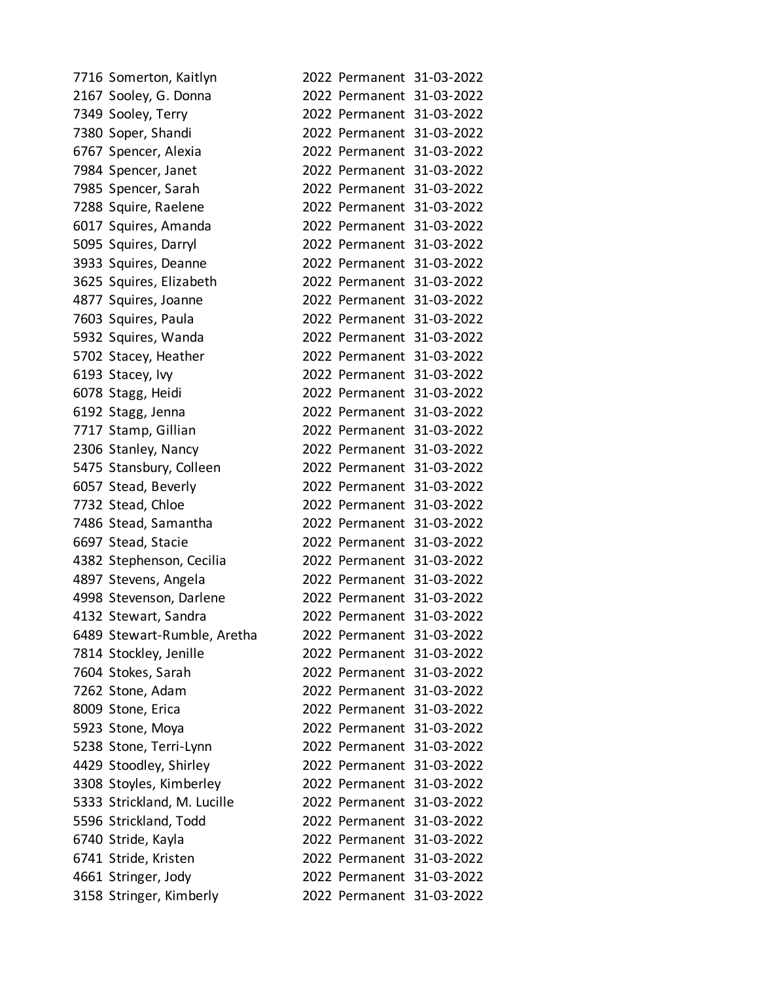| 7716 Somerton, Kaitlyn      |  | 2022 Permanent 31-03-2022 |
|-----------------------------|--|---------------------------|
| 2167 Sooley, G. Donna       |  | 2022 Permanent 31-03-2022 |
| 7349 Sooley, Terry          |  | 2022 Permanent 31-03-2022 |
| 7380 Soper, Shandi          |  | 2022 Permanent 31-03-2022 |
| 6767 Spencer, Alexia        |  | 2022 Permanent 31-03-2022 |
| 7984 Spencer, Janet         |  | 2022 Permanent 31-03-2022 |
| 7985 Spencer, Sarah         |  | 2022 Permanent 31-03-2022 |
| 7288 Squire, Raelene        |  | 2022 Permanent 31-03-2022 |
| 6017 Squires, Amanda        |  | 2022 Permanent 31-03-2022 |
| 5095 Squires, Darryl        |  | 2022 Permanent 31-03-2022 |
| 3933 Squires, Deanne        |  | 2022 Permanent 31-03-2022 |
| 3625 Squires, Elizabeth     |  | 2022 Permanent 31-03-2022 |
| 4877 Squires, Joanne        |  | 2022 Permanent 31-03-2022 |
| 7603 Squires, Paula         |  | 2022 Permanent 31-03-2022 |
| 5932 Squires, Wanda         |  | 2022 Permanent 31-03-2022 |
| 5702 Stacey, Heather        |  | 2022 Permanent 31-03-2022 |
| 6193 Stacey, Ivy            |  | 2022 Permanent 31-03-2022 |
| 6078 Stagg, Heidi           |  | 2022 Permanent 31-03-2022 |
| 6192 Stagg, Jenna           |  | 2022 Permanent 31-03-2022 |
| 7717 Stamp, Gillian         |  | 2022 Permanent 31-03-2022 |
| 2306 Stanley, Nancy         |  | 2022 Permanent 31-03-2022 |
| 5475 Stansbury, Colleen     |  | 2022 Permanent 31-03-2022 |
| 6057 Stead, Beverly         |  | 2022 Permanent 31-03-2022 |
| 7732 Stead, Chloe           |  | 2022 Permanent 31-03-2022 |
| 7486 Stead, Samantha        |  | 2022 Permanent 31-03-2022 |
| 6697 Stead, Stacie          |  | 2022 Permanent 31-03-2022 |
| 4382 Stephenson, Cecilia    |  | 2022 Permanent 31-03-2022 |
| 4897 Stevens, Angela        |  | 2022 Permanent 31-03-2022 |
| 4998 Stevenson, Darlene     |  | 2022 Permanent 31-03-2022 |
| 4132 Stewart, Sandra        |  | 2022 Permanent 31-03-2022 |
| 6489 Stewart-Rumble, Aretha |  | 2022 Permanent 31-03-2022 |
| 7814 Stockley, Jenille      |  | 2022 Permanent 31-03-2022 |
| 7604 Stokes, Sarah          |  | 2022 Permanent 31-03-2022 |
| 7262 Stone, Adam            |  | 2022 Permanent 31-03-2022 |
| 8009 Stone, Erica           |  | 2022 Permanent 31-03-2022 |
| 5923 Stone, Moya            |  | 2022 Permanent 31-03-2022 |
| 5238 Stone, Terri-Lynn      |  | 2022 Permanent 31-03-2022 |
| 4429 Stoodley, Shirley      |  | 2022 Permanent 31-03-2022 |
| 3308 Stoyles, Kimberley     |  | 2022 Permanent 31-03-2022 |
| 5333 Strickland, M. Lucille |  | 2022 Permanent 31-03-2022 |
| 5596 Strickland, Todd       |  | 2022 Permanent 31-03-2022 |
| 6740 Stride, Kayla          |  | 2022 Permanent 31-03-2022 |
| 6741 Stride, Kristen        |  | 2022 Permanent 31-03-2022 |
| 4661 Stringer, Jody         |  | 2022 Permanent 31-03-2022 |
| 3158 Stringer, Kimberly     |  | 2022 Permanent 31-03-2022 |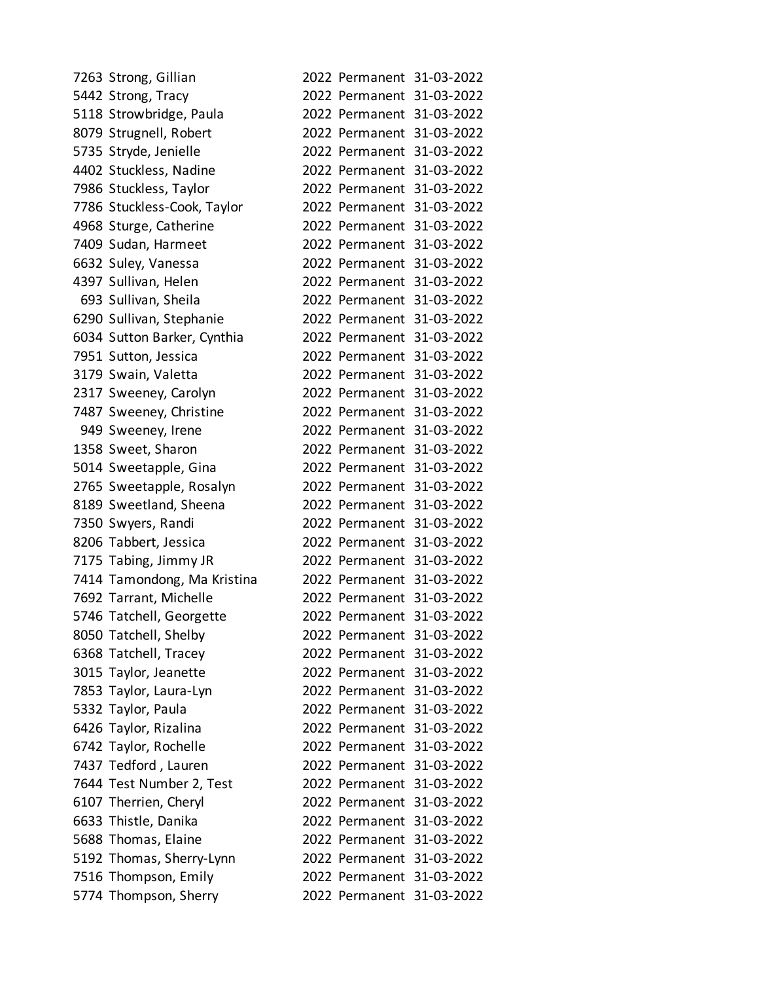| 7263 Strong, Gillian        |                           | 2022 Permanent 31-03-2022 |
|-----------------------------|---------------------------|---------------------------|
| 5442 Strong, Tracy          |                           | 2022 Permanent 31-03-2022 |
| 5118 Strowbridge, Paula     |                           | 2022 Permanent 31-03-2022 |
| 8079 Strugnell, Robert      |                           | 2022 Permanent 31-03-2022 |
| 5735 Stryde, Jenielle       |                           | 2022 Permanent 31-03-2022 |
| 4402 Stuckless, Nadine      |                           | 2022 Permanent 31-03-2022 |
| 7986 Stuckless, Taylor      |                           | 2022 Permanent 31-03-2022 |
| 7786 Stuckless-Cook, Taylor |                           | 2022 Permanent 31-03-2022 |
| 4968 Sturge, Catherine      |                           | 2022 Permanent 31-03-2022 |
| 7409 Sudan, Harmeet         |                           | 2022 Permanent 31-03-2022 |
| 6632 Suley, Vanessa         |                           | 2022 Permanent 31-03-2022 |
| 4397 Sullivan, Helen        |                           | 2022 Permanent 31-03-2022 |
| 693 Sullivan, Sheila        |                           | 2022 Permanent 31-03-2022 |
| 6290 Sullivan, Stephanie    |                           | 2022 Permanent 31-03-2022 |
| 6034 Sutton Barker, Cynthia |                           | 2022 Permanent 31-03-2022 |
| 7951 Sutton, Jessica        |                           | 2022 Permanent 31-03-2022 |
| 3179 Swain, Valetta         |                           | 2022 Permanent 31-03-2022 |
| 2317 Sweeney, Carolyn       |                           | 2022 Permanent 31-03-2022 |
| 7487 Sweeney, Christine     |                           | 2022 Permanent 31-03-2022 |
| 949 Sweeney, Irene          |                           | 2022 Permanent 31-03-2022 |
| 1358 Sweet, Sharon          |                           | 2022 Permanent 31-03-2022 |
| 5014 Sweetapple, Gina       |                           | 2022 Permanent 31-03-2022 |
| 2765 Sweetapple, Rosalyn    |                           | 2022 Permanent 31-03-2022 |
| 8189 Sweetland, Sheena      |                           | 2022 Permanent 31-03-2022 |
| 7350 Swyers, Randi          |                           | 2022 Permanent 31-03-2022 |
| 8206 Tabbert, Jessica       |                           | 2022 Permanent 31-03-2022 |
| 7175 Tabing, Jimmy JR       |                           | 2022 Permanent 31-03-2022 |
| 7414 Tamondong, Ma Kristina |                           | 2022 Permanent 31-03-2022 |
| 7692 Tarrant, Michelle      |                           | 2022 Permanent 31-03-2022 |
| 5746 Tatchell, Georgette    | 2022 Permanent 31-03-2022 |                           |
| 8050 Tatchell, Shelby       | 2022 Permanent 31-03-2022 |                           |
| 6368 Tatchell, Tracey       |                           | 2022 Permanent 31-03-2022 |
| 3015 Taylor, Jeanette       |                           | 2022 Permanent 31-03-2022 |
| 7853 Taylor, Laura-Lyn      | 2022 Permanent 31-03-2022 |                           |
| 5332 Taylor, Paula          | 2022 Permanent 31-03-2022 |                           |
| 6426 Taylor, Rizalina       |                           | 2022 Permanent 31-03-2022 |
| 6742 Taylor, Rochelle       | 2022 Permanent 31-03-2022 |                           |
| 7437 Tedford, Lauren        | 2022 Permanent 31-03-2022 |                           |
| 7644 Test Number 2, Test    | 2022 Permanent 31-03-2022 |                           |
| 6107 Therrien, Cheryl       |                           | 2022 Permanent 31-03-2022 |
| 6633 Thistle, Danika        | 2022 Permanent 31-03-2022 |                           |
| 5688 Thomas, Elaine         | 2022 Permanent 31-03-2022 |                           |
| 5192 Thomas, Sherry-Lynn    |                           | 2022 Permanent 31-03-2022 |
| 7516 Thompson, Emily        |                           | 2022 Permanent 31-03-2022 |
| 5774 Thompson, Sherry       | 2022 Permanent 31-03-2022 |                           |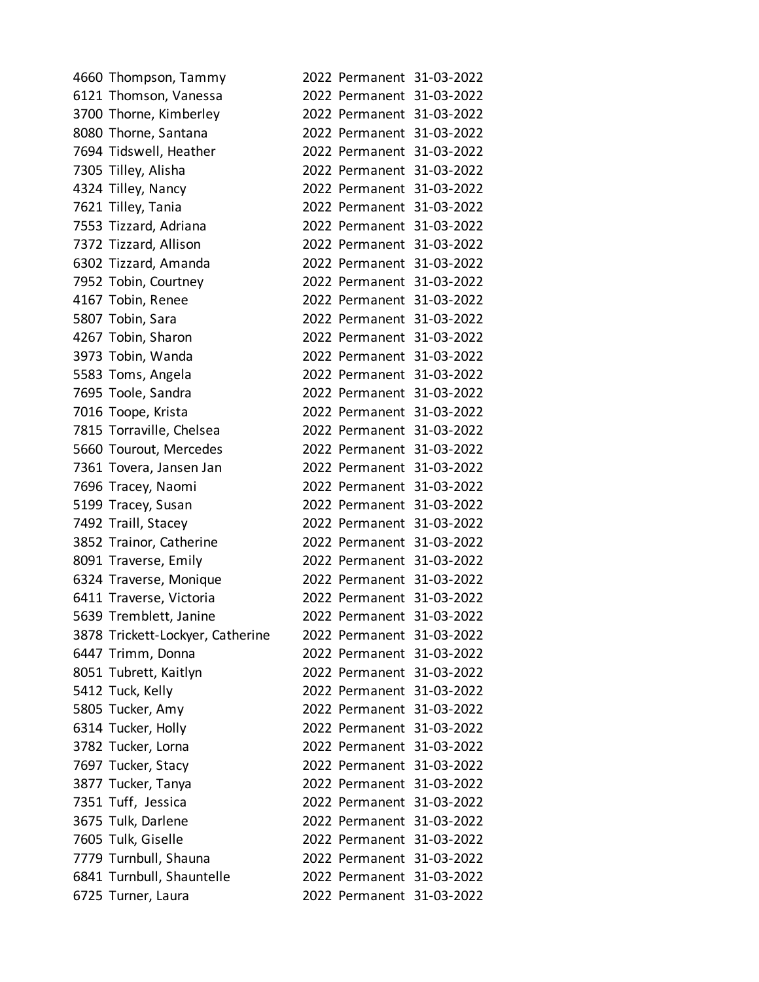| 4660 Thompson, Tammy             |                           | 2022 Permanent 31-03-2022 |
|----------------------------------|---------------------------|---------------------------|
| 6121 Thomson, Vanessa            |                           | 2022 Permanent 31-03-2022 |
| 3700 Thorne, Kimberley           |                           | 2022 Permanent 31-03-2022 |
| 8080 Thorne, Santana             |                           | 2022 Permanent 31-03-2022 |
| 7694 Tidswell, Heather           |                           | 2022 Permanent 31-03-2022 |
| 7305 Tilley, Alisha              |                           | 2022 Permanent 31-03-2022 |
| 4324 Tilley, Nancy               |                           | 2022 Permanent 31-03-2022 |
| 7621 Tilley, Tania               |                           | 2022 Permanent 31-03-2022 |
| 7553 Tizzard, Adriana            |                           | 2022 Permanent 31-03-2022 |
| 7372 Tizzard, Allison            |                           | 2022 Permanent 31-03-2022 |
| 6302 Tizzard, Amanda             |                           | 2022 Permanent 31-03-2022 |
| 7952 Tobin, Courtney             |                           | 2022 Permanent 31-03-2022 |
| 4167 Tobin, Renee                |                           | 2022 Permanent 31-03-2022 |
| 5807 Tobin, Sara                 |                           | 2022 Permanent 31-03-2022 |
| 4267 Tobin, Sharon               |                           | 2022 Permanent 31-03-2022 |
| 3973 Tobin, Wanda                |                           | 2022 Permanent 31-03-2022 |
| 5583 Toms, Angela                |                           | 2022 Permanent 31-03-2022 |
| 7695 Toole, Sandra               |                           | 2022 Permanent 31-03-2022 |
| 7016 Toope, Krista               |                           | 2022 Permanent 31-03-2022 |
| 7815 Torraville, Chelsea         |                           | 2022 Permanent 31-03-2022 |
| 5660 Tourout, Mercedes           |                           | 2022 Permanent 31-03-2022 |
| 7361 Tovera, Jansen Jan          |                           | 2022 Permanent 31-03-2022 |
| 7696 Tracey, Naomi               |                           | 2022 Permanent 31-03-2022 |
| 5199 Tracey, Susan               |                           | 2022 Permanent 31-03-2022 |
| 7492 Traill, Stacey              |                           | 2022 Permanent 31-03-2022 |
| 3852 Trainor, Catherine          |                           | 2022 Permanent 31-03-2022 |
| 8091 Traverse, Emily             |                           | 2022 Permanent 31-03-2022 |
| 6324 Traverse, Monique           |                           | 2022 Permanent 31-03-2022 |
| 6411 Traverse, Victoria          |                           | 2022 Permanent 31-03-2022 |
| 5639 Tremblett, Janine           | 2022 Permanent 31-03-2022 |                           |
| 3878 Trickett-Lockyer, Catherine |                           | 2022 Permanent 31-03-2022 |
| 6447 Trimm, Donna                |                           | 2022 Permanent 31-03-2022 |
| 8051 Tubrett, Kaitlyn            |                           | 2022 Permanent 31-03-2022 |
| 5412 Tuck, Kelly                 | 2022 Permanent 31-03-2022 |                           |
| 5805 Tucker, Amy                 |                           | 2022 Permanent 31-03-2022 |
| 6314 Tucker, Holly               |                           | 2022 Permanent 31-03-2022 |
| 3782 Tucker, Lorna               |                           | 2022 Permanent 31-03-2022 |
| 7697 Tucker, Stacy               | 2022 Permanent 31-03-2022 |                           |
| 3877 Tucker, Tanya               |                           | 2022 Permanent 31-03-2022 |
| 7351 Tuff, Jessica               |                           | 2022 Permanent 31-03-2022 |
| 3675 Tulk, Darlene               |                           | 2022 Permanent 31-03-2022 |
| 7605 Tulk, Giselle               | 2022 Permanent 31-03-2022 |                           |
| 7779 Turnbull, Shauna            |                           | 2022 Permanent 31-03-2022 |
| 6841 Turnbull, Shauntelle        |                           | 2022 Permanent 31-03-2022 |
| 6725 Turner, Laura               |                           | 2022 Permanent 31-03-2022 |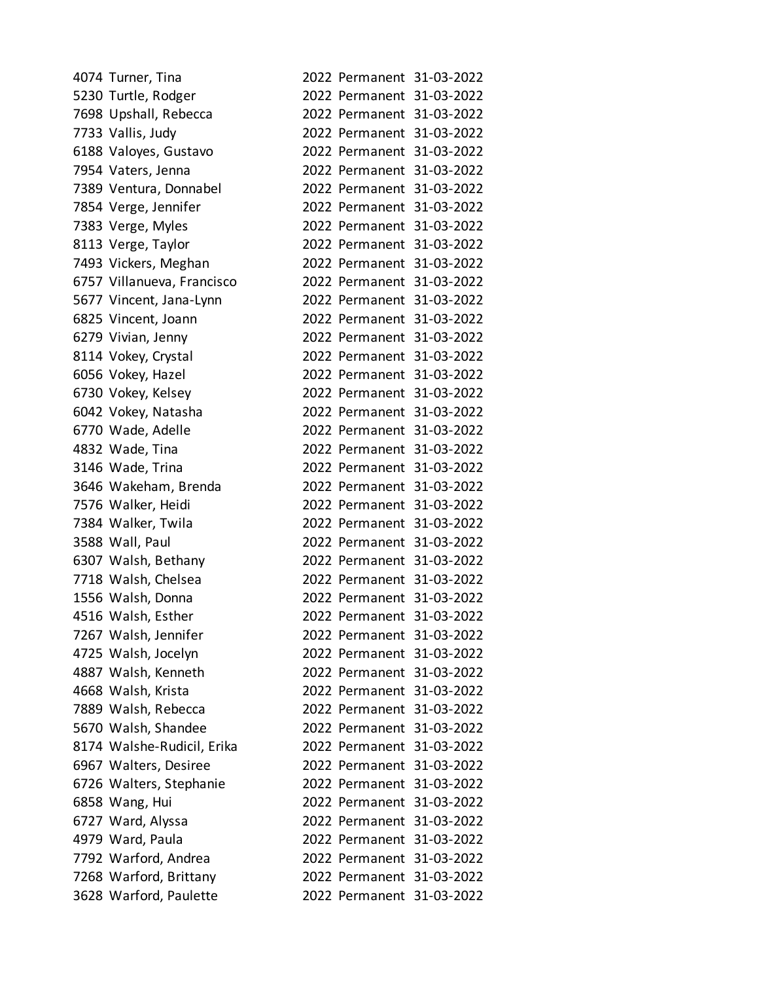| 4074 Turner, Tina          |  | 2022 Permanent 31-03-2022 |
|----------------------------|--|---------------------------|
| 5230 Turtle, Rodger        |  | 2022 Permanent 31-03-2022 |
| 7698 Upshall, Rebecca      |  | 2022 Permanent 31-03-2022 |
| 7733 Vallis, Judy          |  | 2022 Permanent 31-03-2022 |
| 6188 Valoyes, Gustavo      |  | 2022 Permanent 31-03-2022 |
| 7954 Vaters, Jenna         |  | 2022 Permanent 31-03-2022 |
| 7389 Ventura, Donnabel     |  | 2022 Permanent 31-03-2022 |
| 7854 Verge, Jennifer       |  | 2022 Permanent 31-03-2022 |
| 7383 Verge, Myles          |  | 2022 Permanent 31-03-2022 |
| 8113 Verge, Taylor         |  | 2022 Permanent 31-03-2022 |
| 7493 Vickers, Meghan       |  | 2022 Permanent 31-03-2022 |
| 6757 Villanueva, Francisco |  | 2022 Permanent 31-03-2022 |
| 5677 Vincent, Jana-Lynn    |  | 2022 Permanent 31-03-2022 |
| 6825 Vincent, Joann        |  | 2022 Permanent 31-03-2022 |
| 6279 Vivian, Jenny         |  | 2022 Permanent 31-03-2022 |
| 8114 Vokey, Crystal        |  | 2022 Permanent 31-03-2022 |
| 6056 Vokey, Hazel          |  | 2022 Permanent 31-03-2022 |
| 6730 Vokey, Kelsey         |  | 2022 Permanent 31-03-2022 |
| 6042 Vokey, Natasha        |  | 2022 Permanent 31-03-2022 |
| 6770 Wade, Adelle          |  | 2022 Permanent 31-03-2022 |
| 4832 Wade, Tina            |  | 2022 Permanent 31-03-2022 |
| 3146 Wade, Trina           |  | 2022 Permanent 31-03-2022 |
| 3646 Wakeham, Brenda       |  | 2022 Permanent 31-03-2022 |
| 7576 Walker, Heidi         |  | 2022 Permanent 31-03-2022 |
| 7384 Walker, Twila         |  | 2022 Permanent 31-03-2022 |
| 3588 Wall, Paul            |  | 2022 Permanent 31-03-2022 |
| 6307 Walsh, Bethany        |  | 2022 Permanent 31-03-2022 |
| 7718 Walsh, Chelsea        |  | 2022 Permanent 31-03-2022 |
| 1556 Walsh, Donna          |  | 2022 Permanent 31-03-2022 |
| 4516 Walsh, Esther         |  | 2022 Permanent 31-03-2022 |
| 7267 Walsh, Jennifer       |  | 2022 Permanent 31-03-2022 |
| 4725 Walsh, Jocelyn        |  | 2022 Permanent 31-03-2022 |
| 4887 Walsh, Kenneth        |  | 2022 Permanent 31-03-2022 |
| 4668 Walsh, Krista         |  | 2022 Permanent 31-03-2022 |
| 7889 Walsh, Rebecca        |  | 2022 Permanent 31-03-2022 |
| 5670 Walsh, Shandee        |  | 2022 Permanent 31-03-2022 |
| 8174 Walshe-Rudicil, Erika |  | 2022 Permanent 31-03-2022 |
| 6967 Walters, Desiree      |  | 2022 Permanent 31-03-2022 |
| 6726 Walters, Stephanie    |  | 2022 Permanent 31-03-2022 |
| 6858 Wang, Hui             |  | 2022 Permanent 31-03-2022 |
| 6727 Ward, Alyssa          |  | 2022 Permanent 31-03-2022 |
| 4979 Ward, Paula           |  | 2022 Permanent 31-03-2022 |
| 7792 Warford, Andrea       |  | 2022 Permanent 31-03-2022 |
| 7268 Warford, Brittany     |  | 2022 Permanent 31-03-2022 |
| 3628 Warford, Paulette     |  | 2022 Permanent 31-03-2022 |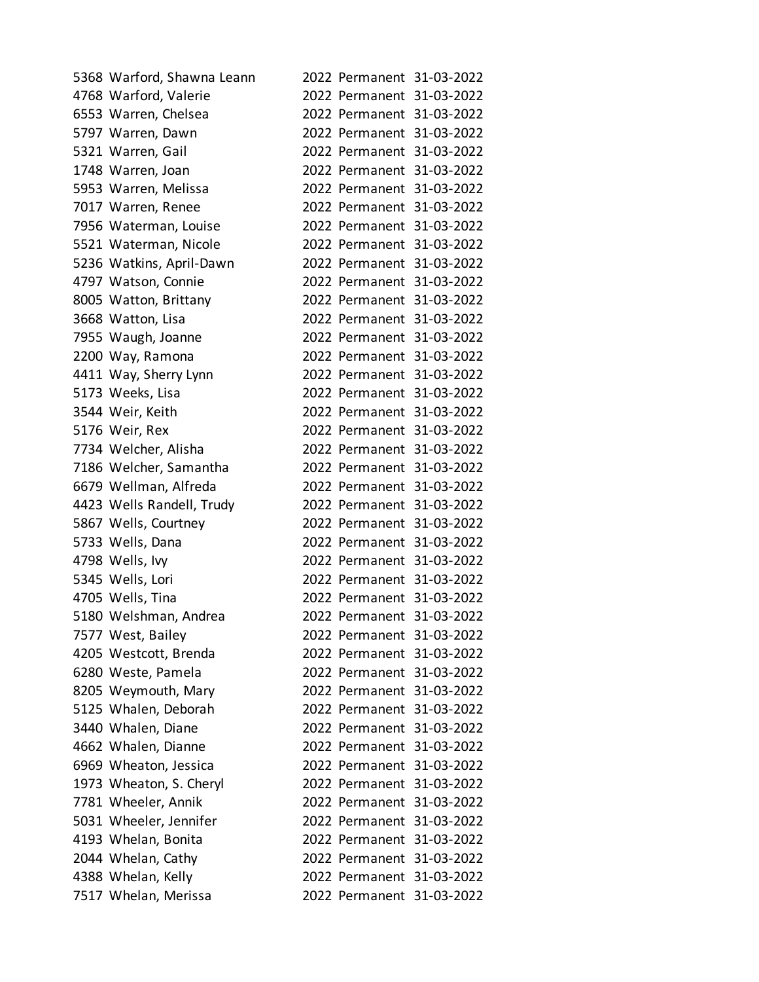| 5368 Warford, Shawna Leann |  | 2022 Permanent 31-03-2022 |
|----------------------------|--|---------------------------|
| 4768 Warford, Valerie      |  | 2022 Permanent 31-03-2022 |
| 6553 Warren, Chelsea       |  | 2022 Permanent 31-03-2022 |
| 5797 Warren, Dawn          |  | 2022 Permanent 31-03-2022 |
| 5321 Warren, Gail          |  | 2022 Permanent 31-03-2022 |
| 1748 Warren, Joan          |  | 2022 Permanent 31-03-2022 |
| 5953 Warren, Melissa       |  | 2022 Permanent 31-03-2022 |
| 7017 Warren, Renee         |  | 2022 Permanent 31-03-2022 |
| 7956 Waterman, Louise      |  | 2022 Permanent 31-03-2022 |
| 5521 Waterman, Nicole      |  | 2022 Permanent 31-03-2022 |
| 5236 Watkins, April-Dawn   |  | 2022 Permanent 31-03-2022 |
| 4797 Watson, Connie        |  | 2022 Permanent 31-03-2022 |
| 8005 Watton, Brittany      |  | 2022 Permanent 31-03-2022 |
| 3668 Watton, Lisa          |  | 2022 Permanent 31-03-2022 |
| 7955 Waugh, Joanne         |  | 2022 Permanent 31-03-2022 |
| 2200 Way, Ramona           |  | 2022 Permanent 31-03-2022 |
| 4411 Way, Sherry Lynn      |  | 2022 Permanent 31-03-2022 |
| 5173 Weeks, Lisa           |  | 2022 Permanent 31-03-2022 |
| 3544 Weir, Keith           |  | 2022 Permanent 31-03-2022 |
| 5176 Weir, Rex             |  | 2022 Permanent 31-03-2022 |
| 7734 Welcher, Alisha       |  | 2022 Permanent 31-03-2022 |
| 7186 Welcher, Samantha     |  | 2022 Permanent 31-03-2022 |
| 6679 Wellman, Alfreda      |  | 2022 Permanent 31-03-2022 |
| 4423 Wells Randell, Trudy  |  | 2022 Permanent 31-03-2022 |
| 5867 Wells, Courtney       |  | 2022 Permanent 31-03-2022 |
| 5733 Wells, Dana           |  | 2022 Permanent 31-03-2022 |
| 4798 Wells, Ivy            |  | 2022 Permanent 31-03-2022 |
| 5345 Wells, Lori           |  | 2022 Permanent 31-03-2022 |
| 4705 Wells, Tina           |  | 2022 Permanent 31-03-2022 |
| 5180 Welshman, Andrea      |  | 2022 Permanent 31-03-2022 |
| 7577 West, Bailey          |  | 2022 Permanent 31-03-2022 |
| 4205 Westcott, Brenda      |  | 2022 Permanent 31-03-2022 |
| 6280 Weste, Pamela         |  | 2022 Permanent 31-03-2022 |
| 8205 Weymouth, Mary        |  | 2022 Permanent 31-03-2022 |
| 5125 Whalen, Deborah       |  | 2022 Permanent 31-03-2022 |
| 3440 Whalen, Diane         |  | 2022 Permanent 31-03-2022 |
| 4662 Whalen, Dianne        |  | 2022 Permanent 31-03-2022 |
| 6969 Wheaton, Jessica      |  | 2022 Permanent 31-03-2022 |
| 1973 Wheaton, S. Cheryl    |  | 2022 Permanent 31-03-2022 |
| 7781 Wheeler, Annik        |  | 2022 Permanent 31-03-2022 |
| 5031 Wheeler, Jennifer     |  | 2022 Permanent 31-03-2022 |
| 4193 Whelan, Bonita        |  | 2022 Permanent 31-03-2022 |
| 2044 Whelan, Cathy         |  | 2022 Permanent 31-03-2022 |
| 4388 Whelan, Kelly         |  | 2022 Permanent 31-03-2022 |
| 7517 Whelan, Merissa       |  | 2022 Permanent 31-03-2022 |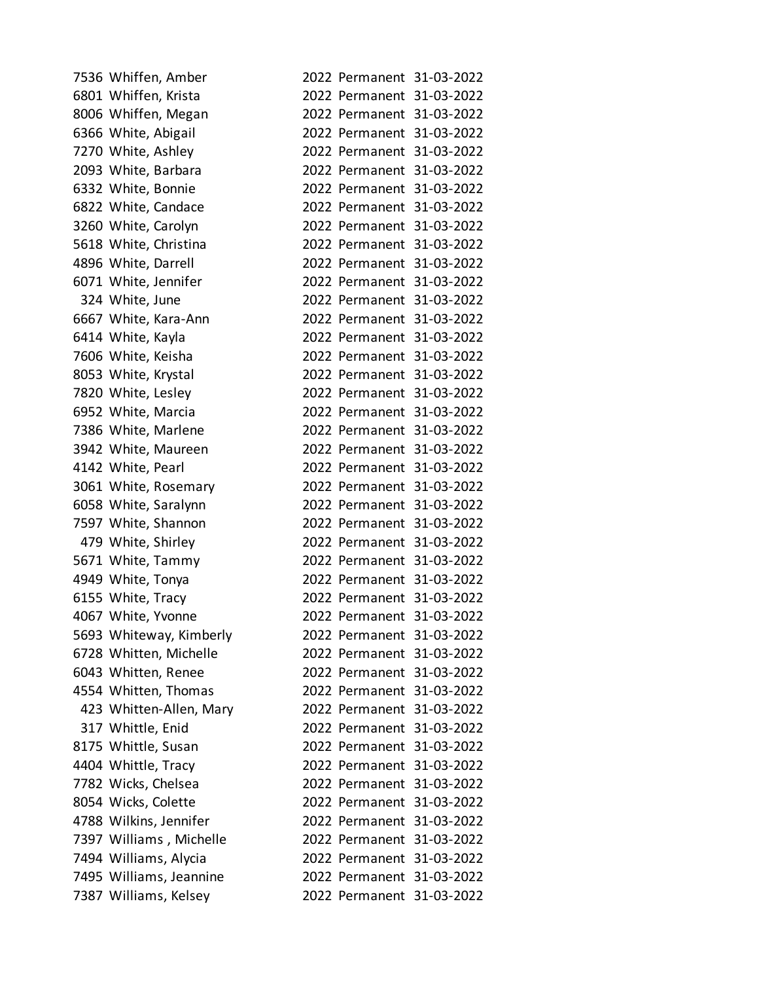| 7536 Whiffen, Amber     |                           | 2022 Permanent 31-03-2022 |
|-------------------------|---------------------------|---------------------------|
| 6801 Whiffen, Krista    |                           | 2022 Permanent 31-03-2022 |
| 8006 Whiffen, Megan     |                           | 2022 Permanent 31-03-2022 |
| 6366 White, Abigail     |                           | 2022 Permanent 31-03-2022 |
| 7270 White, Ashley      |                           | 2022 Permanent 31-03-2022 |
| 2093 White, Barbara     |                           | 2022 Permanent 31-03-2022 |
| 6332 White, Bonnie      |                           | 2022 Permanent 31-03-2022 |
| 6822 White, Candace     |                           | 2022 Permanent 31-03-2022 |
| 3260 White, Carolyn     |                           | 2022 Permanent 31-03-2022 |
| 5618 White, Christina   |                           | 2022 Permanent 31-03-2022 |
| 4896 White, Darrell     |                           | 2022 Permanent 31-03-2022 |
| 6071 White, Jennifer    |                           | 2022 Permanent 31-03-2022 |
| 324 White, June         |                           | 2022 Permanent 31-03-2022 |
| 6667 White, Kara-Ann    |                           | 2022 Permanent 31-03-2022 |
| 6414 White, Kayla       |                           | 2022 Permanent 31-03-2022 |
| 7606 White, Keisha      |                           | 2022 Permanent 31-03-2022 |
| 8053 White, Krystal     |                           | 2022 Permanent 31-03-2022 |
| 7820 White, Lesley      |                           | 2022 Permanent 31-03-2022 |
| 6952 White, Marcia      |                           | 2022 Permanent 31-03-2022 |
| 7386 White, Marlene     |                           | 2022 Permanent 31-03-2022 |
| 3942 White, Maureen     |                           | 2022 Permanent 31-03-2022 |
| 4142 White, Pearl       |                           | 2022 Permanent 31-03-2022 |
| 3061 White, Rosemary    |                           | 2022 Permanent 31-03-2022 |
| 6058 White, Saralynn    |                           | 2022 Permanent 31-03-2022 |
| 7597 White, Shannon     |                           | 2022 Permanent 31-03-2022 |
| 479 White, Shirley      |                           | 2022 Permanent 31-03-2022 |
| 5671 White, Tammy       |                           | 2022 Permanent 31-03-2022 |
| 4949 White, Tonya       |                           | 2022 Permanent 31-03-2022 |
| 6155 White, Tracy       |                           | 2022 Permanent 31-03-2022 |
| 4067 White, Yvonne      |                           | 2022 Permanent 31-03-2022 |
| 5693 Whiteway, Kimberly |                           | 2022 Permanent 31-03-2022 |
| 6728 Whitten, Michelle  |                           | 2022 Permanent 31-03-2022 |
| 6043 Whitten, Renee     |                           | 2022 Permanent 31-03-2022 |
| 4554 Whitten, Thomas    | 2022 Permanent 31-03-2022 |                           |
| 423 Whitten-Allen, Mary |                           | 2022 Permanent 31-03-2022 |
| 317 Whittle, Enid       |                           | 2022 Permanent 31-03-2022 |
| 8175 Whittle, Susan     |                           | 2022 Permanent 31-03-2022 |
| 4404 Whittle, Tracy     | 2022 Permanent 31-03-2022 |                           |
| 7782 Wicks, Chelsea     |                           | 2022 Permanent 31-03-2022 |
| 8054 Wicks, Colette     |                           | 2022 Permanent 31-03-2022 |
| 4788 Wilkins, Jennifer  |                           | 2022 Permanent 31-03-2022 |
| 7397 Williams, Michelle | 2022 Permanent 31-03-2022 |                           |
| 7494 Williams, Alycia   |                           | 2022 Permanent 31-03-2022 |
| 7495 Williams, Jeannine |                           | 2022 Permanent 31-03-2022 |
| 7387 Williams, Kelsey   |                           | 2022 Permanent 31-03-2022 |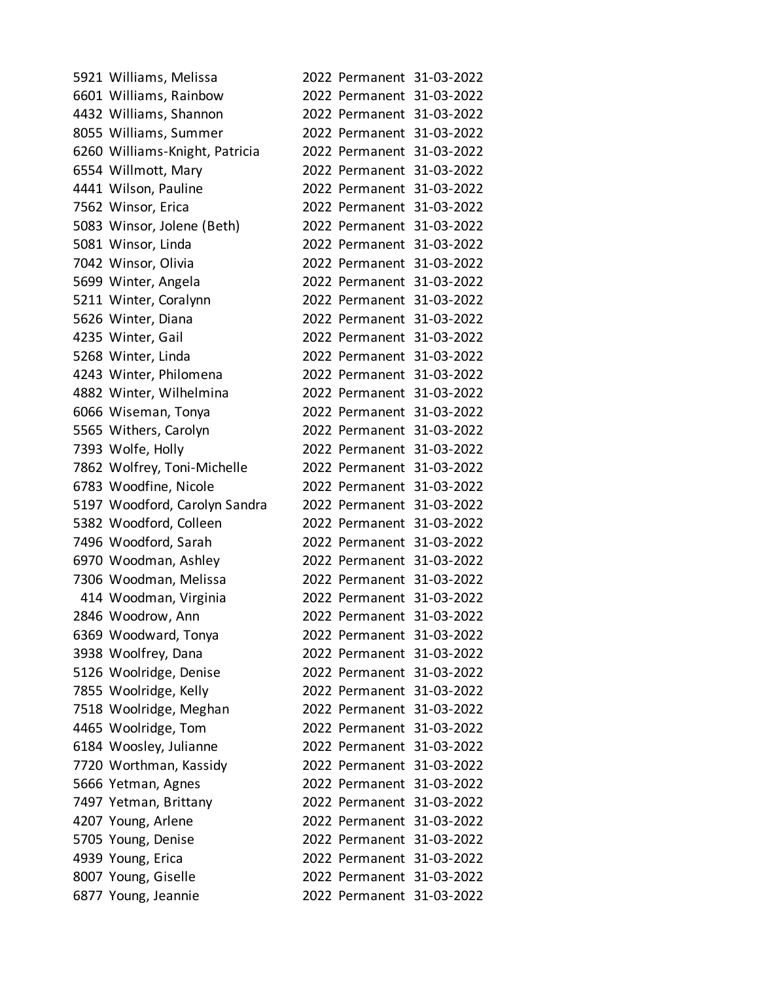| 5921 Williams, Melissa         |  | 2022 Permanent 31-03-2022 |
|--------------------------------|--|---------------------------|
| 6601 Williams, Rainbow         |  | 2022 Permanent 31-03-2022 |
| 4432 Williams, Shannon         |  | 2022 Permanent 31-03-2022 |
| 8055 Williams, Summer          |  | 2022 Permanent 31-03-2022 |
| 6260 Williams-Knight, Patricia |  | 2022 Permanent 31-03-2022 |
| 6554 Willmott, Mary            |  | 2022 Permanent 31-03-2022 |
| 4441 Wilson, Pauline           |  | 2022 Permanent 31-03-2022 |
| 7562 Winsor, Erica             |  | 2022 Permanent 31-03-2022 |
| 5083 Winsor, Jolene (Beth)     |  | 2022 Permanent 31-03-2022 |
| 5081 Winsor, Linda             |  | 2022 Permanent 31-03-2022 |
| 7042 Winsor, Olivia            |  | 2022 Permanent 31-03-2022 |
| 5699 Winter, Angela            |  | 2022 Permanent 31-03-2022 |
| 5211 Winter, Coralynn          |  | 2022 Permanent 31-03-2022 |
| 5626 Winter, Diana             |  | 2022 Permanent 31-03-2022 |
| 4235 Winter, Gail              |  | 2022 Permanent 31-03-2022 |
| 5268 Winter, Linda             |  | 2022 Permanent 31-03-2022 |
| 4243 Winter, Philomena         |  | 2022 Permanent 31-03-2022 |
| 4882 Winter, Wilhelmina        |  | 2022 Permanent 31-03-2022 |
| 6066 Wiseman, Tonya            |  | 2022 Permanent 31-03-2022 |
| 5565 Withers, Carolyn          |  | 2022 Permanent 31-03-2022 |
| 7393 Wolfe, Holly              |  | 2022 Permanent 31-03-2022 |
| 7862 Wolfrey, Toni-Michelle    |  | 2022 Permanent 31-03-2022 |
| 6783 Woodfine, Nicole          |  | 2022 Permanent 31-03-2022 |
| 5197 Woodford, Carolyn Sandra  |  | 2022 Permanent 31-03-2022 |
| 5382 Woodford, Colleen         |  | 2022 Permanent 31-03-2022 |
| 7496 Woodford, Sarah           |  | 2022 Permanent 31-03-2022 |
| 6970 Woodman, Ashley           |  | 2022 Permanent 31-03-2022 |
| 7306 Woodman, Melissa          |  | 2022 Permanent 31-03-2022 |
| 414 Woodman, Virginia          |  | 2022 Permanent 31-03-2022 |
| 2846 Woodrow, Ann              |  | 2022 Permanent 31-03-2022 |
| 6369 Woodward, Tonya           |  | 2022 Permanent 31-03-2022 |
| 3938 Woolfrey, Dana            |  | 2022 Permanent 31-03-2022 |
| 5126 Woolridge, Denise         |  | 2022 Permanent 31-03-2022 |
| 7855 Woolridge, Kelly          |  | 2022 Permanent 31-03-2022 |
| 7518 Woolridge, Meghan         |  | 2022 Permanent 31-03-2022 |
| 4465 Woolridge, Tom            |  | 2022 Permanent 31-03-2022 |
| 6184 Woosley, Julianne         |  | 2022 Permanent 31-03-2022 |
| 7720 Worthman, Kassidy         |  | 2022 Permanent 31-03-2022 |
| 5666 Yetman, Agnes             |  | 2022 Permanent 31-03-2022 |
| 7497 Yetman, Brittany          |  | 2022 Permanent 31-03-2022 |
| 4207 Young, Arlene             |  | 2022 Permanent 31-03-2022 |
| 5705 Young, Denise             |  | 2022 Permanent 31-03-2022 |
| 4939 Young, Erica              |  | 2022 Permanent 31-03-2022 |
| 8007 Young, Giselle            |  | 2022 Permanent 31-03-2022 |
| 6877 Young, Jeannie            |  | 2022 Permanent 31-03-2022 |